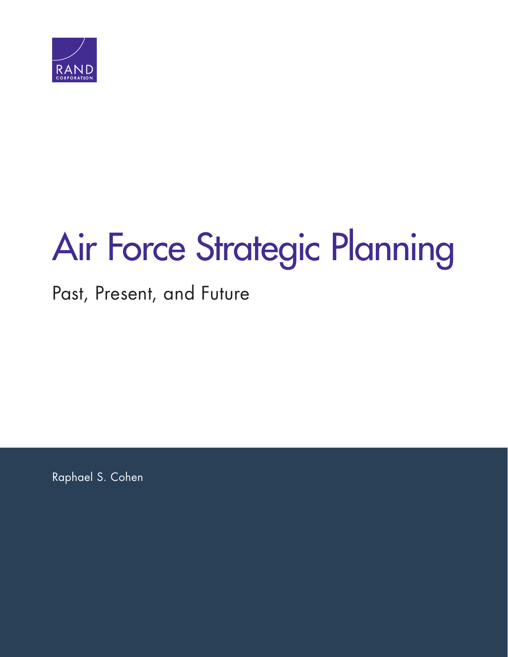

# [Air Force Strategic Planning](http://www.rand.org/pubs/research_reports/RR1765.html)

# Past, Present, and Future

Raphael S. Cohen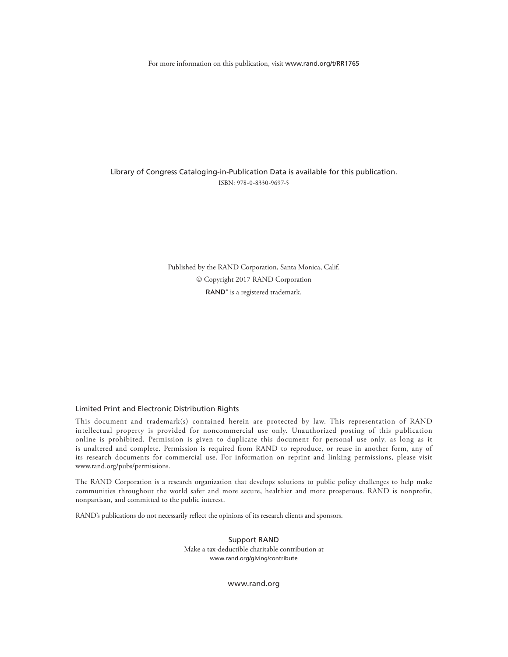For more information on this publication, visit [www.rand.org/t/RR1765](http://www.rand.org/t/RR1765)

Library of Congress Cataloging-in-Publication Data is available for this publication. ISBN: 978-0-8330-9697-5

> Published by the RAND Corporation, Santa Monica, Calif. © Copyright 2017 RAND Corporation RAND<sup>®</sup> is a registered trademark.

#### Limited Print and Electronic Distribution Rights

This document and trademark(s) contained herein are protected by law. This representation of RAND intellectual property is provided for noncommercial use only. Unauthorized posting of this publication online is prohibited. Permission is given to duplicate this document for personal use only, as long as it is unaltered and complete. Permission is required from RAND to reproduce, or reuse in another form, any of its research documents for commercial use. For information on reprint and linking permissions, please visit [www.rand.org/pubs/permissions.](http://www.rand.org/pubs/permissions)

The RAND Corporation is a research organization that develops solutions to public policy challenges to help make communities throughout the world safer and more secure, healthier and more prosperous. RAND is nonprofit, nonpartisan, and committed to the public interest.

RAND's publications do not necessarily reflect the opinions of its research clients and sponsors.

Support RAND Make a tax-deductible charitable contribution at [www.rand.org/giving/contribute](http://www.rand.org/giving/contribute)

[www.rand.org](http://www.rand.org)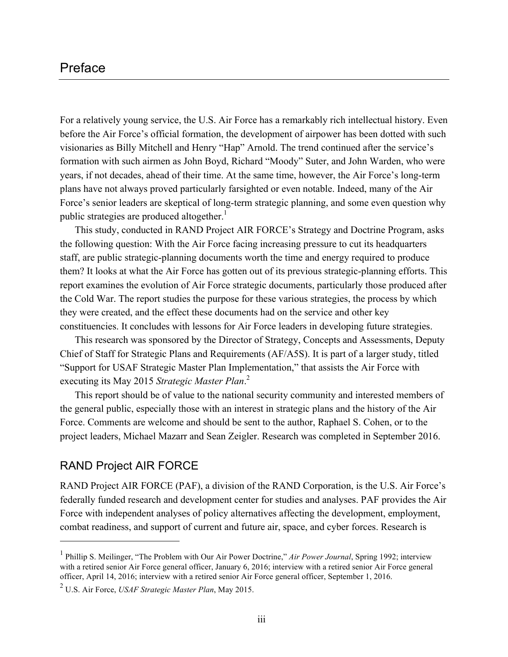#### Preface

For a relatively young service, the U.S. Air Force has a remarkably rich intellectual history. Even before the Air Force's official formation, the development of airpower has been dotted with such visionaries as Billy Mitchell and Henry "Hap" Arnold. The trend continued after the service's formation with such airmen as John Boyd, Richard "Moody" Suter, and John Warden, who were years, if not decades, ahead of their time. At the same time, however, the Air Force's long-term plans have not always proved particularly farsighted or even notable. Indeed, many of the Air Force's senior leaders are skeptical of long-term strategic planning, and some even question why public strategies are produced altogether.<sup>1</sup>

This study, conducted in RAND Project AIR FORCE's Strategy and Doctrine Program, asks the following question: With the Air Force facing increasing pressure to cut its headquarters staff, are public strategic-planning documents worth the time and energy required to produce them? It looks at what the Air Force has gotten out of its previous strategic-planning efforts. This report examines the evolution of Air Force strategic documents, particularly those produced after the Cold War. The report studies the purpose for these various strategies, the process by which they were created, and the effect these documents had on the service and other key constituencies. It concludes with lessons for Air Force leaders in developing future strategies.

This research was sponsored by the Director of Strategy, Concepts and Assessments, Deputy Chief of Staff for Strategic Plans and Requirements (AF/A5S). It is part of a larger study, titled "Support for USAF Strategic Master Plan Implementation," that assists the Air Force with executing its May 2015 *Strategic Master Plan*. 2

This report should be of value to the national security community and interested members of the general public, especially those with an interest in strategic plans and the history of the Air Force. Comments are welcome and should be sent to the author, Raphael S. Cohen, or to the project leaders, Michael Mazarr and Sean Zeigler. Research was completed in September 2016.

#### RAND Project AIR FORCE

 $\overline{a}$ 

RAND Project AIR FORCE (PAF), a division of the RAND Corporation, is the U.S. Air Force's federally funded research and development center for studies and analyses. PAF provides the Air Force with independent analyses of policy alternatives affecting the development, employment, combat readiness, and support of current and future air, space, and cyber forces. Research is

<sup>1</sup> Phillip S. Meilinger, "The Problem with Our Air Power Doctrine," *Air Power Journal*, Spring 1992; interview with a retired senior Air Force general officer, January 6, 2016; interview with a retired senior Air Force general officer, April 14, 2016; interview with a retired senior Air Force general officer, September 1, 2016.

<sup>2</sup> U.S. Air Force, *USAF Strategic Master Plan*, May 2015.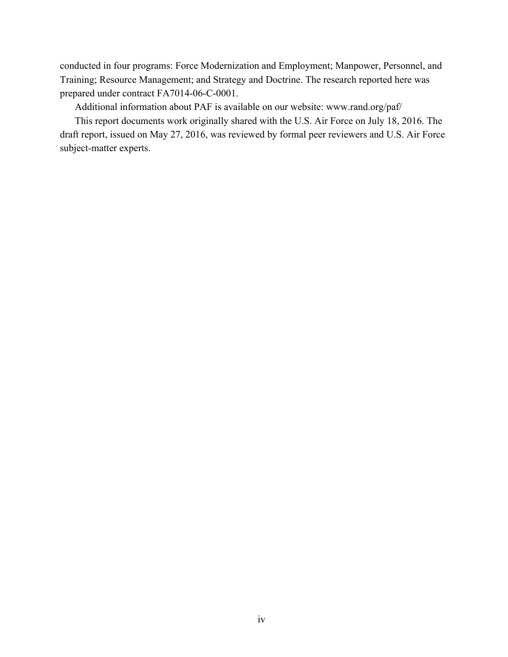conducted in four programs: Force Modernization and Employment; Manpower, Personnel, and Training; Resource Management; and Strategy and Doctrine. The research reported here was prepared under contract FA7014-06-C-0001.

Additional information about PAF is available on our website: [www.rand.org/paf/](http://www.rand.org/paf/) 

This report documents work originally shared with the U.S. Air Force on July 18, 2016. The draft report, issued on May 27, 2016, was reviewed by formal peer reviewers and U.S. Air Force subject-matter experts.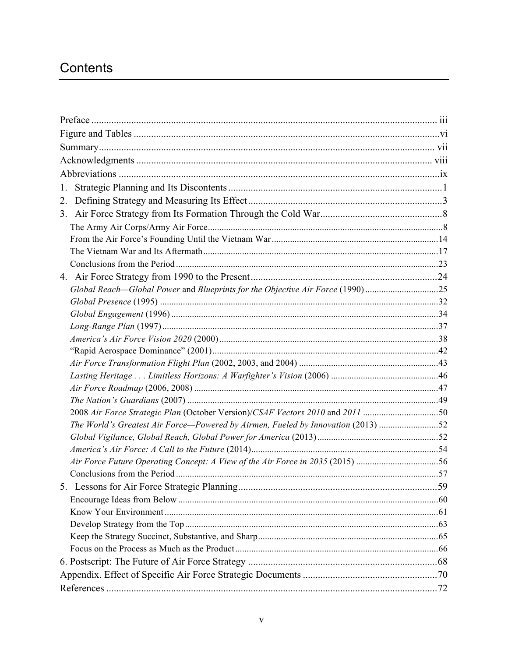# Contents

| 1.                                                                               |  |
|----------------------------------------------------------------------------------|--|
| 2.                                                                               |  |
|                                                                                  |  |
|                                                                                  |  |
|                                                                                  |  |
|                                                                                  |  |
|                                                                                  |  |
|                                                                                  |  |
| Global Reach-Global Power and Blueprints for the Objective Air Force (1990)25    |  |
|                                                                                  |  |
|                                                                                  |  |
|                                                                                  |  |
|                                                                                  |  |
|                                                                                  |  |
|                                                                                  |  |
|                                                                                  |  |
|                                                                                  |  |
|                                                                                  |  |
|                                                                                  |  |
| The World's Greatest Air Force-Powered by Airmen, Fueled by Innovation (2013) 52 |  |
|                                                                                  |  |
|                                                                                  |  |
| Air Force Future Operating Concept: A View of the Air Force in 2035 (2015) 56    |  |
|                                                                                  |  |
|                                                                                  |  |
|                                                                                  |  |
|                                                                                  |  |
|                                                                                  |  |
|                                                                                  |  |
|                                                                                  |  |
|                                                                                  |  |
|                                                                                  |  |
|                                                                                  |  |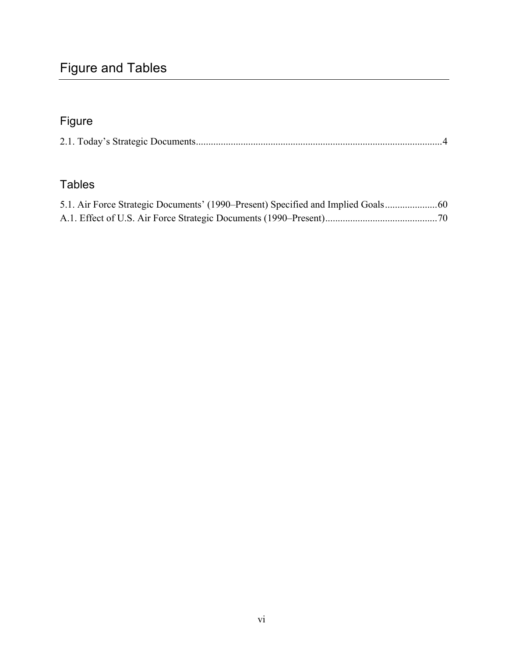# Figure and Tables

# Figure

|--|--|--|--|

## Tables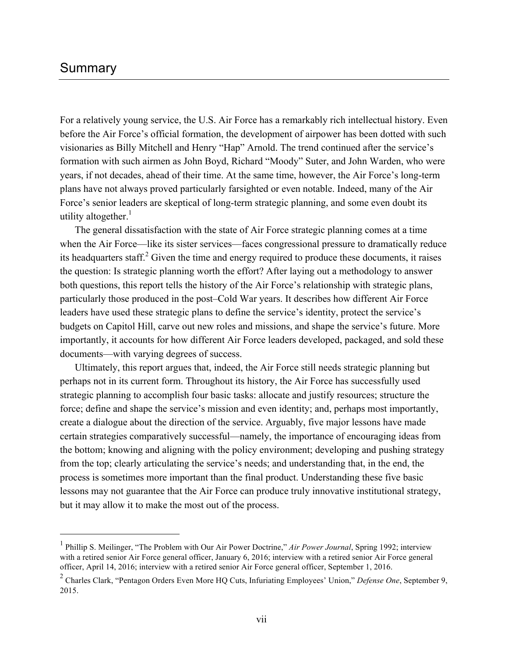#### Summary

 $\overline{a}$ 

For a relatively young service, the U.S. Air Force has a remarkably rich intellectual history. Even before the Air Force's official formation, the development of airpower has been dotted with such visionaries as Billy Mitchell and Henry "Hap" Arnold. The trend continued after the service's formation with such airmen as John Boyd, Richard "Moody" Suter, and John Warden, who were years, if not decades, ahead of their time. At the same time, however, the Air Force's long-term plans have not always proved particularly farsighted or even notable. Indeed, many of the Air Force's senior leaders are skeptical of long-term strategic planning, and some even doubt its utility altogether. $\frac{1}{1}$ 

The general dissatisfaction with the state of Air Force strategic planning comes at a time when the Air Force—like its sister services—faces congressional pressure to dramatically reduce its headquarters staff. $^{2}$  Given the time and energy required to produce these documents, it raises the question: Is strategic planning worth the effort? After laying out a methodology to answer both questions, this report tells the history of the Air Force's relationship with strategic plans, particularly those produced in the post–Cold War years. It describes how different Air Force leaders have used these strategic plans to define the service's identity, protect the service's budgets on Capitol Hill, carve out new roles and missions, and shape the service's future. More importantly, it accounts for how different Air Force leaders developed, packaged, and sold these documents—with varying degrees of success.

Ultimately, this report argues that, indeed, the Air Force still needs strategic planning but perhaps not in its current form. Throughout its history, the Air Force has successfully used strategic planning to accomplish four basic tasks: allocate and justify resources; structure the force; define and shape the service's mission and even identity; and, perhaps most importantly, create a dialogue about the direction of the service. Arguably, five major lessons have made certain strategies comparatively successful—namely, the importance of encouraging ideas from the bottom; knowing and aligning with the policy environment; developing and pushing strategy from the top; clearly articulating the service's needs; and understanding that, in the end, the process is sometimes more important than the final product. Understanding these five basic lessons may not guarantee that the Air Force can produce truly innovative institutional strategy, but it may allow it to make the most out of the process.

<sup>1</sup> Phillip S. Meilinger, "The Problem with Our Air Power Doctrine," *Air Power Journal*, Spring 1992; interview with a retired senior Air Force general officer, January 6, 2016; interview with a retired senior Air Force general officer, April 14, 2016; interview with a retired senior Air Force general officer, September 1, 2016.

<sup>2</sup> Charles Clark, "Pentagon Orders Even More HQ Cuts, Infuriating Employees' Union," *Defense One*, September 9, 2015.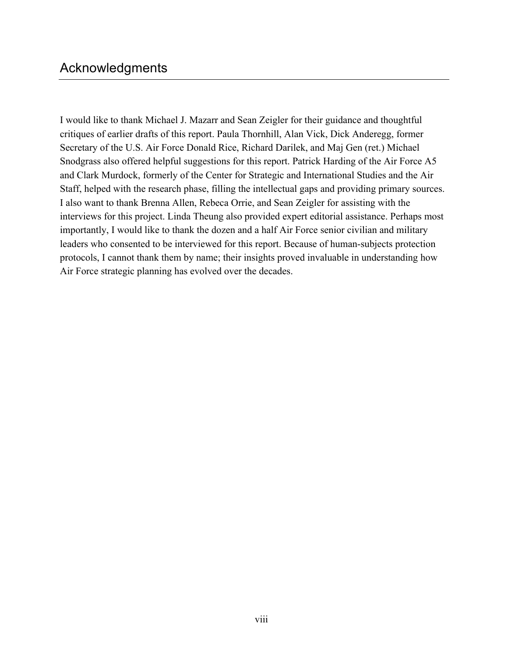## Acknowledgments

I would like to thank Michael J. Mazarr and Sean Zeigler for their guidance and thoughtful critiques of earlier drafts of this report. Paula Thornhill, Alan Vick, Dick Anderegg, former Secretary of the U.S. Air Force Donald Rice, Richard Darilek, and Maj Gen (ret.) Michael Snodgrass also offered helpful suggestions for this report. Patrick Harding of the Air Force A5 and Clark Murdock, formerly of the Center for Strategic and International Studies and the Air Staff, helped with the research phase, filling the intellectual gaps and providing primary sources. I also want to thank Brenna Allen, Rebeca Orrie, and Sean Zeigler for assisting with the interviews for this project. Linda Theung also provided expert editorial assistance. Perhaps most importantly, I would like to thank the dozen and a half Air Force senior civilian and military leaders who consented to be interviewed for this report. Because of human-subjects protection protocols, I cannot thank them by name; their insights proved invaluable in understanding how Air Force strategic planning has evolved over the decades.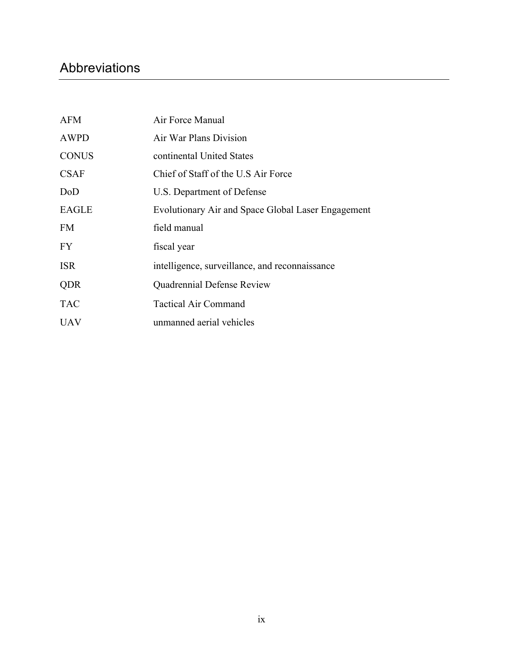# Abbreviations

| <b>AFM</b>   | Air Force Manual                                   |
|--------------|----------------------------------------------------|
| <b>AWPD</b>  | Air War Plans Division                             |
| <b>CONUS</b> | continental United States                          |
| <b>CSAF</b>  | Chief of Staff of the U.S Air Force                |
| DoD          | U.S. Department of Defense                         |
| <b>EAGLE</b> | Evolutionary Air and Space Global Laser Engagement |
| <b>FM</b>    | field manual                                       |
| FY.          | fiscal year                                        |
| <b>ISR</b>   | intelligence, surveillance, and reconnaissance     |
| <b>QDR</b>   | Quadrennial Defense Review                         |
| <b>TAC</b>   | <b>Tactical Air Command</b>                        |
| <b>UAV</b>   | unmanned aerial vehicles                           |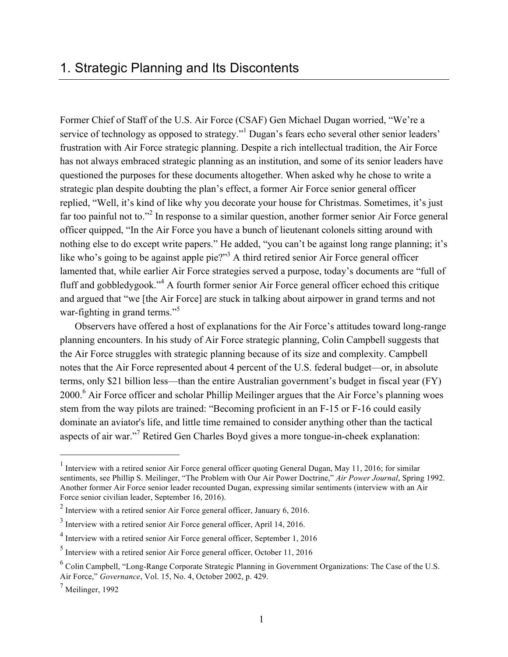Former Chief of Staff of the U.S. Air Force (CSAF) Gen Michael Dugan worried, "We're a service of technology as opposed to strategy."<sup>1</sup> Dugan's fears echo several other senior leaders' frustration with Air Force strategic planning. Despite a rich intellectual tradition, the Air Force has not always embraced strategic planning as an institution, and some of its senior leaders have questioned the purposes for these documents altogether. When asked why he chose to write a strategic plan despite doubting the plan's effect, a former Air Force senior general officer replied, "Well, it's kind of like why you decorate your house for Christmas. Sometimes, it's just far too painful not to."<sup>2</sup> In response to a similar question, another former senior Air Force general officer quipped, "In the Air Force you have a bunch of lieutenant colonels sitting around with nothing else to do except write papers." He added, "you can't be against long range planning; it's like who's going to be against apple pie?"<sup>3</sup> A third retired senior Air Force general officer lamented that, while earlier Air Force strategies served a purpose, today's documents are "full of fluff and gobbledygook."<sup>4</sup> A fourth former senior Air Force general officer echoed this critique and argued that "we [the Air Force] are stuck in talking about airpower in grand terms and not war-fighting in grand terms."<sup>5</sup>

Observers have offered a host of explanations for the Air Force's attitudes toward long-range planning encounters. In his study of Air Force strategic planning, Colin Campbell suggests that the Air Force struggles with strategic planning because of its size and complexity. Campbell notes that the Air Force represented about 4 percent of the U.S. federal budget—or, in absolute terms, only \$21 billion less—than the entire Australian government's budget in fiscal year (FY) 2000.<sup>6</sup> Air Force officer and scholar Phillip Meilinger argues that the Air Force's planning woes stem from the way pilots are trained: "Becoming proficient in an F-15 or F-16 could easily dominate an aviator's life, and little time remained to consider anything other than the tactical aspects of air war."<sup>7</sup> Retired Gen Charles Boyd gives a more tongue-in-cheek explanation:

<sup>&</sup>lt;sup>1</sup> Interview with a retired senior Air Force general officer quoting General Dugan, May 11, 2016; for similar sentiments, see Phillip S. Meilinger, "The Problem with Our Air Power Doctrine," *Air Power Journal*, Spring 1992. Another former Air Force senior leader recounted Dugan, expressing similar sentiments (interview with an Air Force senior civilian leader, September 16, 2016).

 $<sup>2</sup>$  Interview with a retired senior Air Force general officer, January 6, 2016.</sup>

<sup>&</sup>lt;sup>3</sup> Interview with a retired senior Air Force general officer, April 14, 2016.

<sup>&</sup>lt;sup>4</sup> Interview with a retired senior Air Force general officer, September 1, 2016

<sup>5</sup> Interview with a retired senior Air Force general officer, October 11, 2016

<sup>6</sup> Colin Campbell, "Long-Range Corporate Strategic Planning in Government Organizations: The Case of the U.S. Air Force," *Governance*, Vol. 15, No. 4, October 2002, p. 429.

 $<sup>7</sup>$  Meilinger, 1992</sup>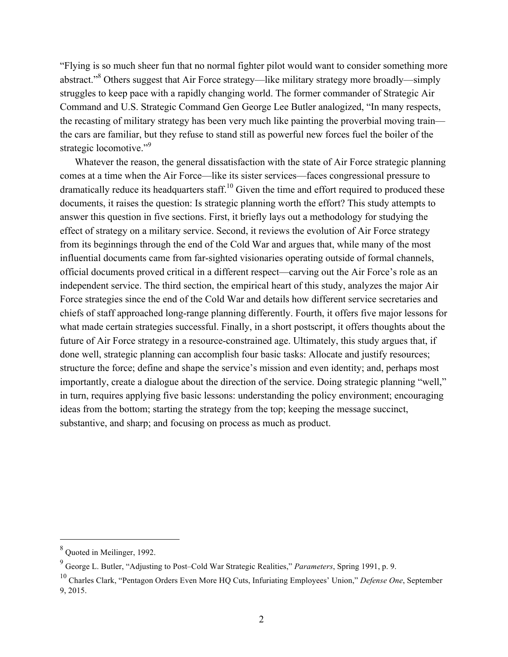"Flying is so much sheer fun that no normal fighter pilot would want to consider something more abstract."<sup>8</sup> Others suggest that Air Force strategy—like military strategy more broadly—simply struggles to keep pace with a rapidly changing world. The former commander of Strategic Air Command and U.S. Strategic Command Gen George Lee Butler analogized, "In many respects, the recasting of military strategy has been very much like painting the proverbial moving train the cars are familiar, but they refuse to stand still as powerful new forces fuel the boiler of the strategic locomotive."<sup>9</sup>

Whatever the reason, the general dissatisfaction with the state of Air Force strategic planning comes at a time when the Air Force—like its sister services—faces congressional pressure to dramatically reduce its headquarters staff.<sup>10</sup> Given the time and effort required to produced these documents, it raises the question: Is strategic planning worth the effort? This study attempts to answer this question in five sections. First, it briefly lays out a methodology for studying the effect of strategy on a military service. Second, it reviews the evolution of Air Force strategy from its beginnings through the end of the Cold War and argues that, while many of the most influential documents came from far-sighted visionaries operating outside of formal channels, official documents proved critical in a different respect—carving out the Air Force's role as an independent service. The third section, the empirical heart of this study, analyzes the major Air Force strategies since the end of the Cold War and details how different service secretaries and chiefs of staff approached long-range planning differently. Fourth, it offers five major lessons for what made certain strategies successful. Finally, in a short postscript, it offers thoughts about the future of Air Force strategy in a resource-constrained age. Ultimately, this study argues that, if done well, strategic planning can accomplish four basic tasks: Allocate and justify resources; structure the force; define and shape the service's mission and even identity; and, perhaps most importantly, create a dialogue about the direction of the service. Doing strategic planning "well," in turn, requires applying five basic lessons: understanding the policy environment; encouraging ideas from the bottom; starting the strategy from the top; keeping the message succinct, substantive, and sharp; and focusing on process as much as product.

<sup>8</sup> Quoted in Meilinger, 1992.

<sup>9</sup> George L. Butler, "Adjusting to Post–Cold War Strategic Realities," *Parameters*, Spring 1991, p. 9.

<sup>10</sup> Charles Clark, "Pentagon Orders Even More HQ Cuts, Infuriating Employees' Union," *Defense One*, September 9, 2015.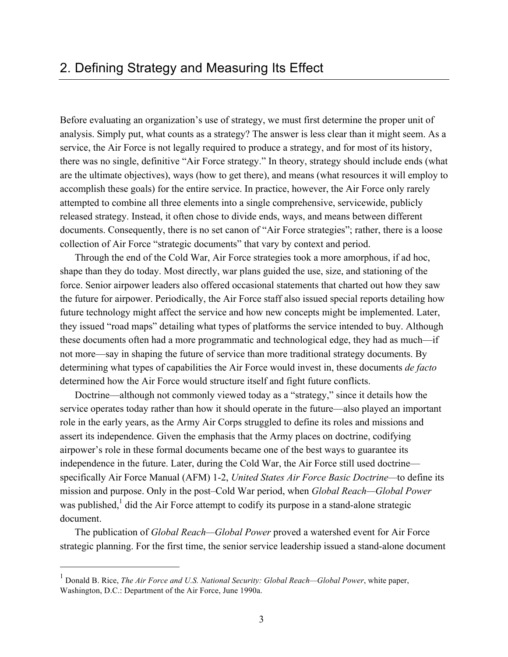Before evaluating an organization's use of strategy, we must first determine the proper unit of analysis. Simply put, what counts as a strategy? The answer is less clear than it might seem. As a service, the Air Force is not legally required to produce a strategy, and for most of its history, there was no single, definitive "Air Force strategy." In theory, strategy should include ends (what are the ultimate objectives), ways (how to get there), and means (what resources it will employ to accomplish these goals) for the entire service. In practice, however, the Air Force only rarely attempted to combine all three elements into a single comprehensive, servicewide, publicly released strategy. Instead, it often chose to divide ends, ways, and means between different documents. Consequently, there is no set canon of "Air Force strategies"; rather, there is a loose collection of Air Force "strategic documents" that vary by context and period.

Through the end of the Cold War, Air Force strategies took a more amorphous, if ad hoc, shape than they do today. Most directly, war plans guided the use, size, and stationing of the force. Senior airpower leaders also offered occasional statements that charted out how they saw the future for airpower. Periodically, the Air Force staff also issued special reports detailing how future technology might affect the service and how new concepts might be implemented. Later, they issued "road maps" detailing what types of platforms the service intended to buy. Although these documents often had a more programmatic and technological edge, they had as much—if not more—say in shaping the future of service than more traditional strategy documents. By determining what types of capabilities the Air Force would invest in, these documents *de facto* determined how the Air Force would structure itself and fight future conflicts.

Doctrine—although not commonly viewed today as a "strategy," since it details how the service operates today rather than how it should operate in the future—also played an important role in the early years, as the Army Air Corps struggled to define its roles and missions and assert its independence. Given the emphasis that the Army places on doctrine, codifying airpower's role in these formal documents became one of the best ways to guarantee its independence in the future. Later, during the Cold War, the Air Force still used doctrine specifically Air Force Manual (AFM) 1-2, *United States Air Force Basic Doctrine—*to define its mission and purpose. Only in the post–Cold War period, when *Global Reach—Global Power* was published, $<sup>1</sup>$  did the Air Force attempt to codify its purpose in a stand-alone strategic</sup> document.

The publication of *Global Reach—Global Power* proved a watershed event for Air Force strategic planning. For the first time, the senior service leadership issued a stand-alone document

<sup>1</sup> Donald B. Rice, *The Air Force and U.S. National Security: Global Reach—Global Power*, white paper, Washington, D.C.: Department of the Air Force, June 1990a.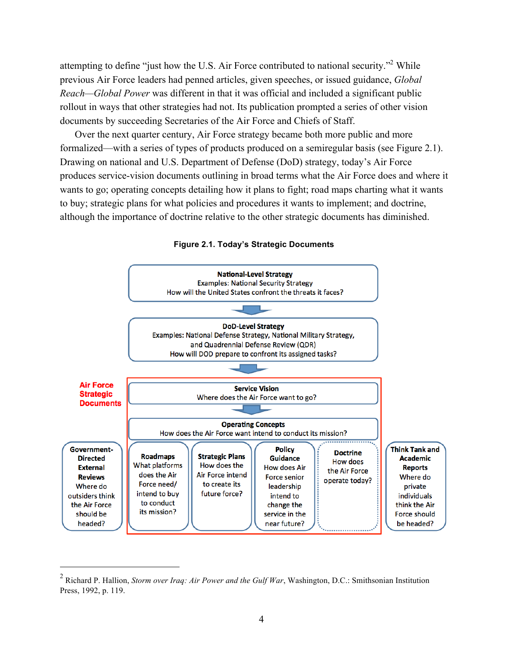attempting to define "just how the U.S. Air Force contributed to national security."<sup>2</sup> While previous Air Force leaders had penned articles, given speeches, or issued guidance, *Global Reach—Global Power* was different in that it was official and included a significant public rollout in ways that other strategies had not. Its publication prompted a series of other vision documents by succeeding Secretaries of the Air Force and Chiefs of Staff.

Over the next quarter century, Air Force strategy became both more public and more formalized—with a series of types of products produced on a semiregular basis (see Figure 2.1). Drawing on national and U.S. Department of Defense (DoD) strategy, today's Air Force produces service-vision documents outlining in broad terms what the Air Force does and where it wants to go; operating concepts detailing how it plans to fight; road maps charting what it wants to buy; strategic plans for what policies and procedures it wants to implement; and doctrine, although the importance of doctrine relative to the other strategic documents has diminished.



**Figure 2.1. Today's Strategic Documents**

<sup>2</sup> Richard P. Hallion, *Storm over Iraq: Air Power and the Gulf War*, Washington, D.C.: Smithsonian Institution Press, 1992, p. 119.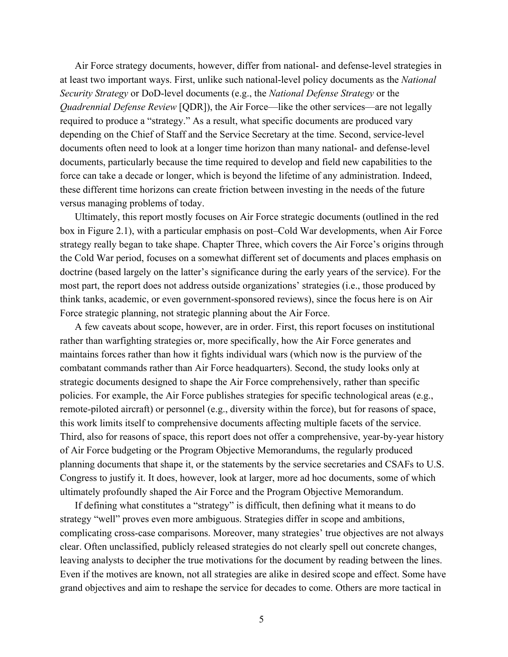Air Force strategy documents, however, differ from national- and defense-level strategies in at least two important ways. First, unlike such national-level policy documents as the *National Security Strategy* or DoD-level documents (e.g., the *National Defense Strategy* or the *Quadrennial Defense Review* [QDR]), the Air Force—like the other services—are not legally required to produce a "strategy." As a result, what specific documents are produced vary depending on the Chief of Staff and the Service Secretary at the time. Second, service-level documents often need to look at a longer time horizon than many national- and defense-level documents, particularly because the time required to develop and field new capabilities to the force can take a decade or longer, which is beyond the lifetime of any administration. Indeed, these different time horizons can create friction between investing in the needs of the future versus managing problems of today.

Ultimately, this report mostly focuses on Air Force strategic documents (outlined in the red box in Figure 2.1), with a particular emphasis on post–Cold War developments, when Air Force strategy really began to take shape. Chapter Three, which covers the Air Force's origins through the Cold War period, focuses on a somewhat different set of documents and places emphasis on doctrine (based largely on the latter's significance during the early years of the service). For the most part, the report does not address outside organizations' strategies (i.e., those produced by think tanks, academic, or even government-sponsored reviews), since the focus here is on Air Force strategic planning, not strategic planning about the Air Force.

A few caveats about scope, however, are in order. First, this report focuses on institutional rather than warfighting strategies or, more specifically, how the Air Force generates and maintains forces rather than how it fights individual wars (which now is the purview of the combatant commands rather than Air Force headquarters). Second, the study looks only at strategic documents designed to shape the Air Force comprehensively, rather than specific policies. For example, the Air Force publishes strategies for specific technological areas (e.g., remote-piloted aircraft) or personnel (e.g., diversity within the force), but for reasons of space, this work limits itself to comprehensive documents affecting multiple facets of the service. Third, also for reasons of space, this report does not offer a comprehensive, year-by-year history of Air Force budgeting or the Program Objective Memorandums, the regularly produced planning documents that shape it, or the statements by the service secretaries and CSAFs to U.S. Congress to justify it. It does, however, look at larger, more ad hoc documents, some of which ultimately profoundly shaped the Air Force and the Program Objective Memorandum.

If defining what constitutes a "strategy" is difficult, then defining what it means to do strategy "well" proves even more ambiguous. Strategies differ in scope and ambitions, complicating cross-case comparisons. Moreover, many strategies' true objectives are not always clear. Often unclassified, publicly released strategies do not clearly spell out concrete changes, leaving analysts to decipher the true motivations for the document by reading between the lines. Even if the motives are known, not all strategies are alike in desired scope and effect. Some have grand objectives and aim to reshape the service for decades to come. Others are more tactical in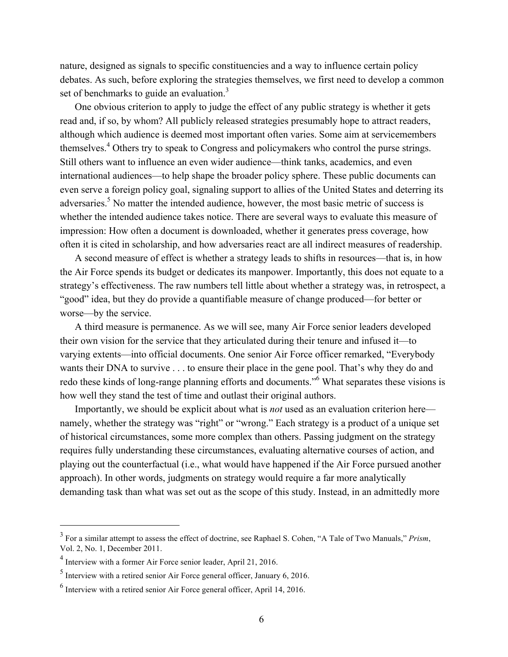nature, designed as signals to specific constituencies and a way to influence certain policy debates. As such, before exploring the strategies themselves, we first need to develop a common set of benchmarks to guide an evaluation.<sup>3</sup>

One obvious criterion to apply to judge the effect of any public strategy is whether it gets read and, if so, by whom? All publicly released strategies presumably hope to attract readers, although which audience is deemed most important often varies. Some aim at servicemembers themselves.<sup>4</sup> Others try to speak to Congress and policymakers who control the purse strings. Still others want to influence an even wider audience—think tanks, academics, and even international audiences—to help shape the broader policy sphere. These public documents can even serve a foreign policy goal, signaling support to allies of the United States and deterring its adversaries.<sup>5</sup> No matter the intended audience, however, the most basic metric of success is whether the intended audience takes notice. There are several ways to evaluate this measure of impression: How often a document is downloaded, whether it generates press coverage, how often it is cited in scholarship, and how adversaries react are all indirect measures of readership.

A second measure of effect is whether a strategy leads to shifts in resources—that is, in how the Air Force spends its budget or dedicates its manpower. Importantly, this does not equate to a strategy's effectiveness. The raw numbers tell little about whether a strategy was, in retrospect, a "good" idea, but they do provide a quantifiable measure of change produced—for better or worse—by the service.

A third measure is permanence. As we will see, many Air Force senior leaders developed their own vision for the service that they articulated during their tenure and infused it—to varying extents—into official documents. One senior Air Force officer remarked, "Everybody wants their DNA to survive . . . to ensure their place in the gene pool. That's why they do and redo these kinds of long-range planning efforts and documents."<sup>6</sup> What separates these visions is how well they stand the test of time and outlast their original authors.

Importantly, we should be explicit about what is *not* used as an evaluation criterion here namely, whether the strategy was "right" or "wrong." Each strategy is a product of a unique set of historical circumstances, some more complex than others. Passing judgment on the strategy requires fully understanding these circumstances, evaluating alternative courses of action, and playing out the counterfactual (i.e., what would have happened if the Air Force pursued another approach). In other words, judgments on strategy would require a far more analytically demanding task than what was set out as the scope of this study. Instead, in an admittedly more

<sup>3</sup> For a similar attempt to assess the effect of doctrine, see Raphael S. Cohen, "A Tale of Two Manuals," *Prism*, Vol. 2, No. 1, December 2011.

<sup>4</sup> Interview with a former Air Force senior leader, April 21, 2016.

 $<sup>5</sup>$  Interview with a retired senior Air Force general officer, January 6, 2016.</sup>

 $<sup>6</sup>$  Interview with a retired senior Air Force general officer, April 14, 2016.</sup>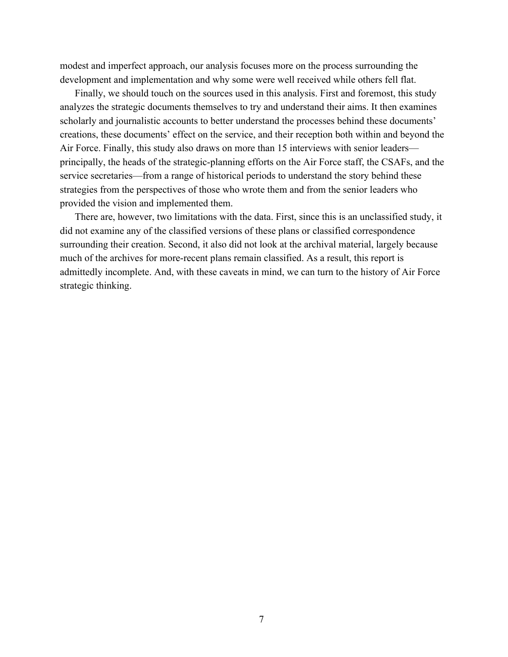modest and imperfect approach, our analysis focuses more on the process surrounding the development and implementation and why some were well received while others fell flat.

Finally, we should touch on the sources used in this analysis. First and foremost, this study analyzes the strategic documents themselves to try and understand their aims. It then examines scholarly and journalistic accounts to better understand the processes behind these documents' creations, these documents' effect on the service, and their reception both within and beyond the Air Force. Finally, this study also draws on more than 15 interviews with senior leaders principally, the heads of the strategic-planning efforts on the Air Force staff, the CSAFs, and the service secretaries—from a range of historical periods to understand the story behind these strategies from the perspectives of those who wrote them and from the senior leaders who provided the vision and implemented them.

There are, however, two limitations with the data. First, since this is an unclassified study, it did not examine any of the classified versions of these plans or classified correspondence surrounding their creation. Second, it also did not look at the archival material, largely because much of the archives for more-recent plans remain classified. As a result, this report is admittedly incomplete. And, with these caveats in mind, we can turn to the history of Air Force strategic thinking.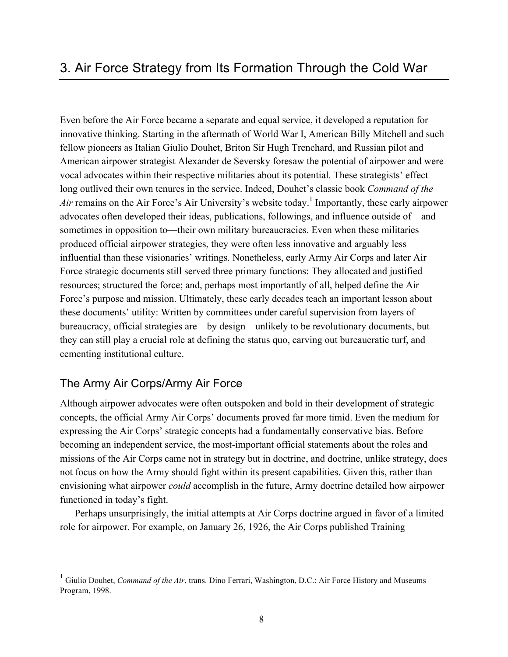Even before the Air Force became a separate and equal service, it developed a reputation for innovative thinking. Starting in the aftermath of World War I, American Billy Mitchell and such fellow pioneers as Italian Giulio Douhet, Briton Sir Hugh Trenchard, and Russian pilot and American airpower strategist Alexander de Seversky foresaw the potential of airpower and were vocal advocates within their respective militaries about its potential. These strategists' effect long outlived their own tenures in the service. Indeed, Douhet's classic book *Command of the*   $Air$  remains on the Air Force's Air University's website today.<sup>1</sup> Importantly, these early airpower advocates often developed their ideas, publications, followings, and influence outside of—and sometimes in opposition to—their own military bureaucracies. Even when these militaries produced official airpower strategies, they were often less innovative and arguably less influential than these visionaries' writings. Nonetheless, early Army Air Corps and later Air Force strategic documents still served three primary functions: They allocated and justified resources; structured the force; and, perhaps most importantly of all, helped define the Air Force's purpose and mission. Ultimately, these early decades teach an important lesson about these documents' utility: Written by committees under careful supervision from layers of bureaucracy, official strategies are—by design—unlikely to be revolutionary documents, but they can still play a crucial role at defining the status quo, carving out bureaucratic turf, and cementing institutional culture.

#### The Army Air Corps/Army Air Force

 $\overline{a}$ 

Although airpower advocates were often outspoken and bold in their development of strategic concepts, the official Army Air Corps' documents proved far more timid. Even the medium for expressing the Air Corps' strategic concepts had a fundamentally conservative bias. Before becoming an independent service, the most-important official statements about the roles and missions of the Air Corps came not in strategy but in doctrine, and doctrine, unlike strategy, does not focus on how the Army should fight within its present capabilities. Given this, rather than envisioning what airpower *could* accomplish in the future, Army doctrine detailed how airpower functioned in today's fight.

Perhaps unsurprisingly, the initial attempts at Air Corps doctrine argued in favor of a limited role for airpower. For example, on January 26, 1926, the Air Corps published Training

<sup>&</sup>lt;sup>1</sup> Giulio Douhet, *Command of the Air*, trans. Dino Ferrari, Washington, D.C.: Air Force History and Museums Program, 1998.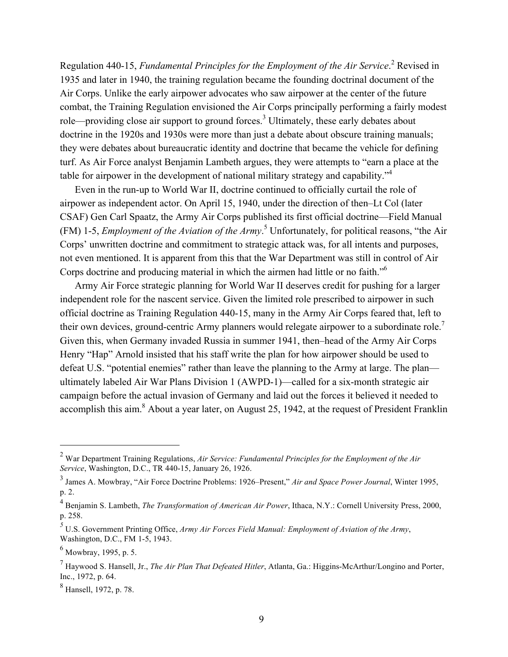Regulation 440-15, *Fundamental Principles for the Employment of the Air Service*. <sup>2</sup> Revised in 1935 and later in 1940, the training regulation became the founding doctrinal document of the Air Corps. Unlike the early airpower advocates who saw airpower at the center of the future combat, the Training Regulation envisioned the Air Corps principally performing a fairly modest role—providing close air support to ground forces.<sup>3</sup> Ultimately, these early debates about doctrine in the 1920s and 1930s were more than just a debate about obscure training manuals; they were debates about bureaucratic identity and doctrine that became the vehicle for defining turf. As Air Force analyst Benjamin Lambeth argues, they were attempts to "earn a place at the table for airpower in the development of national military strategy and capability."4

Even in the run-up to World War II, doctrine continued to officially curtail the role of airpower as independent actor. On April 15, 1940, under the direction of then–Lt Col (later CSAF) Gen Carl Spaatz, the Army Air Corps published its first official doctrine—Field Manual (FM) 1-5, *Employment of the Aviation of the Army*. 5 Unfortunately, for political reasons, "the Air Corps' unwritten doctrine and commitment to strategic attack was, for all intents and purposes, not even mentioned. It is apparent from this that the War Department was still in control of Air Corps doctrine and producing material in which the airmen had little or no faith."6

Army Air Force strategic planning for World War II deserves credit for pushing for a larger independent role for the nascent service. Given the limited role prescribed to airpower in such official doctrine as Training Regulation 440-15, many in the Army Air Corps feared that, left to their own devices, ground-centric Army planners would relegate airpower to a subordinate role.<sup>7</sup> Given this, when Germany invaded Russia in summer 1941, then–head of the Army Air Corps Henry "Hap" Arnold insisted that his staff write the plan for how airpower should be used to defeat U.S. "potential enemies" rather than leave the planning to the Army at large. The plan ultimately labeled Air War Plans Division 1 (AWPD-1)—called for a six-month strategic air campaign before the actual invasion of Germany and laid out the forces it believed it needed to accomplish this aim.<sup>8</sup> About a year later, on August 25, 1942, at the request of President Franklin

<sup>2</sup> War Department Training Regulations, *Air Service: Fundamental Principles for the Employment of the Air Service*, Washington, D.C., TR 440-15, January 26, 1926.

<sup>3</sup> James A. Mowbray, "Air Force Doctrine Problems: 1926–Present," *Air and Space Power Journal*, Winter 1995, p. 2.

<sup>4</sup> Benjamin S. Lambeth, *The Transformation of American Air Power*, Ithaca, N.Y.: Cornell University Press, 2000, p. 258.

*<sup>5</sup>* U.S. Government Printing Office, *Army Air Forces Field Manual: Employment of Aviation of the Army*, Washington, D.C., FM 1-5, 1943.

 $<sup>6</sup>$  Mowbray, 1995, p. 5.</sup>

<sup>7</sup> Haywood S. Hansell, Jr., *The Air Plan That Defeated Hitler*, Atlanta, Ga.: Higgins-McArthur/Longino and Porter, Inc., 1972, p. 64.

<sup>8</sup> Hansell, 1972, p. 78.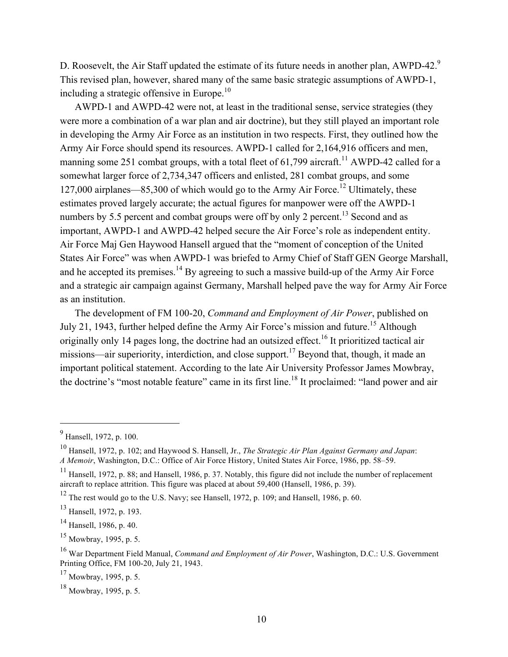D. Roosevelt, the Air Staff updated the estimate of its future needs in another plan, AWPD-42.<sup>9</sup> This revised plan, however, shared many of the same basic strategic assumptions of AWPD-1, including a strategic offensive in Europe.<sup>10</sup>

AWPD-1 and AWPD-42 were not, at least in the traditional sense, service strategies (they were more a combination of a war plan and air doctrine), but they still played an important role in developing the Army Air Force as an institution in two respects. First, they outlined how the Army Air Force should spend its resources. AWPD-1 called for 2,164,916 officers and men, manning some 251 combat groups, with a total fleet of  $61,799$  aircraft.<sup>11</sup> AWPD-42 called for a somewhat larger force of 2,734,347 officers and enlisted, 281 combat groups, and some 127,000 airplanes—85,300 of which would go to the Army Air Force.<sup>12</sup> Ultimately, these estimates proved largely accurate; the actual figures for manpower were off the AWPD-1 numbers by 5.5 percent and combat groups were off by only 2 percent.<sup>13</sup> Second and as important, AWPD-1 and AWPD-42 helped secure the Air Force's role as independent entity. Air Force Maj Gen Haywood Hansell argued that the "moment of conception of the United States Air Force" was when AWPD-1 was briefed to Army Chief of Staff GEN George Marshall, and he accepted its premises.<sup>14</sup> By agreeing to such a massive build-up of the Army Air Force and a strategic air campaign against Germany, Marshall helped pave the way for Army Air Force as an institution.

The development of FM 100-20, *Command and Employment of Air Power*, published on July 21, 1943, further helped define the Army Air Force's mission and future.<sup>15</sup> Although originally only 14 pages long, the doctrine had an outsized effect.<sup>16</sup> It prioritized tactical air missions—air superiority, interdiction, and close support.<sup>17</sup> Beyond that, though, it made an important political statement. According to the late Air University Professor James Mowbray, the doctrine's "most notable feature" came in its first line.<sup>18</sup> It proclaimed: "land power and air

<sup>9</sup> Hansell, 1972, p. 100.

<sup>10</sup> Hansell, 1972, p. 102; and Haywood S. Hansell, Jr., *The Strategic Air Plan Against Germany and Japan*: *A Memoir*, Washington, D.C.: Office of Air Force History, United States Air Force, 1986, pp. 58–59.

<sup>&</sup>lt;sup>11</sup> Hansell, 1972, p. 88; and Hansell, 1986, p. 37. Notably, this figure did not include the number of replacement aircraft to replace attrition. This figure was placed at about 59,400 (Hansell, 1986, p. 39).

 $12$  The rest would go to the U.S. Navy; see Hansell, 1972, p. 109; and Hansell, 1986, p. 60.

<sup>&</sup>lt;sup>13</sup> Hansell, 1972, p. 193.

<sup>14</sup> Hansell, 1986, p. 40.

 $^{15}$  Mowbray, 1995, p. 5.

<sup>16</sup> War Department Field Manual, *Command and Employment of Air Power*, Washington, D.C.: U.S. Government Printing Office, FM 100-20, July 21, 1943.

 $17$  Mowbray, 1995, p. 5.

 $18$  Mowbray, 1995, p. 5.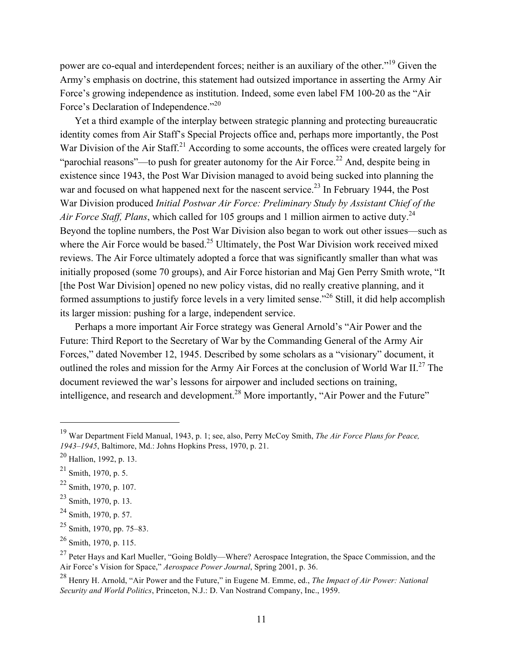power are co-equal and interdependent forces; neither is an auxiliary of the other."19 Given the Army's emphasis on doctrine, this statement had outsized importance in asserting the Army Air Force's growing independence as institution. Indeed, some even label FM 100-20 as the "Air Force's Declaration of Independence."<sup>20</sup>

Yet a third example of the interplay between strategic planning and protecting bureaucratic identity comes from Air Staff's Special Projects office and, perhaps more importantly, the Post War Division of the Air Staff.<sup>21</sup> According to some accounts, the offices were created largely for "parochial reasons"—to push for greater autonomy for the Air Force.<sup>22</sup> And, despite being in existence since 1943, the Post War Division managed to avoid being sucked into planning the war and focused on what happened next for the nascent service.<sup>23</sup> In February 1944, the Post War Division produced *Initial Postwar Air Force: Preliminary Study by Assistant Chief of the Air Force Staff, Plans, which called for 105 groups and 1 million airmen to active duty.*<sup>24</sup> Beyond the topline numbers, the Post War Division also began to work out other issues—such as where the Air Force would be based.<sup>25</sup> Ultimately, the Post War Division work received mixed reviews. The Air Force ultimately adopted a force that was significantly smaller than what was initially proposed (some 70 groups), and Air Force historian and Maj Gen Perry Smith wrote, "It [the Post War Division] opened no new policy vistas, did no really creative planning, and it formed assumptions to justify force levels in a very limited sense."26 Still, it did help accomplish its larger mission: pushing for a large, independent service.

Perhaps a more important Air Force strategy was General Arnold's "Air Power and the Future: Third Report to the Secretary of War by the Commanding General of the Army Air Forces," dated November 12, 1945. Described by some scholars as a "visionary" document, it outlined the roles and mission for the Army Air Forces at the conclusion of World War II.<sup>27</sup> The document reviewed the war's lessons for airpower and included sections on training, intelligence, and research and development.<sup>28</sup> More importantly, "Air Power and the Future"

<sup>19</sup> War Department Field Manual, 1943, p. 1; see, also, Perry McCoy Smith, *The Air Force Plans for Peace, 1943–1945*, Baltimore, Md.: Johns Hopkins Press, 1970, p. 21.

<sup>20</sup> Hallion, 1992, p. 13.

 $21$  Smith, 1970, p. 5.

 $22$  Smith, 1970, p. 107.

<sup>23</sup> Smith, 1970, p. 13.

 $^{24}$  Smith, 1970, p. 57.

 $25$  Smith, 1970, pp. 75–83.

 $26$  Smith, 1970, p. 115.

<sup>&</sup>lt;sup>27</sup> Peter Hays and Karl Mueller, "Going Boldly—Where? Aerospace Integration, the Space Commission, and the Air Force's Vision for Space," *Aerospace Power Journal*, Spring 2001, p. 36.

<sup>28</sup> Henry H. Arnold, "Air Power and the Future," in Eugene M. Emme, ed., *The Impact of Air Power: National Security and World Politics*, Princeton, N.J.: D. Van Nostrand Company, Inc., 1959.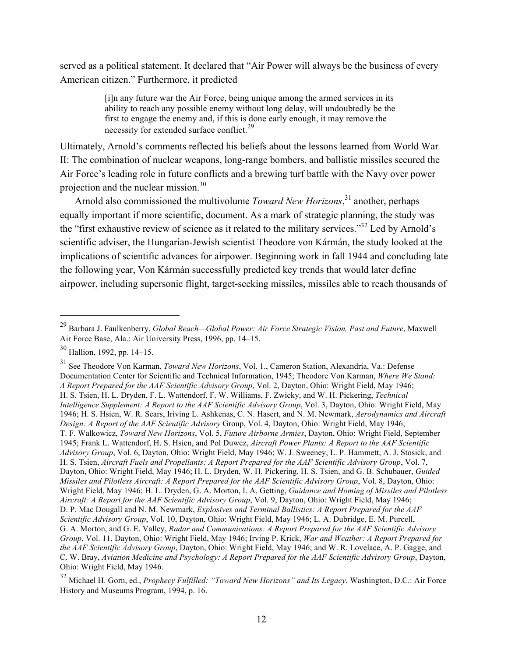served as a political statement. It declared that "Air Power will always be the business of every American citizen." Furthermore, it predicted

> [i]n any future war the Air Force, being unique among the armed services in its ability to reach any possible enemy without long delay, will undoubtedly be the first to engage the enemy and, if this is done early enough, it may remove the necessity for extended surface conflict.<sup>29</sup>

Ultimately, Arnold's comments reflected his beliefs about the lessons learned from World War II: The combination of nuclear weapons, long-range bombers, and ballistic missiles secured the Air Force's leading role in future conflicts and a brewing turf battle with the Navy over power projection and the nuclear mission.30

Arnold also commissioned the multivolume *Toward New Horizons*, 31 another, perhaps equally important if more scientific, document. As a mark of strategic planning, the study was the "first exhaustive review of science as it related to the military services."32 Led by Arnold's scientific adviser, the Hungarian-Jewish scientist Theodore von Kármán, the study looked at the implications of scientific advances for airpower. Beginning work in fall 1944 and concluding late the following year, Von Kármán successfully predicted key trends that would later define airpower, including supersonic flight, target-seeking missiles, missiles able to reach thousands of

 $\overline{a}$ 

<sup>31</sup> See Theodore Von Karman, *Toward New Horizons*, Vol. 1., Cameron Station, Alexandria, Va.: Defense Documentation Center for Scientific and Technical Information, 1945; Theodore Von Karman, *Where We Stand: A Report Prepared for the AAF Scientific Advisory Group*, Vol. 2, Dayton, Ohio: Wright Field, May 1946; H. S. Tsien, H. L. Dryden, F. L. Wattendorf, F. W. Williams, F. Zwicky, and W. H. Pickering, *Technical Intelligence Supplement: A Report to the AAF Scientific Advisory Group*, Vol. 3, Dayton, Ohio: Wright Field, May 1946; H. S. Hsien, W. R. Sears, Iriving L. Ashkenas, C. N. Hasert, and N. M. Newmark, *Aerodynamics and Aircraft Design: A Report of the AAF Scientific Advisory* Group, Vol. 4, Dayton, Ohio: Wright Field, May 1946; T. F. Walkowicz, *Toward New Horizons*, Vol. 5, *Future Airborne Armies*, Dayton, Ohio: Wright Field, September 1945; Frank L. Wattendorf, H. S. Hsien, and Pol Duwez, *Aircraft Power Plants: A Report to the AAF Scientific Advisory Group*, Vol. 6, Dayton, Ohio: Wright Field, May 1946; W. J. Sweeney, L. P. Hammett, A. J. Stosick, and H. S. Tsien, *Aircraft Fuels and Propellants: A Report Prepared for the AAF Scientific Advisory Group*, Vol. 7, Dayton, Ohio: Wright Field, May 1946; H. L. Dryden, W. H. Pickering, H. S. Tsien, and G. B. Schubauer, *Guided Missiles and Pilotless Aircraft: A Report Prepared for the AAF Scientific Advisory Group*, Vol. 8, Dayton, Ohio: Wright Field, May 1946; H. L. Dryden, G. A. Morton, I. A. Getting, *Guidance and Homing of Missiles and Pilotless Aircraft: A Report for the AAF Scientific Advisory Group*, Vol. 9, Dayton, Ohio: Wright Field, May 1946; D. P. Mac Dougall and N. M. Newmark, *Explosives and Terminal Ballistics: A Report Prepared for the AAF Scientific Advisory Group*, Vol. 10, Dayton, Ohio: Wright Field, May 1946; L. A. Dubridge, E. M. Purcell, G. A. Morton, and G. E. Valley, *Radar and Communications: A Report Prepared for the AAF Scientific Advisory Group*, Vol. 11, Dayton, Ohio: Wright Field, May 1946; Irving P. Krick, *War and Weather: A Report Prepared for the AAF Scientific Advisory Group*, Dayton, Ohio: Wright Field, May 1946; and W. R. Lovelace, A. P. Gagge, and C. W. Bray, *Aviation Medicine and Psychology: A Report Prepared for the AAF Scientific Advisory Group*, Dayton, Ohio: Wright Field, May 1946.

<sup>29</sup> Barbara J. Faulkenberry, *Global Reach—Global Power: Air Force Strategic Vision, Past and Future*, Maxwell Air Force Base, Ala.: Air University Press, 1996, pp. 14–15.

<sup>30</sup> Hallion, 1992, pp. 14–15.

<sup>32</sup> Michael H. Gorn, ed., *Prophecy Fulfilled: "Toward New Horizons" and Its Legacy*, Washington, D.C.: Air Force History and Museums Program, 1994, p. 16.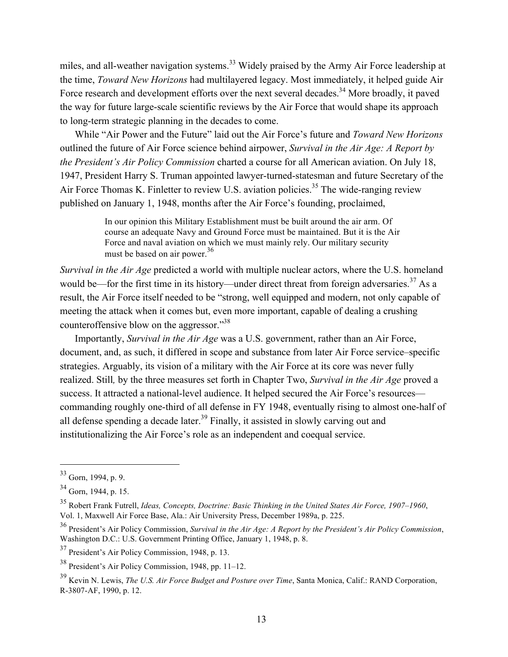miles, and all-weather navigation systems.<sup>33</sup> Widely praised by the Army Air Force leadership at the time, *Toward New Horizons* had multilayered legacy. Most immediately, it helped guide Air Force research and development efforts over the next several decades.<sup>34</sup> More broadly, it paved the way for future large-scale scientific reviews by the Air Force that would shape its approach to long-term strategic planning in the decades to come.

While "Air Power and the Future" laid out the Air Force's future and *Toward New Horizons* outlined the future of Air Force science behind airpower, *Survival in the Air Age: A Report by the President's Air Policy Commission* charted a course for all American aviation. On July 18, 1947, President Harry S. Truman appointed lawyer-turned-statesman and future Secretary of the Air Force Thomas K. Finletter to review U.S. aviation policies.<sup>35</sup> The wide-ranging review published on January 1, 1948, months after the Air Force's founding, proclaimed,

> In our opinion this Military Establishment must be built around the air arm. Of course an adequate Navy and Ground Force must be maintained. But it is the Air Force and naval aviation on which we must mainly rely. Our military security must be based on air power.<sup>36</sup>

*Survival in the Air Age* predicted a world with multiple nuclear actors, where the U.S. homeland would be—for the first time in its history—under direct threat from foreign adversaries.<sup>37</sup> As a result, the Air Force itself needed to be "strong, well equipped and modern, not only capable of meeting the attack when it comes but, even more important, capable of dealing a crushing counteroffensive blow on the aggressor."38

Importantly, *Survival in the Air Age* was a U.S. government, rather than an Air Force, document, and, as such, it differed in scope and substance from later Air Force service–specific strategies. Arguably, its vision of a military with the Air Force at its core was never fully realized. Still*,* by the three measures set forth in Chapter Two, *Survival in the Air Age* proved a success. It attracted a national-level audience. It helped secured the Air Force's resources commanding roughly one-third of all defense in FY 1948, eventually rising to almost one-half of all defense spending a decade later.<sup>39</sup> Finally, it assisted in slowly carving out and institutionalizing the Air Force's role as an independent and coequal service.

<sup>33</sup> Gorn, 1994, p. 9.

 $34$  Gorn, 1944, p. 15.

<sup>35</sup> Robert Frank Futrell, *Ideas, Concepts, Doctrine: Basic Thinking in the United States Air Force, 1907–1960*, Vol. 1, Maxwell Air Force Base, Ala.: Air University Press, December 1989a, p. 225.

<sup>36</sup> President's Air Policy Commission, *Survival in the Air Age: A Report by the President's Air Policy Commission*, Washington D.C.: U.S. Government Printing Office, January 1, 1948, p. 8.

<sup>37</sup> President's Air Policy Commission, 1948, p. 13.

<sup>38</sup> President's Air Policy Commission, 1948, pp. 11–12.

<sup>39</sup> Kevin N. Lewis, *The U.S. Air Force Budget and Posture over Time*, Santa Monica, Calif.: RAND Corporation, R-3807-AF, 1990, p. 12.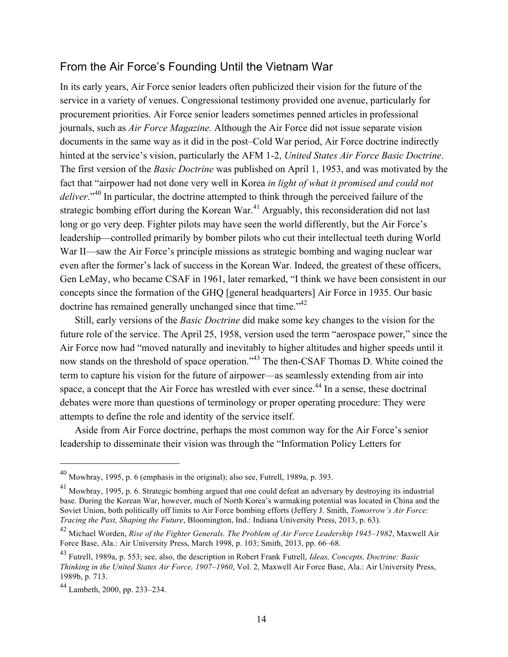#### From the Air Force's Founding Until the Vietnam War

In its early years, Air Force senior leaders often publicized their vision for the future of the service in a variety of venues. Congressional testimony provided one avenue, particularly for procurement priorities. Air Force senior leaders sometimes penned articles in professional journals, such as *Air Force Magazine.* Although the Air Force did not issue separate vision documents in the same way as it did in the post–Cold War period, Air Force doctrine indirectly hinted at the service's vision, particularly the AFM 1-2, *United States Air Force Basic Doctrine*. The first version of the *Basic Doctrine* was published on April 1, 1953, and was motivated by the fact that "airpower had not done very well in Korea *in light of what it promised and could not deliver*."40 In particular, the doctrine attempted to think through the perceived failure of the strategic bombing effort during the Korean War.<sup>41</sup> Arguably, this reconsideration did not last long or go very deep. Fighter pilots may have seen the world differently, but the Air Force's leadership—controlled primarily by bomber pilots who cut their intellectual teeth during World War II—saw the Air Force's principle missions as strategic bombing and waging nuclear war even after the former's lack of success in the Korean War. Indeed, the greatest of these officers, Gen LeMay, who became CSAF in 1961, later remarked, "I think we have been consistent in our concepts since the formation of the GHQ [general headquarters] Air Force in 1935. Our basic doctrine has remained generally unchanged since that time."<sup>42</sup>

Still, early versions of the *Basic Doctrine* did make some key changes to the vision for the future role of the service. The April 25, 1958, version used the term "aerospace power," since the Air Force now had "moved naturally and inevitably to higher altitudes and higher speeds until it now stands on the threshold of space operation."<sup>43</sup> The then-CSAF Thomas D. White coined the term to capture his vision for the future of airpower—as seamlessly extending from air into space, a concept that the Air Force has wrestled with ever since.<sup>44</sup> In a sense, these doctrinal debates were more than questions of terminology or proper operating procedure: They were attempts to define the role and identity of the service itself.

Aside from Air Force doctrine, perhaps the most common way for the Air Force's senior leadership to disseminate their vision was through the "Information Policy Letters for

<sup>40</sup> Mowbray, 1995, p. 6 (emphasis in the original); also see, Futrell, 1989a, p. 393.

<sup>41</sup> Mowbray, 1995, p. 6. Strategic bombing argued that one could defeat an adversary by destroying its industrial base. During the Korean War, however, much of North Korea's warmaking potential was located in China and the Soviet Union, both politically off limits to Air Force bombing efforts (Jeffery J. Smith, *Tomorrow's Air Force: Tracing the Past, Shaping the Future*, Bloomington, Ind.: Indiana University Press, 2013, p. 63).

<sup>42</sup> Michael Worden, *Rise of the Fighter Generals. The Problem of Air Force Leadership 1945–1982*, Maxwell Air Force Base, Ala.: Air University Press, March 1998, p. 103; Smith, 2013, pp. 66–68.

<sup>43</sup> Futrell, 1989a, p. 553; see, also, the description in Robert Frank Futrell, *Ideas, Concepts, Doctrine: Basic Thinking in the United States Air Force, 1907–1960*, Vol. 2, Maxwell Air Force Base, Ala.: Air University Press, 1989b, p. 713.

<sup>44</sup> Lambeth, 2000, pp. 233–234.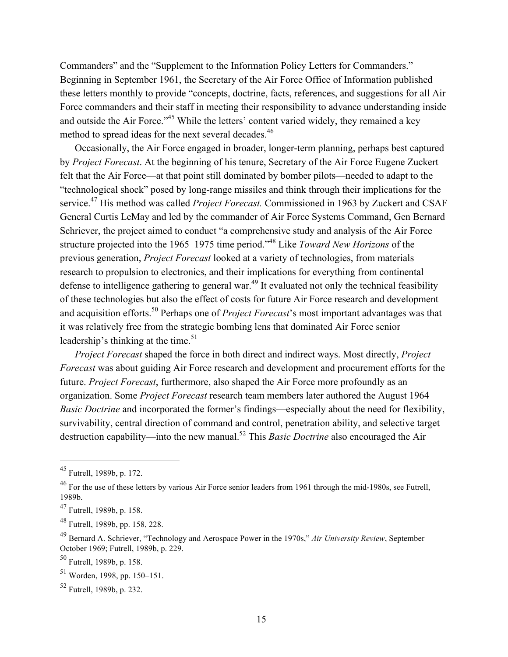Commanders" and the "Supplement to the Information Policy Letters for Commanders." Beginning in September 1961, the Secretary of the Air Force Office of Information published these letters monthly to provide "concepts, doctrine, facts, references, and suggestions for all Air Force commanders and their staff in meeting their responsibility to advance understanding inside and outside the Air Force."<sup>45</sup> While the letters' content varied widely, they remained a key method to spread ideas for the next several decades.<sup>46</sup>

Occasionally, the Air Force engaged in broader, longer-term planning, perhaps best captured by *Project Forecast*. At the beginning of his tenure, Secretary of the Air Force Eugene Zuckert felt that the Air Force—at that point still dominated by bomber pilots—needed to adapt to the "technological shock" posed by long-range missiles and think through their implications for the service.<sup>47</sup> His method was called *Project Forecast*. Commissioned in 1963 by Zuckert and CSAF General Curtis LeMay and led by the commander of Air Force Systems Command, Gen Bernard Schriever, the project aimed to conduct "a comprehensive study and analysis of the Air Force structure projected into the 1965–1975 time period."48 Like *Toward New Horizons* of the previous generation, *Project Forecast* looked at a variety of technologies, from materials research to propulsion to electronics, and their implications for everything from continental defense to intelligence gathering to general war.<sup>49</sup> It evaluated not only the technical feasibility of these technologies but also the effect of costs for future Air Force research and development and acquisition efforts.<sup>50</sup> Perhaps one of *Project Forecast*'s most important advantages was that it was relatively free from the strategic bombing lens that dominated Air Force senior leadership's thinking at the time.<sup>51</sup>

*Project Forecast* shaped the force in both direct and indirect ways. Most directly, *Project Forecast* was about guiding Air Force research and development and procurement efforts for the future. *Project Forecast*, furthermore, also shaped the Air Force more profoundly as an organization. Some *Project Forecast* research team members later authored the August 1964 *Basic Doctrine* and incorporated the former's findings—especially about the need for flexibility, survivability, central direction of command and control, penetration ability, and selective target destruction capability—into the new manual.52 This *Basic Doctrine* also encouraged the Air

<sup>45</sup> Futrell, 1989b, p. 172.

<sup>&</sup>lt;sup>46</sup> For the use of these letters by various Air Force senior leaders from 1961 through the mid-1980s, see Futrell, 1989b.

 $47$  Futrell, 1989b, p. 158.

<sup>48</sup> Futrell, 1989b, pp. 158, 228.

<sup>49</sup> Bernard A. Schriever, "Technology and Aerospace Power in the 1970s," *Air University Review*, September– October 1969; Futrell, 1989b, p. 229.

<sup>50</sup> Futrell, 1989b, p. 158.

<sup>51</sup> Worden, 1998, pp. 150–151.

 $52$  Futrell, 1989b, p. 232.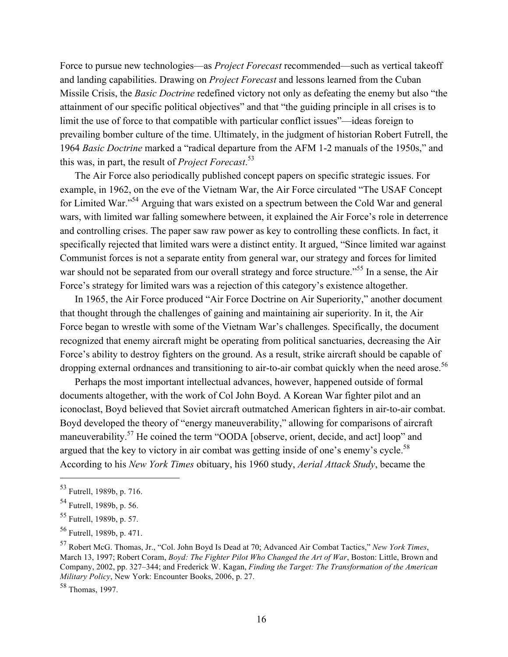Force to pursue new technologies—as *Project Forecast* recommended—such as vertical takeoff and landing capabilities. Drawing on *Project Forecast* and lessons learned from the Cuban Missile Crisis, the *Basic Doctrine* redefined victory not only as defeating the enemy but also "the attainment of our specific political objectives" and that "the guiding principle in all crises is to limit the use of force to that compatible with particular conflict issues"—ideas foreign to prevailing bomber culture of the time. Ultimately, in the judgment of historian Robert Futrell, the 1964 *Basic Doctrine* marked a "radical departure from the AFM 1-2 manuals of the 1950s," and this was, in part, the result of *Project Forecast*. 53

The Air Force also periodically published concept papers on specific strategic issues. For example, in 1962, on the eve of the Vietnam War, the Air Force circulated "The USAF Concept for Limited War."54 Arguing that wars existed on a spectrum between the Cold War and general wars, with limited war falling somewhere between, it explained the Air Force's role in deterrence and controlling crises. The paper saw raw power as key to controlling these conflicts. In fact, it specifically rejected that limited wars were a distinct entity. It argued, "Since limited war against Communist forces is not a separate entity from general war, our strategy and forces for limited war should not be separated from our overall strategy and force structure."<sup>55</sup> In a sense, the Air Force's strategy for limited wars was a rejection of this category's existence altogether.

In 1965, the Air Force produced "Air Force Doctrine on Air Superiority," another document that thought through the challenges of gaining and maintaining air superiority. In it, the Air Force began to wrestle with some of the Vietnam War's challenges. Specifically, the document recognized that enemy aircraft might be operating from political sanctuaries, decreasing the Air Force's ability to destroy fighters on the ground. As a result, strike aircraft should be capable of dropping external ordnances and transitioning to air-to-air combat quickly when the need arose.<sup>56</sup>

Perhaps the most important intellectual advances, however, happened outside of formal documents altogether, with the work of Col John Boyd. A Korean War fighter pilot and an iconoclast, Boyd believed that Soviet aircraft outmatched American fighters in air-to-air combat. Boyd developed the theory of "energy maneuverability," allowing for comparisons of aircraft maneuverability.<sup>57</sup> He coined the term "OODA [observe, orient, decide, and act] loop" and argued that the key to victory in air combat was getting inside of one's enemy's cycle.<sup>58</sup> According to his *New York Times* obituary, his 1960 study, *Aerial Attack Study*, became the

<sup>53</sup> Futrell, 1989b, p. 716.

<sup>54</sup> Futrell, 1989b, p. 56.

<sup>55</sup> Futrell, 1989b, p. 57.

<sup>56</sup> Futrell, 1989b, p. 471.

<sup>57</sup> Robert McG. Thomas, Jr., "Col. John Boyd Is Dead at 70; Advanced Air Combat Tactics," *New York Times*, March 13, 1997; Robert Coram, *Boyd: The Fighter Pilot Who Changed the Art of War*, Boston: Little, Brown and Company, 2002, pp. 327–344; and Frederick W. Kagan, *Finding the Target: The Transformation of the American Military Policy*, New York: Encounter Books, 2006, p. 27.

<sup>58</sup> Thomas, 1997.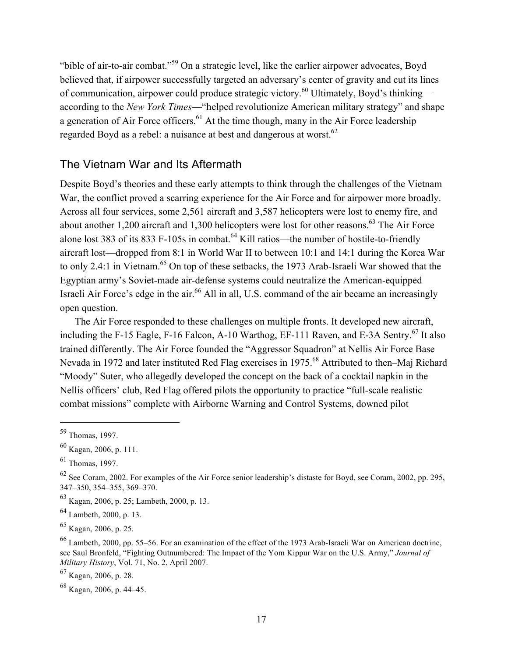"bible of air-to-air combat."59 On a strategic level, like the earlier airpower advocates, Boyd believed that, if airpower successfully targeted an adversary's center of gravity and cut its lines of communication, airpower could produce strategic victory.60 Ultimately, Boyd's thinking according to the *New York Times*—"helped revolutionize American military strategy" and shape a generation of Air Force officers.<sup>61</sup> At the time though, many in the Air Force leadership regarded Boyd as a rebel: a nuisance at best and dangerous at worst.<sup>62</sup>

#### The Vietnam War and Its Aftermath

Despite Boyd's theories and these early attempts to think through the challenges of the Vietnam War, the conflict proved a scarring experience for the Air Force and for airpower more broadly. Across all four services, some 2,561 aircraft and 3,587 helicopters were lost to enemy fire, and about another 1,200 aircraft and 1,300 helicopters were lost for other reasons.<sup>63</sup> The Air Force alone lost 383 of its 833 F-105s in combat.<sup>64</sup> Kill ratios—the number of hostile-to-friendly aircraft lost—dropped from 8:1 in World War II to between 10:1 and 14:1 during the Korea War to only 2.4:1 in Vietnam.<sup>65</sup> On top of these setbacks, the 1973 Arab-Israeli War showed that the Egyptian army's Soviet-made air-defense systems could neutralize the American-equipped Israeli Air Force's edge in the air.<sup>66</sup> All in all, U.S. command of the air became an increasingly open question.

The Air Force responded to these challenges on multiple fronts. It developed new aircraft, including the F-15 Eagle, F-16 Falcon, A-10 Warthog, EF-111 Raven, and E-3A Sentry.<sup>67</sup> It also trained differently. The Air Force founded the "Aggressor Squadron" at Nellis Air Force Base Nevada in 1972 and later instituted Red Flag exercises in 1975.68 Attributed to then–Maj Richard "Moody" Suter, who allegedly developed the concept on the back of a cocktail napkin in the Nellis officers' club, Red Flag offered pilots the opportunity to practice "full-scale realistic combat missions" complete with Airborne Warning and Control Systems, downed pilot

<sup>59</sup> Thomas, 1997.

 $^{60}$  Kagan, 2006, p. 111.

 $61$  Thomas, 1997.

 $62$  See Coram, 2002. For examples of the Air Force senior leadership's distaste for Boyd, see Coram, 2002, pp. 295, 347–350, 354–355, 369–370.

<sup>63</sup> Kagan, 2006, p. 25; Lambeth, 2000, p. 13.

 $^{64}$  Lambeth, 2000, p. 13.

 $^{65}$  Kagan, 2006, p. 25.

<sup>66</sup> Lambeth, 2000, pp. 55–56. For an examination of the effect of the 1973 Arab-Israeli War on American doctrine, see Saul Bronfeld, "Fighting Outnumbered: The Impact of the Yom Kippur War on the U.S. Army," *Journal of Military History*, Vol. 71, No. 2, April 2007.

 $^{67}$  Kagan, 2006, p. 28.

 $68$  Kagan, 2006, p. 44–45.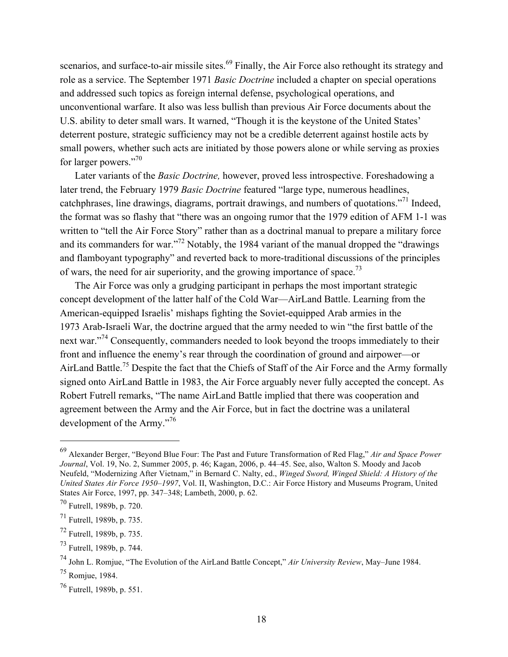scenarios, and surface-to-air missile sites.<sup>69</sup> Finally, the Air Force also rethought its strategy and role as a service. The September 1971 *Basic Doctrine* included a chapter on special operations and addressed such topics as foreign internal defense, psychological operations, and unconventional warfare. It also was less bullish than previous Air Force documents about the U.S. ability to deter small wars. It warned, "Though it is the keystone of the United States' deterrent posture, strategic sufficiency may not be a credible deterrent against hostile acts by small powers, whether such acts are initiated by those powers alone or while serving as proxies for larger powers."<sup>70</sup>

Later variants of the *Basic Doctrine,* however, proved less introspective. Foreshadowing a later trend, the February 1979 *Basic Doctrine* featured "large type, numerous headlines, catchphrases, line drawings, diagrams, portrait drawings, and numbers of quotations."71 Indeed, the format was so flashy that "there was an ongoing rumor that the 1979 edition of AFM 1-1 was written to "tell the Air Force Story" rather than as a doctrinal manual to prepare a military force and its commanders for war."<sup>72</sup> Notably, the 1984 variant of the manual dropped the "drawings" and flamboyant typography" and reverted back to more-traditional discussions of the principles of wars, the need for air superiority, and the growing importance of space.<sup>73</sup>

The Air Force was only a grudging participant in perhaps the most important strategic concept development of the latter half of the Cold War—AirLand Battle. Learning from the American-equipped Israelis' mishaps fighting the Soviet-equipped Arab armies in the 1973 Arab-Israeli War, the doctrine argued that the army needed to win "the first battle of the next war."74 Consequently, commanders needed to look beyond the troops immediately to their front and influence the enemy's rear through the coordination of ground and airpower—or AirLand Battle.<sup>75</sup> Despite the fact that the Chiefs of Staff of the Air Force and the Army formally signed onto AirLand Battle in 1983, the Air Force arguably never fully accepted the concept. As Robert Futrell remarks, "The name AirLand Battle implied that there was cooperation and agreement between the Army and the Air Force, but in fact the doctrine was a unilateral development of the Army."<sup>76</sup>

<sup>69</sup> Alexander Berger, "Beyond Blue Four: The Past and Future Transformation of Red Flag," *Air and Space Power Journal*, Vol. 19, No. 2, Summer 2005, p. 46; Kagan, 2006, p. 44–45. See, also, Walton S. Moody and Jacob Neufeld, "Modernizing After Vietnam," in Bernard C. Nalty, ed., *Winged Sword, Winged Shield: A History of the United States Air Force 1950–1997*, Vol. II, Washington, D.C.: Air Force History and Museums Program, United States Air Force, 1997, pp. 347–348; Lambeth, 2000, p. 62.

<sup>70</sup> Futrell, 1989b, p. 720.

 $71$  Futrell, 1989b, p. 735.

 $^{72}$  Futrell, 1989b, p. 735.

<sup>73</sup> Futrell, 1989b, p. 744.

<sup>74</sup> John L. Romjue, "The Evolution of the AirLand Battle Concept," *Air University Review*, May–June 1984.  $^{75}$  Romjue, 1984.

<sup>76</sup> Futrell, 1989b, p. 551.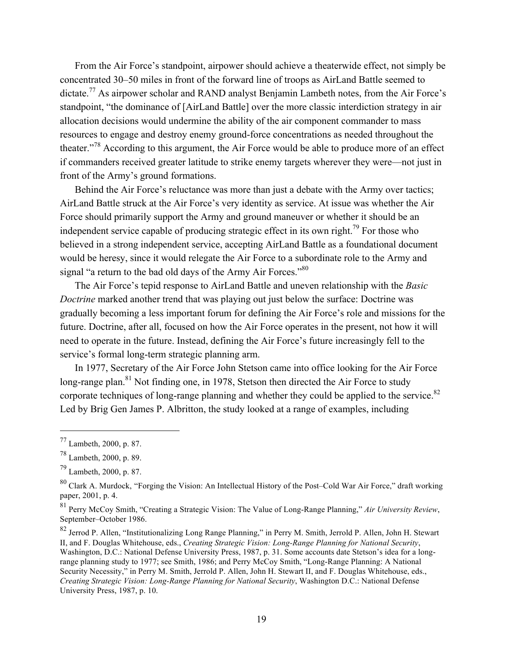From the Air Force's standpoint, airpower should achieve a theaterwide effect, not simply be concentrated 30–50 miles in front of the forward line of troops as AirLand Battle seemed to dictate.<sup>77</sup> As airpower scholar and RAND analyst Benjamin Lambeth notes, from the Air Force's standpoint, "the dominance of [AirLand Battle] over the more classic interdiction strategy in air allocation decisions would undermine the ability of the air component commander to mass resources to engage and destroy enemy ground-force concentrations as needed throughout the theater."78 According to this argument, the Air Force would be able to produce more of an effect if commanders received greater latitude to strike enemy targets wherever they were—not just in front of the Army's ground formations.

Behind the Air Force's reluctance was more than just a debate with the Army over tactics; AirLand Battle struck at the Air Force's very identity as service. At issue was whether the Air Force should primarily support the Army and ground maneuver or whether it should be an independent service capable of producing strategic effect in its own right.<sup>79</sup> For those who believed in a strong independent service, accepting AirLand Battle as a foundational document would be heresy, since it would relegate the Air Force to a subordinate role to the Army and signal "a return to the bad old days of the Army Air Forces."<sup>80</sup>

The Air Force's tepid response to AirLand Battle and uneven relationship with the *Basic Doctrine* marked another trend that was playing out just below the surface: Doctrine was gradually becoming a less important forum for defining the Air Force's role and missions for the future. Doctrine, after all, focused on how the Air Force operates in the present, not how it will need to operate in the future. Instead, defining the Air Force's future increasingly fell to the service's formal long-term strategic planning arm.

In 1977, Secretary of the Air Force John Stetson came into office looking for the Air Force long-range plan.<sup>81</sup> Not finding one, in 1978, Stetson then directed the Air Force to study corporate techniques of long-range planning and whether they could be applied to the service.<sup>82</sup> Led by Brig Gen James P. Albritton, the study looked at a range of examples, including

<sup>77</sup> Lambeth, 2000, p. 87.

<sup>78</sup> Lambeth, 2000, p. 89.

 $^{79}$  Lambeth, 2000, p. 87.

<sup>80</sup> Clark A. Murdock, "Forging the Vision: An Intellectual History of the Post–Cold War Air Force," draft working paper, 2001, p. 4.

<sup>81</sup> Perry McCoy Smith, "Creating a Strategic Vision: The Value of Long-Range Planning," *Air University Review*, September–October 1986.

<sup>82</sup> Jerrod P. Allen, "Institutionalizing Long Range Planning," in Perry M. Smith, Jerrold P. Allen, John H. Stewart II, and F. Douglas Whitehouse, eds., *Creating Strategic Vision: Long-Range Planning for National Security*, Washington, D.C.: National Defense University Press, 1987, p. 31. Some accounts date Stetson's idea for a longrange planning study to 1977; see Smith, 1986; and Perry McCoy Smith, "Long-Range Planning: A National Security Necessity," in Perry M. Smith, Jerrold P. Allen, John H. Stewart II, and F. Douglas Whitehouse, eds., *Creating Strategic Vision: Long-Range Planning for National Security*, Washington D.C.: National Defense University Press, 1987, p. 10.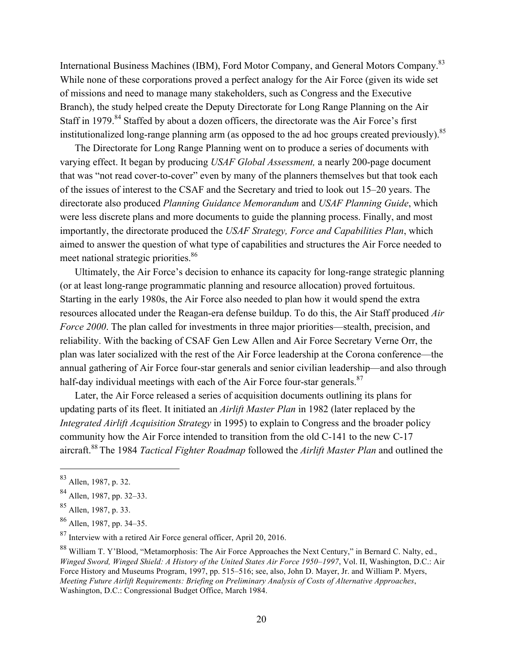International Business Machines (IBM), Ford Motor Company, and General Motors Company.83 While none of these corporations proved a perfect analogy for the Air Force (given its wide set of missions and need to manage many stakeholders, such as Congress and the Executive Branch), the study helped create the Deputy Directorate for Long Range Planning on the Air Staff in 1979.<sup>84</sup> Staffed by about a dozen officers, the directorate was the Air Force's first institutionalized long-range planning arm (as opposed to the ad hoc groups created previously).<sup>85</sup>

The Directorate for Long Range Planning went on to produce a series of documents with varying effect. It began by producing *USAF Global Assessment,* a nearly 200-page document that was "not read cover-to-cover" even by many of the planners themselves but that took each of the issues of interest to the CSAF and the Secretary and tried to look out 15–20 years. The directorate also produced *Planning Guidance Memorandum* and *USAF Planning Guide*, which were less discrete plans and more documents to guide the planning process. Finally, and most importantly, the directorate produced the *USAF Strategy, Force and Capabilities Plan*, which aimed to answer the question of what type of capabilities and structures the Air Force needed to meet national strategic priorities.<sup>86</sup>

Ultimately, the Air Force's decision to enhance its capacity for long-range strategic planning (or at least long-range programmatic planning and resource allocation) proved fortuitous. Starting in the early 1980s, the Air Force also needed to plan how it would spend the extra resources allocated under the Reagan-era defense buildup. To do this, the Air Staff produced *Air Force 2000*. The plan called for investments in three major priorities—stealth, precision, and reliability. With the backing of CSAF Gen Lew Allen and Air Force Secretary Verne Orr, the plan was later socialized with the rest of the Air Force leadership at the Corona conference—the annual gathering of Air Force four-star generals and senior civilian leadership—and also through half-day individual meetings with each of the Air Force four-star generals. $87$ 

Later, the Air Force released a series of acquisition documents outlining its plans for updating parts of its fleet. It initiated an *Airlift Master Plan* in 1982 (later replaced by the *Integrated Airlift Acquisition Strategy* in 1995) to explain to Congress and the broader policy community how the Air Force intended to transition from the old C-141 to the new C-17 aircraft.<sup>88</sup> The 1984 *Tactical Fighter Roadmap* followed the *Airlift Master Plan* and outlined the

<sup>83</sup> Allen, 1987, p. 32.

<sup>84</sup> Allen, 1987, pp. 32–33.

<sup>85</sup> Allen, 1987, p. 33.

<sup>86</sup> Allen, 1987, pp. 34–35.

<sup>87</sup> Interview with a retired Air Force general officer, April 20, 2016.

<sup>88</sup> William T. Y'Blood, "Metamorphosis: The Air Force Approaches the Next Century," in Bernard C. Nalty, ed., *Winged Sword, Winged Shield: A History of the United States Air Force 1950–1997*, Vol. II, Washington, D.C.: Air Force History and Museums Program, 1997, pp. 515–516; see, also, John D. Mayer, Jr. and William P. Myers, *Meeting Future Airlift Requirements: Briefing on Preliminary Analysis of Costs of Alternative Approaches*, Washington, D.C.: Congressional Budget Office, March 1984.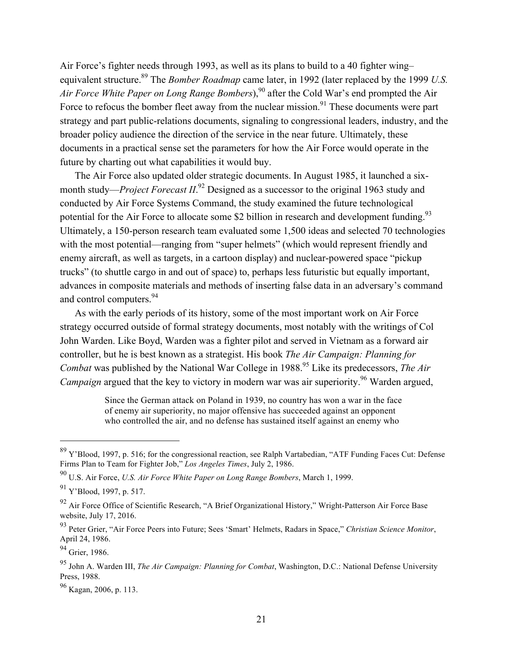Air Force's fighter needs through 1993, as well as its plans to build to a 40 fighter wing– equivalent structure.<sup>89</sup> The *Bomber Roadmap* came later, in 1992 (later replaced by the 1999 *U.S. Air Force White Paper on Long Range Bombers*),<sup>90</sup> after the Cold War's end prompted the Air Force to refocus the bomber fleet away from the nuclear mission.<sup>91</sup> These documents were part strategy and part public-relations documents, signaling to congressional leaders, industry, and the broader policy audience the direction of the service in the near future. Ultimately, these documents in a practical sense set the parameters for how the Air Force would operate in the future by charting out what capabilities it would buy.

The Air Force also updated older strategic documents. In August 1985, it launched a sixmonth study—*Project Forecast II*.<sup>92</sup> Designed as a successor to the original 1963 study and conducted by Air Force Systems Command, the study examined the future technological potential for the Air Force to allocate some \$2 billion in research and development funding.<sup>93</sup> Ultimately, a 150-person research team evaluated some 1,500 ideas and selected 70 technologies with the most potential—ranging from "super helmets" (which would represent friendly and enemy aircraft, as well as targets, in a cartoon display) and nuclear-powered space "pickup trucks" (to shuttle cargo in and out of space) to, perhaps less futuristic but equally important, advances in composite materials and methods of inserting false data in an adversary's command and control computers.<sup>94</sup>

As with the early periods of its history, some of the most important work on Air Force strategy occurred outside of formal strategy documents, most notably with the writings of Col John Warden. Like Boyd, Warden was a fighter pilot and served in Vietnam as a forward air controller, but he is best known as a strategist. His book *The Air Campaign: Planning for Combat* was published by the National War College in 1988.<sup>95</sup> Like its predecessors, *The Air Campaign* argued that the key to victory in modern war was air superiority.<sup>96</sup> Warden argued,

> Since the German attack on Poland in 1939, no country has won a war in the face of enemy air superiority, no major offensive has succeeded against an opponent who controlled the air, and no defense has sustained itself against an enemy who

<sup>89</sup> Y'Blood, 1997, p. 516; for the congressional reaction, see Ralph Vartabedian, "ATF Funding Faces Cut: Defense Firms Plan to Team for Fighter Job," *Los Angeles Times*, July 2, 1986.

<sup>90</sup> U.S. Air Force, *U.S. Air Force White Paper on Long Range Bombers*, March 1, 1999.

<sup>91</sup> Y'Blood, 1997, p. 517.

 $^{92}$  Air Force Office of Scientific Research, "A Brief Organizational History," Wright-Patterson Air Force Base website, July 17, 2016.

<sup>93</sup> Peter Grier, "Air Force Peers into Future; Sees 'Smart' Helmets, Radars in Space," *Christian Science Monitor*, April 24, 1986.

<sup>94</sup> Grier, 1986.

<sup>95</sup> John A. Warden III, *The Air Campaign: Planning for Combat*, Washington, D.C.: National Defense University Press, 1988.

 $96$  Kagan, 2006, p. 113.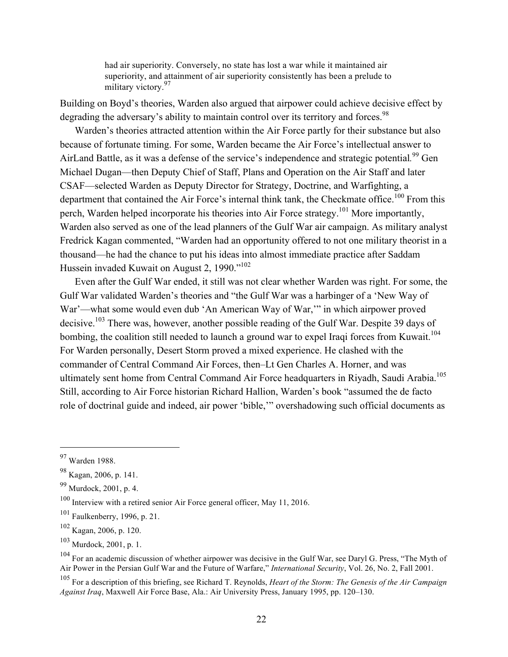had air superiority. Conversely, no state has lost a war while it maintained air superiority, and attainment of air superiority consistently has been a prelude to military victory.<sup>97</sup>

Building on Boyd's theories, Warden also argued that airpower could achieve decisive effect by degrading the adversary's ability to maintain control over its territory and forces.<sup>98</sup>

Warden's theories attracted attention within the Air Force partly for their substance but also because of fortunate timing. For some, Warden became the Air Force's intellectual answer to AirLand Battle, as it was a defense of the service's independence and strategic potential*.* <sup>99</sup> Gen Michael Dugan—then Deputy Chief of Staff, Plans and Operation on the Air Staff and later CSAF—selected Warden as Deputy Director for Strategy, Doctrine, and Warfighting, a department that contained the Air Force's internal think tank, the Checkmate office.<sup>100</sup> From this perch, Warden helped incorporate his theories into Air Force strategy.101 More importantly, Warden also served as one of the lead planners of the Gulf War air campaign. As military analyst Fredrick Kagan commented, "Warden had an opportunity offered to not one military theorist in a thousand—he had the chance to put his ideas into almost immediate practice after Saddam Hussein invaded Kuwait on August 2, 1990."102

Even after the Gulf War ended, it still was not clear whether Warden was right. For some, the Gulf War validated Warden's theories and "the Gulf War was a harbinger of a 'New Way of War'—what some would even dub 'An American Way of War,'" in which airpower proved decisive.<sup>103</sup> There was, however, another possible reading of the Gulf War. Despite 39 days of bombing, the coalition still needed to launch a ground war to expel Iraqi forces from Kuwait.<sup>104</sup> For Warden personally, Desert Storm proved a mixed experience. He clashed with the commander of Central Command Air Forces, then–Lt Gen Charles A. Horner, and was ultimately sent home from Central Command Air Force headquarters in Riyadh, Saudi Arabia.<sup>105</sup> Still, according to Air Force historian Richard Hallion, Warden's book "assumed the de facto role of doctrinal guide and indeed, air power 'bible,'" overshadowing such official documents as

<sup>97</sup> Warden 1988.

<sup>98</sup> Kagan, 2006, p. 141.

 $99$  Murdock, 2001, p. 4.

<sup>100</sup> Interview with a retired senior Air Force general officer, May 11, 2016.

 $101$  Faulkenberry, 1996, p. 21.

 $102$  Kagan, 2006, p. 120.

 $103$  Murdock, 2001, p. 1.

 $104$  For an academic discussion of whether airpower was decisive in the Gulf War, see Daryl G. Press, "The Myth of Air Power in the Persian Gulf War and the Future of Warfare," *International Security*, Vol. 26, No. 2, Fall 2001.

<sup>105</sup> For a description of this briefing, see Richard T. Reynolds, *Heart of the Storm: The Genesis of the Air Campaign Against Iraq*, Maxwell Air Force Base, Ala.: Air University Press, January 1995, pp. 120–130.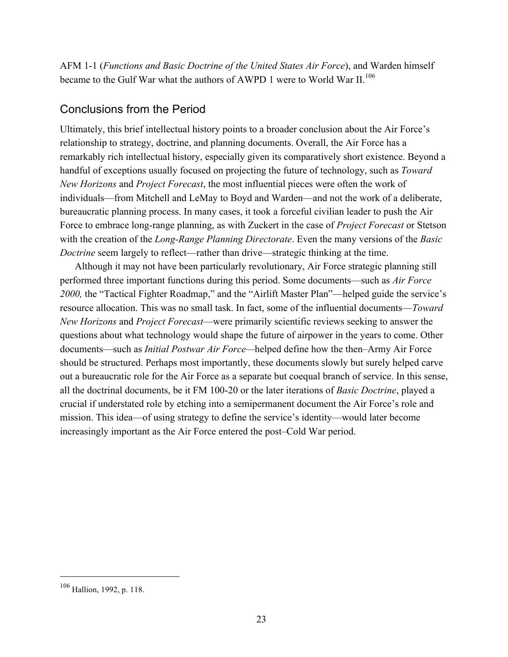AFM 1-1 (*Functions and Basic Doctrine of the United States Air Force*), and Warden himself became to the Gulf War what the authors of AWPD 1 were to World War II.<sup>106</sup>

#### Conclusions from the Period

Ultimately, this brief intellectual history points to a broader conclusion about the Air Force's relationship to strategy, doctrine, and planning documents. Overall, the Air Force has a remarkably rich intellectual history, especially given its comparatively short existence. Beyond a handful of exceptions usually focused on projecting the future of technology, such as *Toward New Horizons* and *Project Forecast*, the most influential pieces were often the work of individuals—from Mitchell and LeMay to Boyd and Warden—and not the work of a deliberate, bureaucratic planning process. In many cases, it took a forceful civilian leader to push the Air Force to embrace long-range planning, as with Zuckert in the case of *Project Forecast* or Stetson with the creation of the *Long-Range Planning Directorate*. Even the many versions of the *Basic Doctrine* seem largely to reflect—rather than drive—strategic thinking at the time.

Although it may not have been particularly revolutionary, Air Force strategic planning still performed three important functions during this period. Some documents—such as *Air Force 2000,* the "Tactical Fighter Roadmap," and the "Airlift Master Plan"—helped guide the service's resource allocation. This was no small task. In fact, some of the influential documents—*Toward New Horizons* and *Project Forecast*—were primarily scientific reviews seeking to answer the questions about what technology would shape the future of airpower in the years to come. Other documents—such as *Initial Postwar Air Force—*helped define how the then–Army Air Force should be structured. Perhaps most importantly, these documents slowly but surely helped carve out a bureaucratic role for the Air Force as a separate but coequal branch of service. In this sense, all the doctrinal documents, be it FM 100-20 or the later iterations of *Basic Doctrine*, played a crucial if understated role by etching into a semipermanent document the Air Force's role and mission. This idea—of using strategy to define the service's identity—would later become increasingly important as the Air Force entered the post–Cold War period.

<sup>106</sup> Hallion, 1992, p. 118.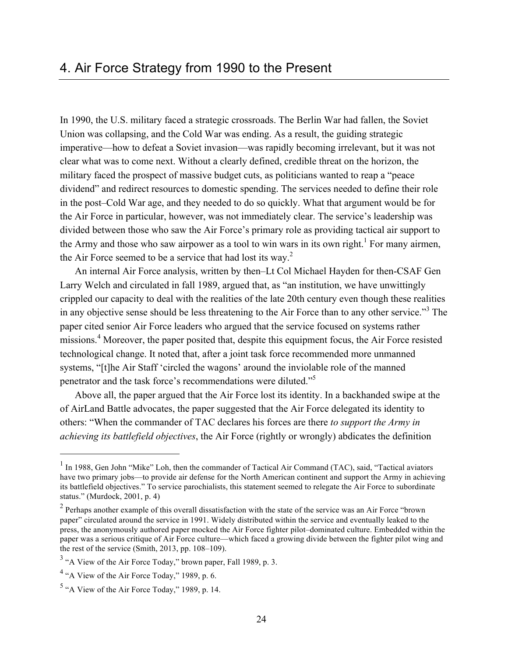In 1990, the U.S. military faced a strategic crossroads. The Berlin War had fallen, the Soviet Union was collapsing, and the Cold War was ending. As a result, the guiding strategic imperative—how to defeat a Soviet invasion—was rapidly becoming irrelevant, but it was not clear what was to come next. Without a clearly defined, credible threat on the horizon, the military faced the prospect of massive budget cuts, as politicians wanted to reap a "peace dividend" and redirect resources to domestic spending. The services needed to define their role in the post–Cold War age, and they needed to do so quickly. What that argument would be for the Air Force in particular, however, was not immediately clear. The service's leadership was divided between those who saw the Air Force's primary role as providing tactical air support to the Army and those who saw airpower as a tool to win wars in its own right.<sup>1</sup> For many airmen, the Air Force seemed to be a service that had lost its way.<sup>2</sup>

An internal Air Force analysis, written by then–Lt Col Michael Hayden for then-CSAF Gen Larry Welch and circulated in fall 1989, argued that, as "an institution, we have unwittingly crippled our capacity to deal with the realities of the late 20th century even though these realities in any objective sense should be less threatening to the Air Force than to any other service."<sup>3</sup> The paper cited senior Air Force leaders who argued that the service focused on systems rather missions.<sup>4</sup> Moreover, the paper posited that, despite this equipment focus, the Air Force resisted technological change. It noted that, after a joint task force recommended more unmanned systems, "[t]he Air Staff 'circled the wagons' around the inviolable role of the manned penetrator and the task force's recommendations were diluted."5

Above all, the paper argued that the Air Force lost its identity. In a backhanded swipe at the of AirLand Battle advocates, the paper suggested that the Air Force delegated its identity to others: "When the commander of TAC declares his forces are there *to support the Army in achieving its battlefield objectives*, the Air Force (rightly or wrongly) abdicates the definition

<sup>&</sup>lt;sup>1</sup> In 1988, Gen John "Mike" Loh, then the commander of Tactical Air Command (TAC), said, "Tactical aviators have two primary jobs—to provide air defense for the North American continent and support the Army in achieving its battlefield objectives." To service parochialists, this statement seemed to relegate the Air Force to subordinate status." (Murdock, 2001, p. 4)

<sup>&</sup>lt;sup>2</sup> Perhaps another example of this overall dissatisfaction with the state of the service was an Air Force "brown" paper" circulated around the service in 1991. Widely distributed within the service and eventually leaked to the press, the anonymously authored paper mocked the Air Force fighter pilot–dominated culture. Embedded within the paper was a serious critique of Air Force culture—which faced a growing divide between the fighter pilot wing and the rest of the service (Smith, 2013, pp. 108–109).

<sup>&</sup>lt;sup>3</sup> "A View of the Air Force Today," brown paper, Fall 1989, p. 3.

 $4$  "A View of the Air Force Today," 1989, p. 6.

 $5$  "A View of the Air Force Today," 1989, p. 14.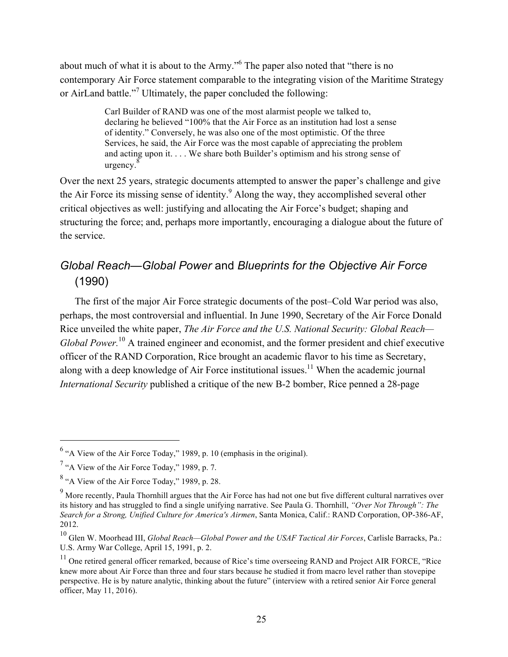about much of what it is about to the Army."<sup>6</sup> The paper also noted that "there is no contemporary Air Force statement comparable to the integrating vision of the Maritime Strategy or AirLand battle."<sup>7</sup> Ultimately, the paper concluded the following:

> Carl Builder of RAND was one of the most alarmist people we talked to, declaring he believed "100% that the Air Force as an institution had lost a sense of identity." Conversely, he was also one of the most optimistic. Of the three Services, he said, the Air Force was the most capable of appreciating the problem and acting upon it. . . . We share both Builder's optimism and his strong sense of urgency. 8

Over the next 25 years, strategic documents attempted to answer the paper's challenge and give the Air Force its missing sense of identity.<sup>9</sup> Along the way, they accomplished several other critical objectives as well: justifying and allocating the Air Force's budget; shaping and structuring the force; and, perhaps more importantly, encouraging a dialogue about the future of the service.

## *Global Reach—Global Power* and *Blueprints for the Objective Air Force* (1990)

The first of the major Air Force strategic documents of the post–Cold War period was also, perhaps, the most controversial and influential. In June 1990, Secretary of the Air Force Donald Rice unveiled the white paper, *The Air Force and the U.S. National Security: Global Reach— Global Power.*10 A trained engineer and economist, and the former president and chief executive officer of the RAND Corporation, Rice brought an academic flavor to his time as Secretary, along with a deep knowledge of Air Force institutional issues.<sup>11</sup> When the academic journal *International Security* published a critique of the new B-2 bomber, Rice penned a 28-page

<sup>6</sup> "A View of the Air Force Today," 1989, p. 10 (emphasis in the original).

<sup>7</sup> "A View of the Air Force Today," 1989, p. 7.

 $8$  "A View of the Air Force Today," 1989, p. 28.

<sup>&</sup>lt;sup>9</sup> More recently, Paula Thornhill argues that the Air Force has had not one but five different cultural narratives over its history and has struggled to find a single unifying narrative. See Paula G. Thornhill, *"Over Not Through": The Search for a Strong, Unified Culture for America's Airmen*, Santa Monica, Calif.: RAND Corporation, OP-386-AF, 2012.

<sup>10</sup> Glen W. Moorhead III, *Global Reach—Global Power and the USAF Tactical Air Forces*, Carlisle Barracks, Pa.: U.S. Army War College, April 15, 1991, p. 2.

<sup>&</sup>lt;sup>11</sup> One retired general officer remarked, because of Rice's time overseeing RAND and Project AIR FORCE, "Rice knew more about Air Force than three and four stars because he studied it from macro level rather than stovepipe perspective. He is by nature analytic, thinking about the future" (interview with a retired senior Air Force general officer, May 11, 2016).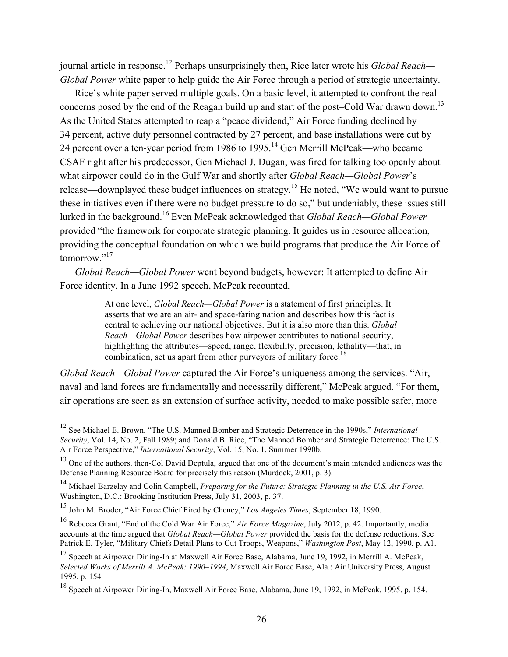journal article in response.12 Perhaps unsurprisingly then, Rice later wrote his *Global Reach— Global Power* white paper to help guide the Air Force through a period of strategic uncertainty.

Rice's white paper served multiple goals. On a basic level, it attempted to confront the real concerns posed by the end of the Reagan build up and start of the post–Cold War drawn down.<sup>13</sup> As the United States attempted to reap a "peace dividend," Air Force funding declined by 34 percent, active duty personnel contracted by 27 percent, and base installations were cut by 24 percent over a ten-year period from 1986 to 1995.<sup>14</sup> Gen Merrill McPeak—who became CSAF right after his predecessor, Gen Michael J. Dugan, was fired for talking too openly about what airpower could do in the Gulf War and shortly after *Global Reach—Global Power*'s release—downplayed these budget influences on strategy.15 He noted, "We would want to pursue these initiatives even if there were no budget pressure to do so," but undeniably, these issues still lurked in the background.16 Even McPeak acknowledged that *Global Reach—Global Power*  provided "the framework for corporate strategic planning. It guides us in resource allocation, providing the conceptual foundation on which we build programs that produce the Air Force of tomorrow."<sup>17</sup>

*Global Reach—Global Power* went beyond budgets, however: It attempted to define Air Force identity. In a June 1992 speech, McPeak recounted,

> At one level, *Global Reach—Global Power* is a statement of first principles. It asserts that we are an air- and space-faring nation and describes how this fact is central to achieving our national objectives. But it is also more than this. *Global Reach—Global Power* describes how airpower contributes to national security, highlighting the attributes—speed, range, flexibility, precision, lethality—that, in combination, set us apart from other purveyors of military force.<sup>18</sup>

*Global Reach—Global Power* captured the Air Force's uniqueness among the services. "Air, naval and land forces are fundamentally and necessarily different," McPeak argued. "For them, air operations are seen as an extension of surface activity, needed to make possible safer, more

<sup>12</sup> See Michael E. Brown, "The U.S. Manned Bomber and Strategic Deterrence in the 1990s," *International Security*, Vol. 14, No. 2, Fall 1989; and Donald B. Rice, "The Manned Bomber and Strategic Deterrence: The U.S. Air Force Perspective," *International Security*, Vol. 15, No. 1, Summer 1990b.

<sup>&</sup>lt;sup>13</sup> One of the authors, then-Col David Deptula, argued that one of the document's main intended audiences was the Defense Planning Resource Board for precisely this reason (Murdock, 2001, p. 3).

<sup>14</sup> Michael Barzelay and Colin Campbell, *Preparing for the Future: Strategic Planning in the U.S. Air Force*, Washington, D.C.: Brooking Institution Press, July 31, 2003, p. 37.

<sup>15</sup> John M. Broder, "Air Force Chief Fired by Cheney," *Los Angeles Times*, September 18, 1990.

<sup>16</sup> Rebecca Grant, "End of the Cold War Air Force," *Air Force Magazine*, July 2012, p. 42. Importantly, media accounts at the time argued that *Global Reach—Global Power* provided the basis for the defense reductions. See Patrick E. Tyler, "Military Chiefs Detail Plans to Cut Troops, Weapons," *Washington Post*, May 12, 1990, p. A1.

<sup>&</sup>lt;sup>17</sup> Speech at Airpower Dining-In at Maxwell Air Force Base, Alabama, June 19, 1992, in Merrill A. McPeak, *Selected Works of Merrill A. McPeak: 1990–1994*, Maxwell Air Force Base, Ala.: Air University Press, August 1995, p. 154

<sup>18</sup> Speech at Airpower Dining-In, Maxwell Air Force Base, Alabama, June 19, 1992, in McPeak, 1995, p. 154.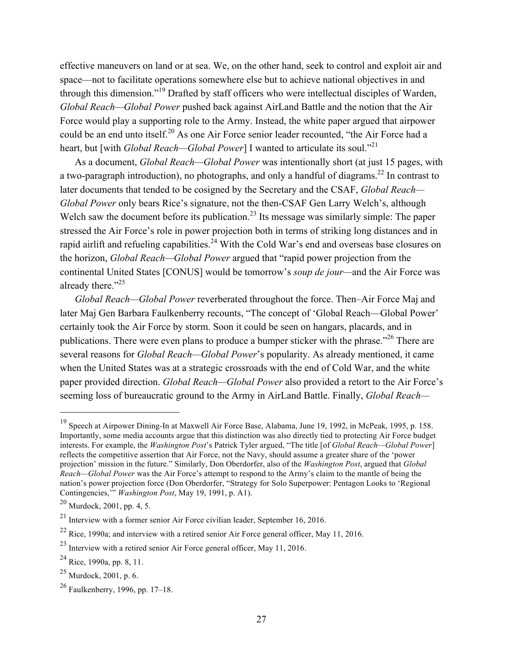effective maneuvers on land or at sea. We, on the other hand, seek to control and exploit air and space—not to facilitate operations somewhere else but to achieve national objectives in and through this dimension."19 Drafted by staff officers who were intellectual disciples of Warden, *Global Reach—Global Power* pushed back against AirLand Battle and the notion that the Air Force would play a supporting role to the Army. Instead, the white paper argued that airpower could be an end unto itself.<sup>20</sup> As one Air Force senior leader recounted, "the Air Force had a heart, but [with *Global Reach—Global Power*] I wanted to articulate its soul."<sup>21</sup>

As a document, *Global Reach—Global Power* was intentionally short (at just 15 pages, with a two-paragraph introduction), no photographs, and only a handful of diagrams.<sup>22</sup> In contrast to later documents that tended to be cosigned by the Secretary and the CSAF, *Global Reach— Global Power* only bears Rice's signature, not the then-CSAF Gen Larry Welch's, although Welch saw the document before its publication.<sup>23</sup> Its message was similarly simple: The paper stressed the Air Force's role in power projection both in terms of striking long distances and in rapid airlift and refueling capabilities.<sup>24</sup> With the Cold War's end and overseas base closures on the horizon, *Global Reach—Global Power* argued that "rapid power projection from the continental United States [CONUS] would be tomorrow's *soup de jour—*and the Air Force was already there."<sup>25</sup>

*Global Reach—Global Power* reverberated throughout the force. Then–Air Force Maj and later Maj Gen Barbara Faulkenberry recounts, "The concept of 'Global Reach—Global Power' certainly took the Air Force by storm. Soon it could be seen on hangars, placards, and in publications. There were even plans to produce a bumper sticker with the phrase."26 There are several reasons for *Global Reach—Global Power*'s popularity. As already mentioned, it came when the United States was at a strategic crossroads with the end of Cold War, and the white paper provided direction. *Global Reach—Global Power* also provided a retort to the Air Force's seeming loss of bureaucratic ground to the Army in AirLand Battle. Finally, *Global Reach—*

<sup>&</sup>lt;sup>19</sup> Speech at Airpower Dining-In at Maxwell Air Force Base, Alabama, June 19, 1992, in McPeak, 1995, p. 158. Importantly, some media accounts argue that this distinction was also directly tied to protecting Air Force budget interests. For example, the *Washington Post*'s Patrick Tyler argued, "The title [of *Global Reach—Global Power*] reflects the competitive assertion that Air Force, not the Navy, should assume a greater share of the 'power projection' mission in the future." Similarly, Don Oberdorfer, also of the *Washington Post*, argued that *Global Reach—Global Power* was the Air Force's attempt to respond to the Army's claim to the mantle of being the nation's power projection force (Don Oberdorfer, "Strategy for Solo Superpower: Pentagon Looks to 'Regional Contingencies,'" *Washington Post*, May 19, 1991, p. A1).

 $^{20}$  Murdock, 2001, pp. 4, 5.

<sup>21</sup> Interview with a former senior Air Force civilian leader, September 16, 2016.

 $^{22}$  Rice, 1990a; and interview with a retired senior Air Force general officer, May 11, 2016.

 $^{23}$  Interview with a retired senior Air Force general officer, May 11, 2016.

 $^{24}$  Rice, 1990a, pp. 8, 11.

 $^{25}$  Murdock, 2001, p. 6.

<sup>26</sup> Faulkenberry, 1996, pp. 17–18.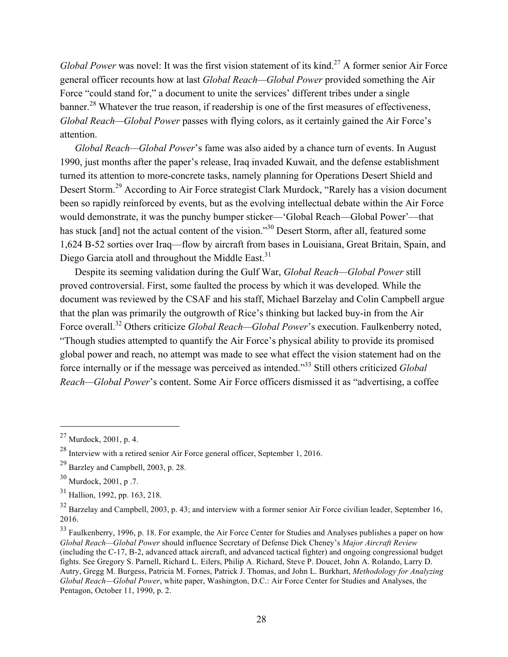*Global Power* was novel: It was the first vision statement of its kind.<sup>27</sup> A former senior Air Force general officer recounts how at last *Global Reach—Global Power* provided something the Air Force "could stand for," a document to unite the services' different tribes under a single banner.<sup>28</sup> Whatever the true reason, if readership is one of the first measures of effectiveness, *Global Reach—Global Power* passes with flying colors, as it certainly gained the Air Force's attention.

*Global Reach—Global Power*'s fame was also aided by a chance turn of events. In August 1990, just months after the paper's release, Iraq invaded Kuwait, and the defense establishment turned its attention to more-concrete tasks, namely planning for Operations Desert Shield and Desert Storm.<sup>29</sup> According to Air Force strategist Clark Murdock, "Rarely has a vision document" been so rapidly reinforced by events, but as the evolving intellectual debate within the Air Force would demonstrate, it was the punchy bumper sticker—'Global Reach—Global Power'—that has stuck [and] not the actual content of the vision."<sup>30</sup> Desert Storm, after all, featured some 1,624 B-52 sorties over Iraq—flow by aircraft from bases in Louisiana, Great Britain, Spain, and Diego Garcia atoll and throughout the Middle East.<sup>31</sup>

Despite its seeming validation during the Gulf War, *Global Reach—Global Power* still proved controversial. First, some faulted the process by which it was developed. While the document was reviewed by the CSAF and his staff, Michael Barzelay and Colin Campbell argue that the plan was primarily the outgrowth of Rice's thinking but lacked buy-in from the Air Force overall.<sup>32</sup> Others criticize *Global Reach—Global Power*'s execution. Faulkenberry noted, "Though studies attempted to quantify the Air Force's physical ability to provide its promised global power and reach, no attempt was made to see what effect the vision statement had on the force internally or if the message was perceived as intended."33 Still others criticized *Global Reach—Global Power*'s content. Some Air Force officers dismissed it as "advertising, a coffee

 $27$  Murdock, 2001, p. 4.

 $^{28}$  Interview with a retired senior Air Force general officer. September 1, 2016.

<sup>29</sup> Barzley and Campbell, 2003, p. 28.

<sup>30</sup> Murdock, 2001, p .7.

<sup>31</sup> Hallion, 1992, pp. 163, 218.

 $32$  Barzelay and Campbell, 2003, p. 43; and interview with a former senior Air Force civilian leader, September 16, 2016.

<sup>&</sup>lt;sup>33</sup> Faulkenberry, 1996, p. 18. For example, the Air Force Center for Studies and Analyses publishes a paper on how *Global Reach—Global Power* should influence Secretary of Defense Dick Cheney's *Major Aircraft Review*  (including the C-17, B-2, advanced attack aircraft, and advanced tactical fighter) and ongoing congressional budget fights. See Gregory S. Parnell, Richard L. Eilers, Philip A. Richard, Steve P. Doucet, John A. Rolando, Larry D. Autry, Gregg M. Burgess, Patricia M. Fornes, Patrick J. Thomas, and John L. Burkhart, *Methodology for Analyzing Global Reach—Global Power*, white paper, Washington, D.C.: Air Force Center for Studies and Analyses, the Pentagon, October 11, 1990, p. 2.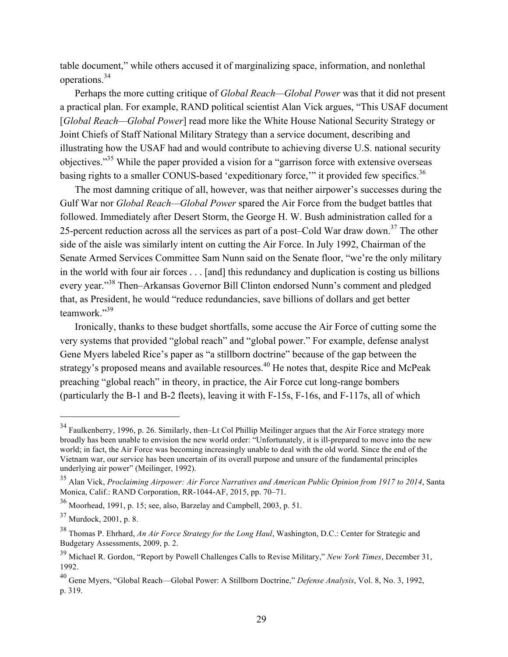table document," while others accused it of marginalizing space, information, and nonlethal operations.<sup>34</sup>

Perhaps the more cutting critique of *Global Reach—Global Power* was that it did not present a practical plan. For example, RAND political scientist Alan Vick argues, "This USAF document [*Global Reach—Global Power*] read more like the White House National Security Strategy or Joint Chiefs of Staff National Military Strategy than a service document, describing and illustrating how the USAF had and would contribute to achieving diverse U.S. national security objectives."35 While the paper provided a vision for a "garrison force with extensive overseas basing rights to a smaller CONUS-based 'expeditionary force,'" it provided few specifics.<sup>36</sup>

The most damning critique of all, however, was that neither airpower's successes during the Gulf War nor *Global Reach—Global Power* spared the Air Force from the budget battles that followed. Immediately after Desert Storm, the George H. W. Bush administration called for a 25-percent reduction across all the services as part of a post–Cold War draw down.<sup>37</sup> The other side of the aisle was similarly intent on cutting the Air Force. In July 1992, Chairman of the Senate Armed Services Committee Sam Nunn said on the Senate floor, "we're the only military in the world with four air forces . . . [and] this redundancy and duplication is costing us billions every year."38 Then–Arkansas Governor Bill Clinton endorsed Nunn's comment and pledged that, as President, he would "reduce redundancies, save billions of dollars and get better teamwork."<sup>39</sup>

Ironically, thanks to these budget shortfalls, some accuse the Air Force of cutting some the very systems that provided "global reach" and "global power." For example, defense analyst Gene Myers labeled Rice's paper as "a stillborn doctrine" because of the gap between the strategy's proposed means and available resources.<sup>40</sup> He notes that, despite Rice and McPeak preaching "global reach" in theory, in practice, the Air Force cut long-range bombers (particularly the B-1 and B-2 fleets), leaving it with F-15s, F-16s, and F-117s, all of which

<sup>&</sup>lt;sup>34</sup> Faulkenberry, 1996, p. 26. Similarly, then–Lt Col Phillip Meilinger argues that the Air Force strategy more broadly has been unable to envision the new world order: "Unfortunately, it is ill-prepared to move into the new world; in fact, the Air Force was becoming increasingly unable to deal with the old world. Since the end of the Vietnam war, our service has been uncertain of its overall purpose and unsure of the fundamental principles underlying air power" (Meilinger, 1992).

<sup>35</sup> Alan Vick, *Proclaiming Airpower: Air Force Narratives and American Public Opinion from 1917 to 2014*, Santa Monica, Calif.: RAND Corporation, RR-1044-AF, 2015, pp. 70–71.

<sup>36</sup> Moorhead, 1991, p. 15; see, also, Barzelay and Campbell, 2003, p. 51.

 $37$  Murdock, 2001, p. 8.

<sup>38</sup> Thomas P. Ehrhard, *An Air Force Strategy for the Long Haul*, Washington, D.C.: Center for Strategic and Budgetary Assessments, 2009, p. 2.

<sup>39</sup> Michael R. Gordon, "Report by Powell Challenges Calls to Revise Military," *New York Times*, December 31, 1992.

<sup>40</sup> Gene Myers, "Global Reach—Global Power: A Stillborn Doctrine," *Defense Analysis*, Vol. 8, No. 3, 1992, p. 319.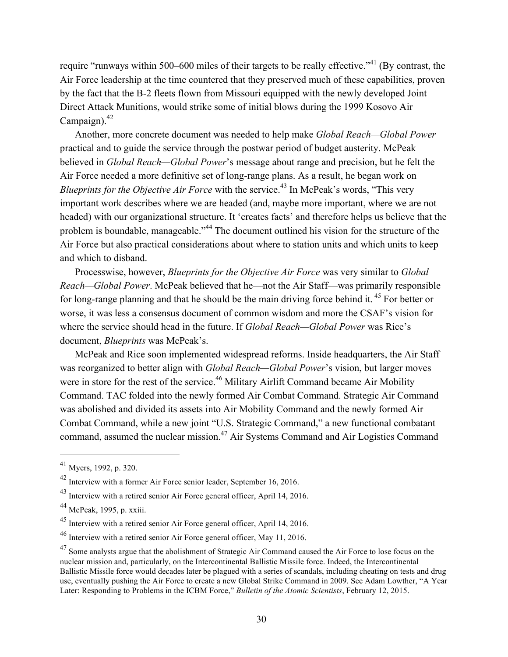require "runways within 500–600 miles of their targets to be really effective."<sup>41</sup> (By contrast, the Air Force leadership at the time countered that they preserved much of these capabilities, proven by the fact that the B-2 fleets flown from Missouri equipped with the newly developed Joint Direct Attack Munitions, would strike some of initial blows during the 1999 Kosovo Air Campaign). $42$ 

Another, more concrete document was needed to help make *Global Reach—Global Power*  practical and to guide the service through the postwar period of budget austerity. McPeak believed in *Global Reach—Global Power*'s message about range and precision, but he felt the Air Force needed a more definitive set of long-range plans. As a result, he began work on *Blueprints for the Objective Air Force* with the service.<sup>43</sup> In McPeak's words, "This very important work describes where we are headed (and, maybe more important, where we are not headed) with our organizational structure. It 'creates facts' and therefore helps us believe that the problem is boundable, manageable."<sup>44</sup> The document outlined his vision for the structure of the Air Force but also practical considerations about where to station units and which units to keep and which to disband.

Processwise, however, *Blueprints for the Objective Air Force* was very similar to *Global Reach—Global Power*. McPeak believed that he—not the Air Staff—was primarily responsible for long-range planning and that he should be the main driving force behind it.<sup>45</sup> For better or worse, it was less a consensus document of common wisdom and more the CSAF's vision for where the service should head in the future. If *Global Reach—Global Power* was Rice's document, *Blueprints* was McPeak's.

McPeak and Rice soon implemented widespread reforms. Inside headquarters, the Air Staff was reorganized to better align with *Global Reach—Global Power*'s vision, but larger moves were in store for the rest of the service.<sup>46</sup> Military Airlift Command became Air Mobility Command. TAC folded into the newly formed Air Combat Command. Strategic Air Command was abolished and divided its assets into Air Mobility Command and the newly formed Air Combat Command, while a new joint "U.S. Strategic Command," a new functional combatant command, assumed the nuclear mission.<sup>47</sup> Air Systems Command and Air Logistics Command

<sup>41</sup> Myers, 1992, p. 320.

<sup>42</sup> Interview with a former Air Force senior leader, September 16, 2016.

<sup>&</sup>lt;sup>43</sup> Interview with a retired senior Air Force general officer, April 14, 2016.

<sup>44</sup> McPeak, 1995, p. xxiii.

<sup>45</sup> Interview with a retired senior Air Force general officer, April 14, 2016.

<sup>46</sup> Interview with a retired senior Air Force general officer, May 11, 2016.

<sup>&</sup>lt;sup>47</sup> Some analysts argue that the abolishment of Strategic Air Command caused the Air Force to lose focus on the nuclear mission and, particularly, on the Intercontinental Ballistic Missile force. Indeed, the Intercontinental Ballistic Missile force would decades later be plagued with a series of scandals, including cheating on tests and drug use, eventually pushing the Air Force to create a new Global Strike Command in 2009. See Adam Lowther, "A Year Later: Responding to Problems in the ICBM Force," *Bulletin of the Atomic Scientists*, February 12, 2015.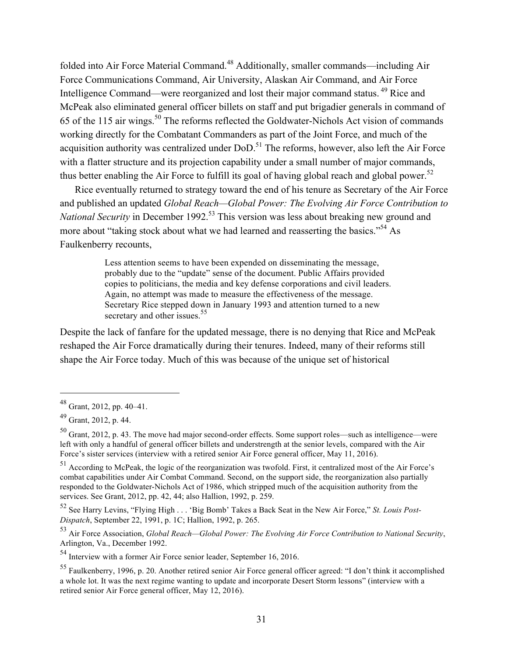folded into Air Force Material Command.48 Additionally, smaller commands—including Air Force Communications Command, Air University, Alaskan Air Command, and Air Force Intelligence Command—were reorganized and lost their major command status. 49 Rice and McPeak also eliminated general officer billets on staff and put brigadier generals in command of 65 of the 115 air wings.50 The reforms reflected the Goldwater-Nichols Act vision of commands working directly for the Combatant Commanders as part of the Joint Force, and much of the acquisition authority was centralized under DoD.<sup>51</sup> The reforms, however, also left the Air Force with a flatter structure and its projection capability under a small number of major commands, thus better enabling the Air Force to fulfill its goal of having global reach and global power.<sup>52</sup>

Rice eventually returned to strategy toward the end of his tenure as Secretary of the Air Force and published an updated *Global Reach—Global Power: The Evolving Air Force Contribution to National Security* in December 1992.<sup>53</sup> This version was less about breaking new ground and more about "taking stock about what we had learned and reasserting the basics."<sup>54</sup> As Faulkenberry recounts,

> Less attention seems to have been expended on disseminating the message, probably due to the "update" sense of the document. Public Affairs provided copies to politicians, the media and key defense corporations and civil leaders. Again, no attempt was made to measure the effectiveness of the message. Secretary Rice stepped down in January 1993 and attention turned to a new secretary and other issues.<sup>55</sup>

Despite the lack of fanfare for the updated message, there is no denying that Rice and McPeak reshaped the Air Force dramatically during their tenures. Indeed, many of their reforms still shape the Air Force today. Much of this was because of the unique set of historical

<sup>48</sup> Grant, 2012, pp. 40–41.

 $49$  Grant, 2012, p. 44.

<sup>50</sup> Grant, 2012, p. 43. The move had major second-order effects. Some support roles—such as intelligence—were left with only a handful of general officer billets and understrength at the senior levels, compared with the Air Force's sister services (interview with a retired senior Air Force general officer, May 11, 2016).

<sup>51</sup> According to McPeak, the logic of the reorganization was twofold. First, it centralized most of the Air Force's combat capabilities under Air Combat Command. Second, on the support side, the reorganization also partially responded to the Goldwater-Nichols Act of 1986, which stripped much of the acquisition authority from the services. See Grant, 2012, pp. 42, 44; also Hallion, 1992, p. 259.

<sup>52</sup> See Harry Levins, "Flying High . . . 'Big Bomb' Takes a Back Seat in the New Air Force," *St. Louis Post-Dispatch*, September 22, 1991, p. 1C; Hallion, 1992, p. 265.

<sup>53</sup> Air Force Association, *Global Reach—Global Power: The Evolving Air Force Contribution to National Security*, Arlington, Va., December 1992.

<sup>54</sup> Interview with a former Air Force senior leader, September 16, 2016.

<sup>55</sup> Faulkenberry, 1996, p. 20. Another retired senior Air Force general officer agreed: "I don't think it accomplished a whole lot. It was the next regime wanting to update and incorporate Desert Storm lessons" (interview with a retired senior Air Force general officer, May 12, 2016).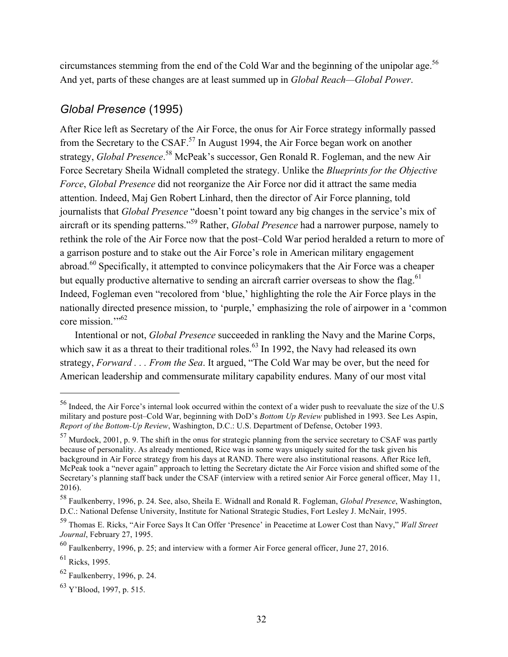circumstances stemming from the end of the Cold War and the beginning of the unipolar age.<sup>56</sup> And yet, parts of these changes are at least summed up in *Global Reach—Global Power*.

# *Global Presence* (1995)

After Rice left as Secretary of the Air Force, the onus for Air Force strategy informally passed from the Secretary to the CSAF.<sup>57</sup> In August 1994, the Air Force began work on another strategy, *Global Presence*. 58 McPeak's successor, Gen Ronald R. Fogleman, and the new Air Force Secretary Sheila Widnall completed the strategy. Unlike the *Blueprints for the Objective Force*, *Global Presence* did not reorganize the Air Force nor did it attract the same media attention. Indeed, Maj Gen Robert Linhard, then the director of Air Force planning, told journalists that *Global Presence* "doesn't point toward any big changes in the service's mix of aircraft or its spending patterns."59 Rather, *Global Presence* had a narrower purpose, namely to rethink the role of the Air Force now that the post–Cold War period heralded a return to more of a garrison posture and to stake out the Air Force's role in American military engagement abroad.60 Specifically, it attempted to convince policymakers that the Air Force was a cheaper but equally productive alternative to sending an aircraft carrier overseas to show the flag.<sup>61</sup> Indeed, Fogleman even "recolored from 'blue,' highlighting the role the Air Force plays in the nationally directed presence mission, to 'purple,' emphasizing the role of airpower in a 'common core mission."<sup>52</sup>

Intentional or not, *Global Presence* succeeded in rankling the Navy and the Marine Corps, which saw it as a threat to their traditional roles.<sup>63</sup> In 1992, the Navy had released its own strategy, *Forward . . . From the Sea*. It argued, "The Cold War may be over, but the need for American leadership and commensurate military capability endures. Many of our most vital

<sup>56</sup> Indeed, the Air Force's internal look occurred within the context of a wider push to reevaluate the size of the U.S military and posture post–Cold War, beginning with DoD's *Bottom Up Review* published in 1993. See Les Aspin, *Report of the Bottom-Up Review*, Washington, D.C.: U.S. Department of Defense, October 1993.

<sup>57</sup> Murdock, 2001, p. 9. The shift in the onus for strategic planning from the service secretary to CSAF was partly because of personality. As already mentioned, Rice was in some ways uniquely suited for the task given his background in Air Force strategy from his days at RAND. There were also institutional reasons. After Rice left, McPeak took a "never again" approach to letting the Secretary dictate the Air Force vision and shifted some of the Secretary's planning staff back under the CSAF (interview with a retired senior Air Force general officer, May 11, 2016).

<sup>58</sup> Faulkenberry, 1996, p. 24. See, also, Sheila E. Widnall and Ronald R. Fogleman, *Global Presence*, Washington, D.C.: National Defense University, Institute for National Strategic Studies, Fort Lesley J. McNair, 1995.

<sup>59</sup> Thomas E. Ricks, "Air Force Says It Can Offer 'Presence' in Peacetime at Lower Cost than Navy," *Wall Street Journal*, February 27, 1995.

<sup>60</sup> Faulkenberry, 1996, p. 25; and interview with a former Air Force general officer, June 27, 2016.

<sup>61</sup> Ricks, 1995.

<sup>62</sup> Faulkenberry, 1996, p. 24.

 $^{63}$  Y'Blood, 1997, p. 515.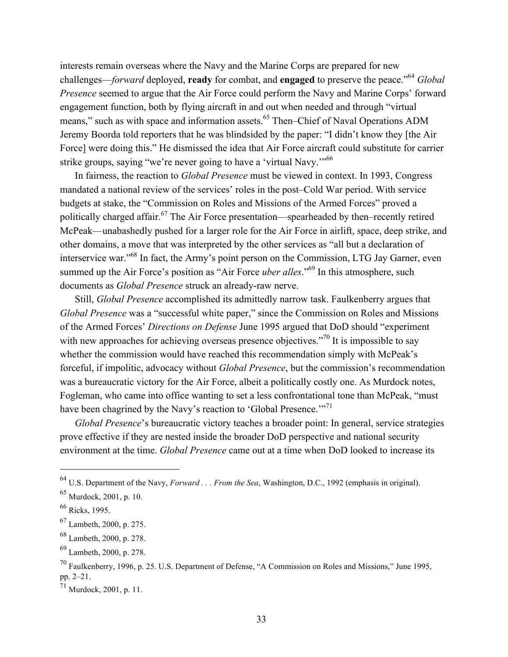interests remain overseas where the Navy and the Marine Corps are prepared for new challenges—*forward* deployed, **ready** for combat, and **engaged** to preserve the peace."64 *Global Presence* seemed to argue that the Air Force could perform the Navy and Marine Corps' forward engagement function, both by flying aircraft in and out when needed and through "virtual means," such as with space and information assets.<sup>65</sup> Then–Chief of Naval Operations ADM Jeremy Boorda told reporters that he was blindsided by the paper: "I didn't know they [the Air Force] were doing this." He dismissed the idea that Air Force aircraft could substitute for carrier strike groups, saying "we're never going to have a 'virtual Navy."<sup>66</sup>

In fairness, the reaction to *Global Presence* must be viewed in context. In 1993, Congress mandated a national review of the services' roles in the post–Cold War period. With service budgets at stake, the "Commission on Roles and Missions of the Armed Forces" proved a politically charged affair.67 The Air Force presentation—spearheaded by then–recently retired McPeak—unabashedly pushed for a larger role for the Air Force in airlift, space, deep strike, and other domains, a move that was interpreted by the other services as "all but a declaration of interservice war."68 In fact, the Army's point person on the Commission, LTG Jay Garner, even summed up the Air Force's position as "Air Force *uber alles*."<sup>69</sup> In this atmosphere, such documents as *Global Presence* struck an already-raw nerve.

Still, *Global Presence* accomplished its admittedly narrow task. Faulkenberry argues that *Global Presence* was a "successful white paper," since the Commission on Roles and Missions of the Armed Forces' *Directions on Defense* June 1995 argued that DoD should "experiment with new approaches for achieving overseas presence objectives."<sup>70</sup> It is impossible to say whether the commission would have reached this recommendation simply with McPeak's forceful, if impolitic, advocacy without *Global Presence*, but the commission's recommendation was a bureaucratic victory for the Air Force, albeit a politically costly one. As Murdock notes, Fogleman, who came into office wanting to set a less confrontational tone than McPeak, "must have been chagrined by the Navy's reaction to 'Global Presence.'"<sup>71</sup>

*Global Presence*'s bureaucratic victory teaches a broader point: In general, service strategies prove effective if they are nested inside the broader DoD perspective and national security environment at the time. *Global Presence* came out at a time when DoD looked to increase its

<sup>64</sup> U.S. Department of the Navy, *Forward . . . From the Sea*, Washington, D.C., 1992 (emphasis in original).

<sup>65</sup> Murdock, 2001, p. 10.

 $66$  Ricks, 1995.

<sup>67</sup> Lambeth, 2000, p. 275.

<sup>68</sup> Lambeth, 2000, p. 278.

<sup>69</sup> Lambeth, 2000, p. 278.

 $^{70}$  Faulkenberry, 1996, p. 25. U.S. Department of Defense, "A Commission on Roles and Missions," June 1995, pp. 2–21.

<sup>71</sup> Murdock, 2001, p. 11.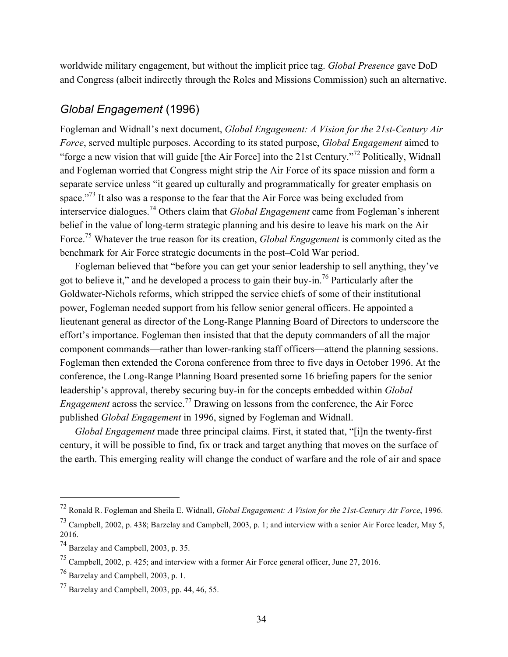worldwide military engagement, but without the implicit price tag. *Global Presence* gave DoD and Congress (albeit indirectly through the Roles and Missions Commission) such an alternative.

### *Global Engagement* (1996)

Fogleman and Widnall's next document, *Global Engagement: A Vision for the 21st-Century Air Force*, served multiple purposes. According to its stated purpose, *Global Engagement* aimed to "forge a new vision that will guide [the Air Force] into the 21st Century."72 Politically, Widnall and Fogleman worried that Congress might strip the Air Force of its space mission and form a separate service unless "it geared up culturally and programmatically for greater emphasis on space."<sup>73</sup> It also was a response to the fear that the Air Force was being excluded from interservice dialogues.74 Others claim that *Global Engagement* came from Fogleman's inherent belief in the value of long-term strategic planning and his desire to leave his mark on the Air Force.75 Whatever the true reason for its creation, *Global Engagement* is commonly cited as the benchmark for Air Force strategic documents in the post–Cold War period.

Fogleman believed that "before you can get your senior leadership to sell anything, they've got to believe it," and he developed a process to gain their buy-in.76 Particularly after the Goldwater-Nichols reforms, which stripped the service chiefs of some of their institutional power, Fogleman needed support from his fellow senior general officers. He appointed a lieutenant general as director of the Long-Range Planning Board of Directors to underscore the effort's importance. Fogleman then insisted that that the deputy commanders of all the major component commands—rather than lower-ranking staff officers—attend the planning sessions. Fogleman then extended the Corona conference from three to five days in October 1996. At the conference, the Long-Range Planning Board presented some 16 briefing papers for the senior leadership's approval, thereby securing buy-in for the concepts embedded within *Global Engagement* across the service.<sup>77</sup> Drawing on lessons from the conference, the Air Force published *Global Engagement* in 1996, signed by Fogleman and Widnall.

*Global Engagement* made three principal claims. First, it stated that, "[i]n the twenty-first century, it will be possible to find, fix or track and target anything that moves on the surface of the earth. This emerging reality will change the conduct of warfare and the role of air and space

<sup>72</sup> Ronald R. Fogleman and Sheila E. Widnall, *Global Engagement: A Vision for the 21st-Century Air Force*, 1996.

<sup>73</sup> Campbell, 2002, p. 438; Barzelay and Campbell, 2003, p. 1; and interview with a senior Air Force leader, May 5, 2016.

<sup>74</sup> Barzelay and Campbell, 2003, p. 35.

<sup>75</sup> Campbell, 2002, p. 425; and interview with a former Air Force general officer, June 27, 2016.

 $^{76}$  Barzelay and Campbell, 2003, p. 1.

 $^{77}$  Barzelay and Campbell, 2003, pp. 44, 46, 55.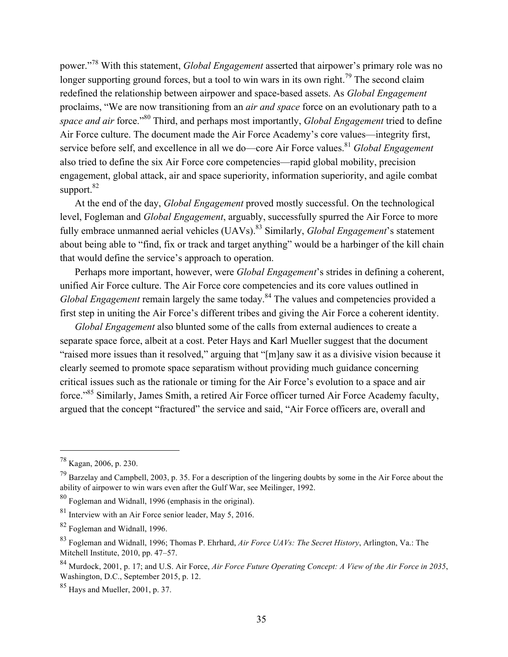power."78 With this statement, *Global Engagement* asserted that airpower's primary role was no longer supporting ground forces, but a tool to win wars in its own right.<sup>79</sup> The second claim redefined the relationship between airpower and space-based assets. As *Global Engagement*  proclaims, "We are now transitioning from an *air and space* force on an evolutionary path to a *space and air* force."80 Third, and perhaps most importantly, *Global Engagement* tried to define Air Force culture. The document made the Air Force Academy's core values—integrity first, service before self, and excellence in all we do—core Air Force values.<sup>81</sup> *Global Engagement* also tried to define the six Air Force core competencies—rapid global mobility, precision engagement, global attack, air and space superiority, information superiority, and agile combat support.<sup>82</sup>

At the end of the day, *Global Engagement* proved mostly successful. On the technological level, Fogleman and *Global Engagement*, arguably, successfully spurred the Air Force to more fully embrace unmanned aerial vehicles (UAVs).<sup>83</sup> Similarly, *Global Engagement*'s statement about being able to "find, fix or track and target anything" would be a harbinger of the kill chain that would define the service's approach to operation.

Perhaps more important, however, were *Global Engagement*'s strides in defining a coherent, unified Air Force culture. The Air Force core competencies and its core values outlined in *Global Engagement* remain largely the same today.<sup>84</sup> The values and competencies provided a first step in uniting the Air Force's different tribes and giving the Air Force a coherent identity.

*Global Engagement* also blunted some of the calls from external audiences to create a separate space force, albeit at a cost. Peter Hays and Karl Mueller suggest that the document "raised more issues than it resolved," arguing that "[m]any saw it as a divisive vision because it clearly seemed to promote space separatism without providing much guidance concerning critical issues such as the rationale or timing for the Air Force's evolution to a space and air force."85 Similarly, James Smith, a retired Air Force officer turned Air Force Academy faculty, argued that the concept "fractured" the service and said, "Air Force officers are, overall and

<sup>78</sup> Kagan, 2006, p. 230.

 $^{79}$  Barzelay and Campbell, 2003, p. 35. For a description of the lingering doubts by some in the Air Force about the ability of airpower to win wars even after the Gulf War, see Meilinger, 1992.

<sup>80</sup> Fogleman and Widnall, 1996 (emphasis in the original).

<sup>81</sup> Interview with an Air Force senior leader, May 5, 2016.

<sup>82</sup> Fogleman and Widnall, 1996.

<sup>83</sup> Fogleman and Widnall, 1996; Thomas P. Ehrhard, *Air Force UAVs: The Secret History*, Arlington, Va.: The Mitchell Institute, 2010, pp. 47–57.

<sup>84</sup> Murdock, 2001, p. 17; and U.S. Air Force, *Air Force Future Operating Concept: A View of the Air Force in 2035*, Washington, D.C., September 2015, p. 12.

<sup>85</sup> Hays and Mueller, 2001, p. 37.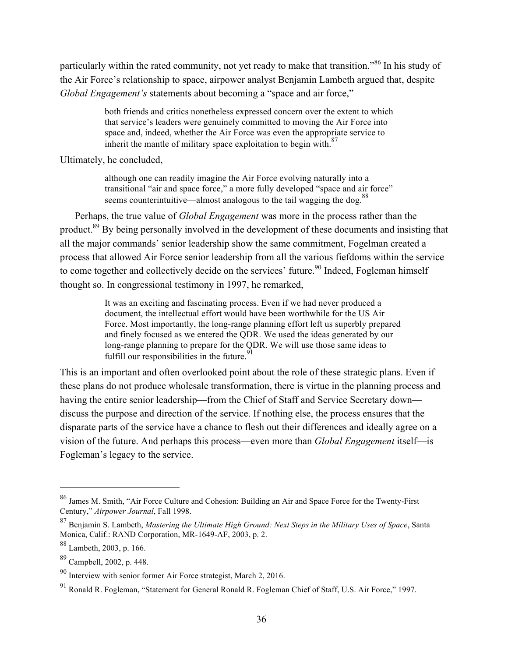particularly within the rated community, not yet ready to make that transition."86 In his study of the Air Force's relationship to space, airpower analyst Benjamin Lambeth argued that, despite *Global Engagement's* statements about becoming a "space and air force,"

> both friends and critics nonetheless expressed concern over the extent to which that service's leaders were genuinely committed to moving the Air Force into space and, indeed, whether the Air Force was even the appropriate service to inherit the mantle of military space exploitation to begin with. $87$

Ultimately, he concluded,

although one can readily imagine the Air Force evolving naturally into a transitional "air and space force," a more fully developed "space and air force" seems counterintuitive—almost analogous to the tail wagging the dog.<sup>88</sup>

Perhaps, the true value of *Global Engagement* was more in the process rather than the product.<sup>89</sup> By being personally involved in the development of these documents and insisting that all the major commands' senior leadership show the same commitment, Fogelman created a process that allowed Air Force senior leadership from all the various fiefdoms within the service to come together and collectively decide on the services' future.<sup>90</sup> Indeed, Fogleman himself thought so. In congressional testimony in 1997, he remarked,

> It was an exciting and fascinating process. Even if we had never produced a document, the intellectual effort would have been worthwhile for the US Air Force. Most importantly, the long-range planning effort left us superbly prepared and finely focused as we entered the QDR. We used the ideas generated by our long-range planning to prepare for the QDR. We will use those same ideas to fulfill our responsibilities in the future.  $91$

This is an important and often overlooked point about the role of these strategic plans. Even if these plans do not produce wholesale transformation, there is virtue in the planning process and having the entire senior leadership—from the Chief of Staff and Service Secretary down discuss the purpose and direction of the service. If nothing else, the process ensures that the disparate parts of the service have a chance to flesh out their differences and ideally agree on a vision of the future. And perhaps this process—even more than *Global Engagement* itself—is Fogleman's legacy to the service.

<sup>86</sup> James M. Smith, "Air Force Culture and Cohesion: Building an Air and Space Force for the Twenty-First Century," *Airpower Journal*, Fall 1998.

<sup>87</sup> Benjamin S. Lambeth, *Mastering the Ultimate High Ground: Next Steps in the Military Uses of Space*, Santa Monica, Calif.: RAND Corporation, MR-1649-AF, 2003, p. 2.

<sup>88</sup> Lambeth, 2003, p. 166.

<sup>89</sup> Campbell, 2002, p. 448.

 $90$  Interview with senior former Air Force strategist, March 2, 2016.

<sup>91</sup> Ronald R. Fogleman, "Statement for General Ronald R. Fogleman Chief of Staff, U.S. Air Force," 1997.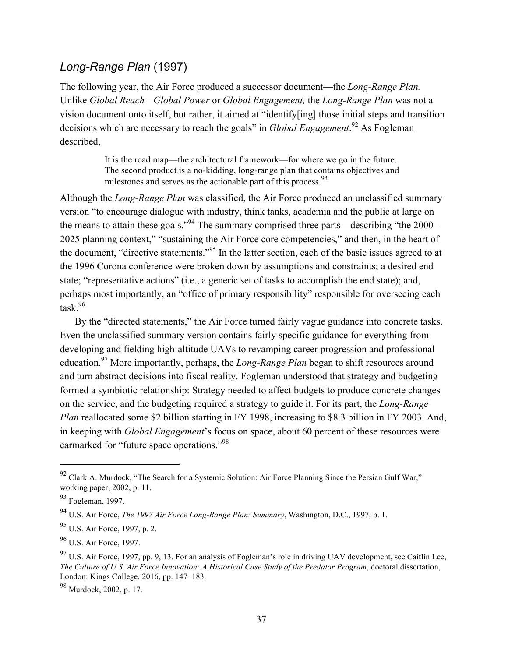### *Long-Range Plan* (1997)

The following year, the Air Force produced a successor document—the *Long-Range Plan.*  Unlike *Global Reach—Global Power* or *Global Engagement,* the *Long-Range Plan* was not a vision document unto itself, but rather, it aimed at "identify[ing] those initial steps and transition decisions which are necessary to reach the goals" in *Global Engagement*. 92 As Fogleman described,

> It is the road map—the architectural framework—for where we go in the future. The second product is a no-kidding, long-range plan that contains objectives and milestones and serves as the actionable part of this process.<sup>93</sup>

Although the *Long-Range Plan* was classified, the Air Force produced an unclassified summary version "to encourage dialogue with industry, think tanks, academia and the public at large on the means to attain these goals."94 The summary comprised three parts—describing "the 2000– 2025 planning context," "sustaining the Air Force core competencies," and then, in the heart of the document, "directive statements."95 In the latter section, each of the basic issues agreed to at the 1996 Corona conference were broken down by assumptions and constraints; a desired end state; "representative actions" (i.e., a generic set of tasks to accomplish the end state); and, perhaps most importantly, an "office of primary responsibility" responsible for overseeing each task $^{96}$ 

By the "directed statements," the Air Force turned fairly vague guidance into concrete tasks. Even the unclassified summary version contains fairly specific guidance for everything from developing and fielding high-altitude UAVs to revamping career progression and professional education.97 More importantly, perhaps, the *Long-Range Plan* began to shift resources around and turn abstract decisions into fiscal reality. Fogleman understood that strategy and budgeting formed a symbiotic relationship: Strategy needed to affect budgets to produce concrete changes on the service, and the budgeting required a strategy to guide it. For its part, the *Long-Range Plan* reallocated some \$2 billion starting in FY 1998, increasing to \$8.3 billion in FY 2003. And, in keeping with *Global Engagement*'s focus on space, about 60 percent of these resources were earmarked for "future space operations."<sup>98</sup>

<sup>&</sup>lt;sup>92</sup> Clark A. Murdock, "The Search for a Systemic Solution: Air Force Planning Since the Persian Gulf War," working paper, 2002, p. 11.

<sup>93</sup> Fogleman, 1997.

<sup>94</sup> U.S. Air Force, *The 1997 Air Force Long-Range Plan: Summary*, Washington, D.C., 1997, p. 1.

<sup>95</sup> U.S. Air Force, 1997, p. 2.

<sup>&</sup>lt;sup>96</sup> U.S. Air Force, 1997.

<sup>&</sup>lt;sup>97</sup> U.S. Air Force, 1997, pp. 9, 13. For an analysis of Fogleman's role in driving UAV development, see Caitlin Lee, *The Culture of U.S. Air Force Innovation: A Historical Case Study of the Predator Program*, doctoral dissertation, London: Kings College, 2016, pp. 147–183.

<sup>98</sup> Murdock, 2002, p. 17.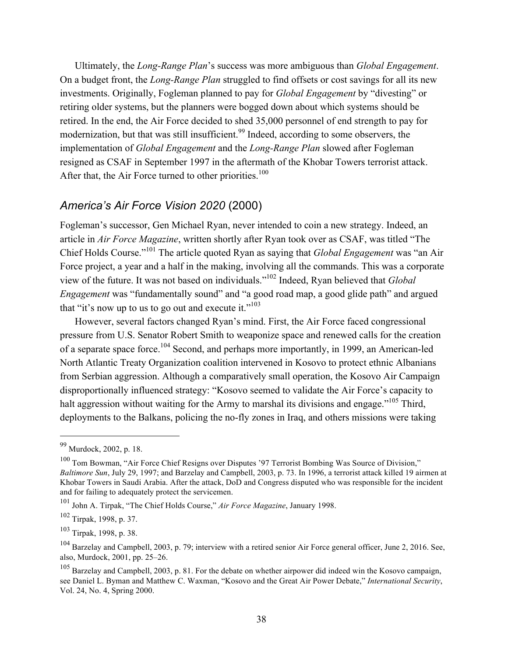Ultimately, the *Long-Range Plan*'s success was more ambiguous than *Global Engagement*. On a budget front, the *Long-Range Plan* struggled to find offsets or cost savings for all its new investments. Originally, Fogleman planned to pay for *Global Engagement* by "divesting" or retiring older systems, but the planners were bogged down about which systems should be retired. In the end, the Air Force decided to shed 35,000 personnel of end strength to pay for modernization, but that was still insufficient.<sup>99</sup> Indeed, according to some observers, the implementation of *Global Engagement* and the *Long-Range Plan* slowed after Fogleman resigned as CSAF in September 1997 in the aftermath of the Khobar Towers terrorist attack. After that, the Air Force turned to other priorities.<sup>100</sup>

### *America's Air Force Vision 2020* (2000)

Fogleman's successor, Gen Michael Ryan, never intended to coin a new strategy. Indeed, an article in *Air Force Magazine*, written shortly after Ryan took over as CSAF, was titled "The Chief Holds Course."101 The article quoted Ryan as saying that *Global Engagement* was "an Air Force project, a year and a half in the making, involving all the commands. This was a corporate view of the future. It was not based on individuals."102 Indeed, Ryan believed that *Global Engagement* was "fundamentally sound" and "a good road map, a good glide path" and argued that "it's now up to us to go out and execute it."<sup>103</sup>

However, several factors changed Ryan's mind. First, the Air Force faced congressional pressure from U.S. Senator Robert Smith to weaponize space and renewed calls for the creation of a separate space force.104 Second, and perhaps more importantly, in 1999, an American-led North Atlantic Treaty Organization coalition intervened in Kosovo to protect ethnic Albanians from Serbian aggression. Although a comparatively small operation, the Kosovo Air Campaign disproportionally influenced strategy: "Kosovo seemed to validate the Air Force's capacity to halt aggression without waiting for the Army to marshal its divisions and engage."<sup>105</sup> Third, deployments to the Balkans, policing the no-fly zones in Iraq, and others missions were taking

<sup>99</sup> Murdock, 2002, p. 18.

<sup>100</sup> Tom Bowman, "Air Force Chief Resigns over Disputes '97 Terrorist Bombing Was Source of Division," *Baltimore Sun*, July 29, 1997; and Barzelay and Campbell, 2003, p. 73. In 1996, a terrorist attack killed 19 airmen at Khobar Towers in Saudi Arabia. After the attack, DoD and Congress disputed who was responsible for the incident and for failing to adequately protect the servicemen.

<sup>101</sup> John A. Tirpak, "The Chief Holds Course," *Air Force Magazine*, January 1998.

<sup>102</sup> Tirpak, 1998, p. 37.

<sup>103</sup> Tirpak, 1998, p. 38.

 $104$  Barzelay and Campbell, 2003, p. 79; interview with a retired senior Air Force general officer, June 2, 2016. See, also, Murdock, 2001, pp. 25–26.

<sup>&</sup>lt;sup>105</sup> Barzelay and Campbell, 2003, p. 81. For the debate on whether airpower did indeed win the Kosovo campaign, see Daniel L. Byman and Matthew C. Waxman, "Kosovo and the Great Air Power Debate," *International Security*, Vol. 24, No. 4, Spring 2000.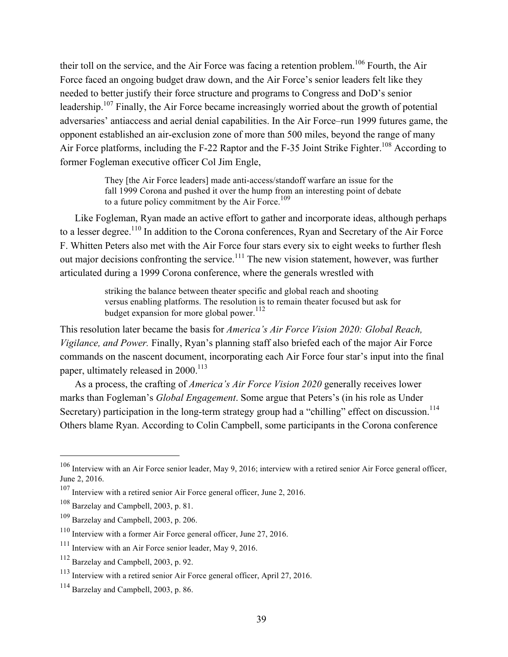their toll on the service, and the Air Force was facing a retention problem.<sup>106</sup> Fourth, the Air Force faced an ongoing budget draw down, and the Air Force's senior leaders felt like they needed to better justify their force structure and programs to Congress and DoD's senior leadership.<sup>107</sup> Finally, the Air Force became increasingly worried about the growth of potential adversaries' antiaccess and aerial denial capabilities. In the Air Force–run 1999 futures game, the opponent established an air-exclusion zone of more than 500 miles, beyond the range of many Air Force platforms, including the F-22 Raptor and the F-35 Joint Strike Fighter.<sup>108</sup> According to former Fogleman executive officer Col Jim Engle,

> They [the Air Force leaders] made anti-access/standoff warfare an issue for the fall 1999 Corona and pushed it over the hump from an interesting point of debate to a future policy commitment by the Air Force. $109$

Like Fogleman, Ryan made an active effort to gather and incorporate ideas, although perhaps to a lesser degree.<sup>110</sup> In addition to the Corona conferences, Ryan and Secretary of the Air Force F. Whitten Peters also met with the Air Force four stars every six to eight weeks to further flesh out major decisions confronting the service.<sup>111</sup> The new vision statement, however, was further articulated during a 1999 Corona conference, where the generals wrestled with

> striking the balance between theater specific and global reach and shooting versus enabling platforms. The resolution is to remain theater focused but ask for budget expansion for more global power.<sup>112</sup>

This resolution later became the basis for *America's Air Force Vision 2020: Global Reach, Vigilance, and Power.* Finally, Ryan's planning staff also briefed each of the major Air Force commands on the nascent document, incorporating each Air Force four star's input into the final paper, ultimately released in 2000.<sup>113</sup>

As a process, the crafting of *America's Air Force Vision 2020* generally receives lower marks than Fogleman's *Global Engagement*. Some argue that Peters's (in his role as Under Secretary) participation in the long-term strategy group had a "chilling" effect on discussion.<sup>114</sup> Others blame Ryan. According to Colin Campbell, some participants in the Corona conference

 $106$  Interview with an Air Force senior leader, May 9, 2016; interview with a retired senior Air Force general officer, June 2, 2016.

<sup>107</sup> Interview with a retired senior Air Force general officer, June 2, 2016.

<sup>&</sup>lt;sup>108</sup> Barzelay and Campbell, 2003, p. 81.

<sup>109</sup> Barzelay and Campbell, 2003, p. 206.

<sup>110</sup> Interview with a former Air Force general officer, June 27, 2016.

<sup>&</sup>lt;sup>111</sup> Interview with an Air Force senior leader, May 9, 2016.

<sup>112</sup> Barzelay and Campbell, 2003, p. 92.

<sup>113</sup> Interview with a retired senior Air Force general officer, April 27, 2016.

<sup>114</sup> Barzelay and Campbell, 2003, p. 86.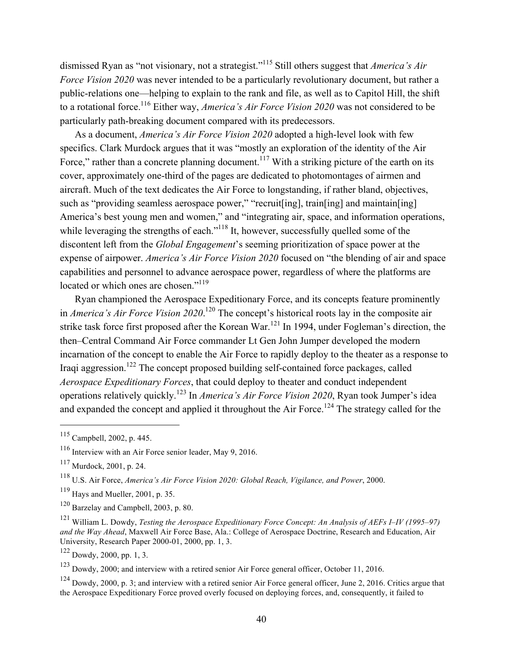dismissed Ryan as "not visionary, not a strategist."115 Still others suggest that *America's Air Force Vision 2020* was never intended to be a particularly revolutionary document, but rather a public-relations one—helping to explain to the rank and file, as well as to Capitol Hill, the shift to a rotational force.116 Either way, *America's Air Force Vision 2020* was not considered to be particularly path-breaking document compared with its predecessors.

As a document, *America's Air Force Vision 2020* adopted a high-level look with few specifics. Clark Murdock argues that it was "mostly an exploration of the identity of the Air Force," rather than a concrete planning document.<sup>117</sup> With a striking picture of the earth on its cover, approximately one-third of the pages are dedicated to photomontages of airmen and aircraft. Much of the text dedicates the Air Force to longstanding, if rather bland, objectives, such as "providing seamless aerospace power," "recruit[ing], train[ing] and maintain[ing] America's best young men and women," and "integrating air, space, and information operations, while leveraging the strengths of each."<sup>118</sup> It, however, successfully quelled some of the discontent left from the *Global Engagement*'s seeming prioritization of space power at the expense of airpower. *America's Air Force Vision 2020* focused on "the blending of air and space capabilities and personnel to advance aerospace power, regardless of where the platforms are located or which ones are chosen."<sup>119</sup>

Ryan championed the Aerospace Expeditionary Force, and its concepts feature prominently in *America's Air Force Vision 2020*. 120 The concept's historical roots lay in the composite air strike task force first proposed after the Korean War.<sup>121</sup> In 1994, under Fogleman's direction, the then–Central Command Air Force commander Lt Gen John Jumper developed the modern incarnation of the concept to enable the Air Force to rapidly deploy to the theater as a response to Iraqi aggression.122 The concept proposed building self-contained force packages, called *Aerospace Expeditionary Forces*, that could deploy to theater and conduct independent operations relatively quickly.123 In *America's Air Force Vision 2020*, Ryan took Jumper's idea and expanded the concept and applied it throughout the Air Force.<sup>124</sup> The strategy called for the

 $\overline{a}$ 

 $122$  Dowdy, 2000, pp. 1, 3.

<sup>123</sup> Dowdy, 2000; and interview with a retired senior Air Force general officer, October 11, 2016.

 $124$  Dowdy, 2000, p. 3; and interview with a retired senior Air Force general officer, June 2, 2016. Critics argue that the Aerospace Expeditionary Force proved overly focused on deploying forces, and, consequently, it failed to

<sup>115</sup> Campbell, 2002, p. 445.

<sup>116</sup> Interview with an Air Force senior leader, May 9, 2016.

<sup>117</sup> Murdock, 2001, p. 24.

<sup>118</sup> U.S. Air Force, *America's Air Force Vision 2020: Global Reach, Vigilance, and Power*, 2000.

 $119$  Hays and Mueller, 2001, p. 35.

<sup>120</sup> Barzelay and Campbell, 2003, p. 80.

<sup>121</sup> William L. Dowdy, *Testing the Aerospace Expeditionary Force Concept: An Analysis of AEFs I–IV (1995–97) and the Way Ahead*, Maxwell Air Force Base, Ala.: College of Aerospace Doctrine, Research and Education, Air University, Research Paper 2000-01, 2000, pp. 1, 3.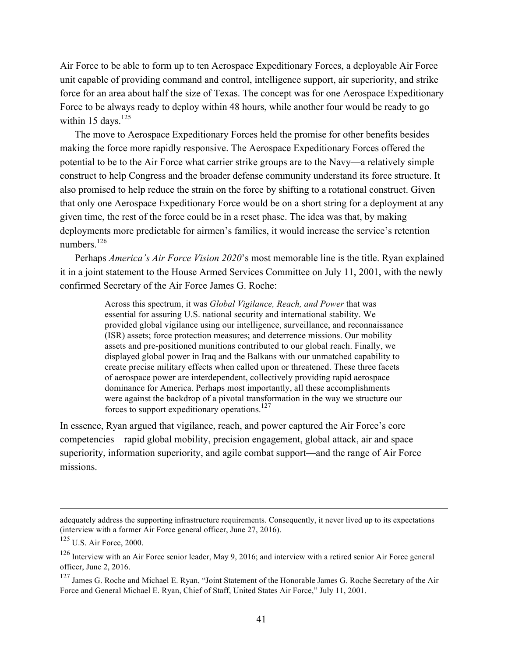Air Force to be able to form up to ten Aerospace Expeditionary Forces, a deployable Air Force unit capable of providing command and control, intelligence support, air superiority, and strike force for an area about half the size of Texas. The concept was for one Aerospace Expeditionary Force to be always ready to deploy within 48 hours, while another four would be ready to go within 15 days.<sup>125</sup>

The move to Aerospace Expeditionary Forces held the promise for other benefits besides making the force more rapidly responsive. The Aerospace Expeditionary Forces offered the potential to be to the Air Force what carrier strike groups are to the Navy—a relatively simple construct to help Congress and the broader defense community understand its force structure. It also promised to help reduce the strain on the force by shifting to a rotational construct. Given that only one Aerospace Expeditionary Force would be on a short string for a deployment at any given time, the rest of the force could be in a reset phase. The idea was that, by making deployments more predictable for airmen's families, it would increase the service's retention numbers<sup>126</sup>

Perhaps *America's Air Force Vision 2020*'s most memorable line is the title. Ryan explained it in a joint statement to the House Armed Services Committee on July 11, 2001, with the newly confirmed Secretary of the Air Force James G. Roche:

> Across this spectrum, it was *Global Vigilance, Reach, and Power* that was essential for assuring U.S. national security and international stability. We provided global vigilance using our intelligence, surveillance, and reconnaissance (ISR) assets; force protection measures; and deterrence missions. Our mobility assets and pre-positioned munitions contributed to our global reach. Finally, we displayed global power in Iraq and the Balkans with our unmatched capability to create precise military effects when called upon or threatened. These three facets of aerospace power are interdependent, collectively providing rapid aerospace dominance for America. Perhaps most importantly, all these accomplishments were against the backdrop of a pivotal transformation in the way we structure our forces to support expeditionary operations.<sup>127</sup>

In essence, Ryan argued that vigilance, reach, and power captured the Air Force's core competencies—rapid global mobility, precision engagement, global attack, air and space superiority, information superiority, and agile combat support—and the range of Air Force missions.

<u>.</u>

adequately address the supporting infrastructure requirements. Consequently, it never lived up to its expectations (interview with a former Air Force general officer, June 27, 2016).

<sup>125</sup> U.S. Air Force, 2000.

<sup>126</sup> Interview with an Air Force senior leader, May 9, 2016; and interview with a retired senior Air Force general officer, June 2, 2016.

<sup>&</sup>lt;sup>127</sup> James G. Roche and Michael E. Ryan, "Joint Statement of the Honorable James G. Roche Secretary of the Air Force and General Michael E. Ryan, Chief of Staff, United States Air Force," July 11, 2001.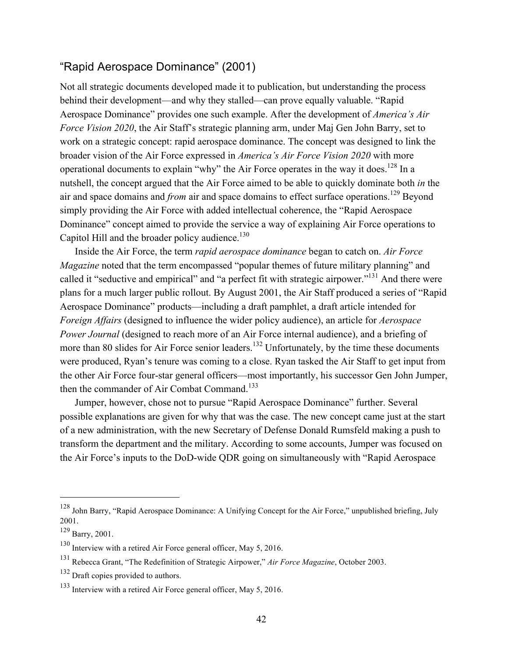# "Rapid Aerospace Dominance" (2001)

Not all strategic documents developed made it to publication, but understanding the process behind their development—and why they stalled—can prove equally valuable. "Rapid Aerospace Dominance" provides one such example. After the development of *America's Air Force Vision 2020*, the Air Staff's strategic planning arm, under Maj Gen John Barry, set to work on a strategic concept: rapid aerospace dominance. The concept was designed to link the broader vision of the Air Force expressed in *America's Air Force Vision 2020* with more operational documents to explain "why" the Air Force operates in the way it does.<sup>128</sup> In a nutshell, the concept argued that the Air Force aimed to be able to quickly dominate both *in* the air and space domains and *from* air and space domains to effect surface operations.<sup>129</sup> Beyond simply providing the Air Force with added intellectual coherence, the "Rapid Aerospace Dominance" concept aimed to provide the service a way of explaining Air Force operations to Capitol Hill and the broader policy audience. $130$ 

Inside the Air Force, the term *rapid aerospace dominance* began to catch on. *Air Force Magazine* noted that the term encompassed "popular themes of future military planning" and called it "seductive and empirical" and "a perfect fit with strategic airpower."<sup>131</sup> And there were plans for a much larger public rollout. By August 2001, the Air Staff produced a series of "Rapid Aerospace Dominance" products—including a draft pamphlet, a draft article intended for *Foreign Affairs* (designed to influence the wider policy audience), an article for *Aerospace Power Journal* (designed to reach more of an Air Force internal audience), and a briefing of more than 80 slides for Air Force senior leaders.<sup>132</sup> Unfortunately, by the time these documents were produced, Ryan's tenure was coming to a close. Ryan tasked the Air Staff to get input from the other Air Force four-star general officers—most importantly, his successor Gen John Jumper, then the commander of Air Combat Command.<sup>133</sup>

Jumper, however, chose not to pursue "Rapid Aerospace Dominance" further. Several possible explanations are given for why that was the case. The new concept came just at the start of a new administration, with the new Secretary of Defense Donald Rumsfeld making a push to transform the department and the military. According to some accounts, Jumper was focused on the Air Force's inputs to the DoD-wide QDR going on simultaneously with "Rapid Aerospace

<sup>128</sup> John Barry, "Rapid Aerospace Dominance: A Unifying Concept for the Air Force," unpublished briefing, July 2001.

 $^{129}$  Barry, 2001.

 $130$  Interview with a retired Air Force general officer, May 5, 2016.

<sup>131</sup> Rebecca Grant, "The Redefinition of Strategic Airpower," *Air Force Magazine*, October 2003.

<sup>&</sup>lt;sup>132</sup> Draft copies provided to authors.

<sup>133</sup> Interview with a retired Air Force general officer, May 5, 2016.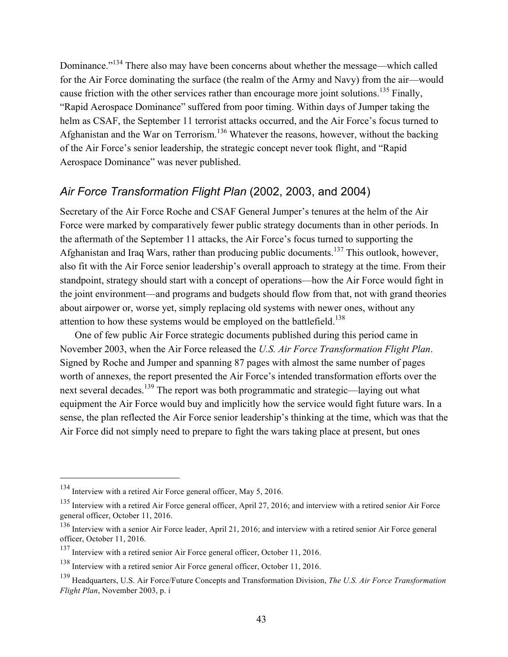Dominance."<sup>134</sup> There also may have been concerns about whether the message—which called for the Air Force dominating the surface (the realm of the Army and Navy) from the air—would cause friction with the other services rather than encourage more joint solutions.<sup>135</sup> Finally, "Rapid Aerospace Dominance" suffered from poor timing. Within days of Jumper taking the helm as CSAF, the September 11 terrorist attacks occurred, and the Air Force's focus turned to Afghanistan and the War on Terrorism.<sup>136</sup> Whatever the reasons, however, without the backing of the Air Force's senior leadership, the strategic concept never took flight, and "Rapid Aerospace Dominance" was never published.

### *Air Force Transformation Flight Plan* (2002, 2003, and 2004)

Secretary of the Air Force Roche and CSAF General Jumper's tenures at the helm of the Air Force were marked by comparatively fewer public strategy documents than in other periods. In the aftermath of the September 11 attacks, the Air Force's focus turned to supporting the Afghanistan and Iraq Wars, rather than producing public documents.<sup>137</sup> This outlook, however, also fit with the Air Force senior leadership's overall approach to strategy at the time. From their standpoint, strategy should start with a concept of operations—how the Air Force would fight in the joint environment—and programs and budgets should flow from that, not with grand theories about airpower or, worse yet, simply replacing old systems with newer ones, without any attention to how these systems would be employed on the battlefield.<sup>138</sup>

One of few public Air Force strategic documents published during this period came in November 2003, when the Air Force released the *U.S. Air Force Transformation Flight Plan*. Signed by Roche and Jumper and spanning 87 pages with almost the same number of pages worth of annexes, the report presented the Air Force's intended transformation efforts over the next several decades.<sup>139</sup> The report was both programmatic and strategic—laying out what equipment the Air Force would buy and implicitly how the service would fight future wars. In a sense, the plan reflected the Air Force senior leadership's thinking at the time, which was that the Air Force did not simply need to prepare to fight the wars taking place at present, but ones

<sup>&</sup>lt;sup>134</sup> Interview with a retired Air Force general officer, May 5, 2016.

<sup>&</sup>lt;sup>135</sup> Interview with a retired Air Force general officer, April 27, 2016; and interview with a retired senior Air Force general officer, October 11, 2016.

<sup>136</sup> Interview with a senior Air Force leader, April 21, 2016; and interview with a retired senior Air Force general officer, October 11, 2016.

<sup>&</sup>lt;sup>137</sup> Interview with a retired senior Air Force general officer, October 11, 2016.

<sup>138</sup> Interview with a retired senior Air Force general officer, October 11, 2016.

<sup>139</sup> Headquarters, U.S. Air Force/Future Concepts and Transformation Division, *The U.S. Air Force Transformation Flight Plan*, November 2003, p. i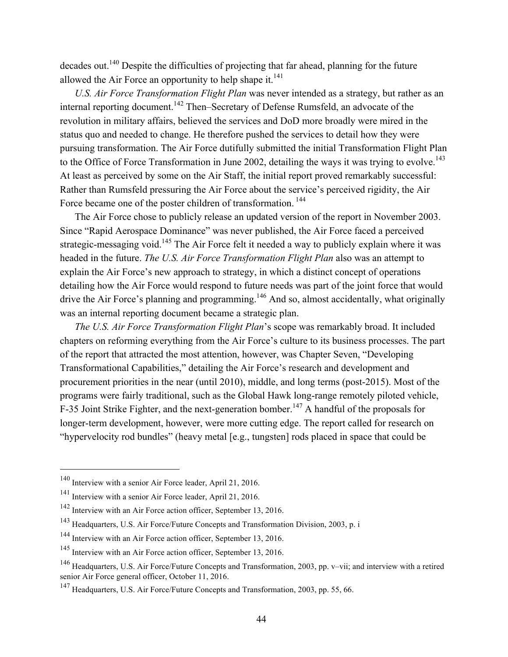decades out.<sup>140</sup> Despite the difficulties of projecting that far ahead, planning for the future allowed the Air Force an opportunity to help shape it. $^{141}$ 

*U.S. Air Force Transformation Flight Plan* was never intended as a strategy, but rather as an internal reporting document.<sup>142</sup> Then–Secretary of Defense Rumsfeld, an advocate of the revolution in military affairs, believed the services and DoD more broadly were mired in the status quo and needed to change. He therefore pushed the services to detail how they were pursuing transformation. The Air Force dutifully submitted the initial Transformation Flight Plan to the Office of Force Transformation in June 2002, detailing the ways it was trying to evolve.<sup>143</sup> At least as perceived by some on the Air Staff, the initial report proved remarkably successful: Rather than Rumsfeld pressuring the Air Force about the service's perceived rigidity, the Air Force became one of the poster children of transformation.<sup>144</sup>

The Air Force chose to publicly release an updated version of the report in November 2003. Since "Rapid Aerospace Dominance" was never published, the Air Force faced a perceived strategic-messaging void.<sup>145</sup> The Air Force felt it needed a way to publicly explain where it was headed in the future. *The U.S. Air Force Transformation Flight Plan* also was an attempt to explain the Air Force's new approach to strategy, in which a distinct concept of operations detailing how the Air Force would respond to future needs was part of the joint force that would drive the Air Force's planning and programming.<sup>146</sup> And so, almost accidentally, what originally was an internal reporting document became a strategic plan.

*The U.S. Air Force Transformation Flight Plan*'s scope was remarkably broad. It included chapters on reforming everything from the Air Force's culture to its business processes. The part of the report that attracted the most attention, however, was Chapter Seven, "Developing Transformational Capabilities," detailing the Air Force's research and development and procurement priorities in the near (until 2010), middle, and long terms (post-2015). Most of the programs were fairly traditional, such as the Global Hawk long-range remotely piloted vehicle, F-35 Joint Strike Fighter, and the next-generation bomber.<sup>147</sup> A handful of the proposals for longer-term development, however, were more cutting edge. The report called for research on "hypervelocity rod bundles" (heavy metal [e.g., tungsten] rods placed in space that could be

<sup>140</sup> Interview with a senior Air Force leader, April 21, 2016.

<sup>141</sup> Interview with a senior Air Force leader, April 21, 2016.

<sup>142</sup> Interview with an Air Force action officer, September 13, 2016.

<sup>143</sup> Headquarters, U.S. Air Force/Future Concepts and Transformation Division, 2003, p. i

<sup>144</sup> Interview with an Air Force action officer, September 13, 2016.

<sup>145</sup> Interview with an Air Force action officer, September 13, 2016.

<sup>146</sup> Headquarters, U.S. Air Force/Future Concepts and Transformation, 2003, pp. v–vii; and interview with a retired senior Air Force general officer, October 11, 2016.

<sup>&</sup>lt;sup>147</sup> Headquarters, U.S. Air Force/Future Concepts and Transformation, 2003, pp. 55, 66.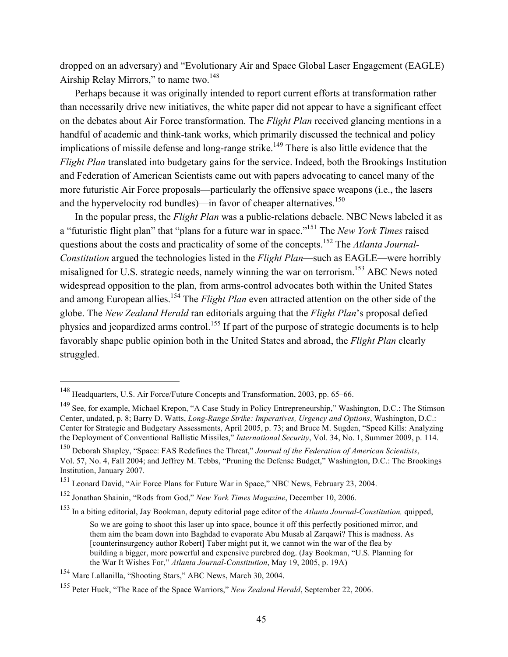dropped on an adversary) and "Evolutionary Air and Space Global Laser Engagement (EAGLE) Airship Relay Mirrors," to name two.<sup>148</sup>

Perhaps because it was originally intended to report current efforts at transformation rather than necessarily drive new initiatives, the white paper did not appear to have a significant effect on the debates about Air Force transformation. The *Flight Plan* received glancing mentions in a handful of academic and think-tank works, which primarily discussed the technical and policy implications of missile defense and long-range strike.<sup>149</sup> There is also little evidence that the *Flight Plan* translated into budgetary gains for the service. Indeed, both the Brookings Institution and Federation of American Scientists came out with papers advocating to cancel many of the more futuristic Air Force proposals—particularly the offensive space weapons (i.e., the lasers and the hypervelocity rod bundles)—in favor of cheaper alternatives.<sup>150</sup>

In the popular press, the *Flight Plan* was a public-relations debacle. NBC News labeled it as a "futuristic flight plan" that "plans for a future war in space."151 The *New York Times* raised questions about the costs and practicality of some of the concepts.152 The *Atlanta Journal-Constitution* argued the technologies listed in the *Flight Plan*—such as EAGLE—were horribly misaligned for U.S. strategic needs, namely winning the war on terrorism.<sup>153</sup> ABC News noted widespread opposition to the plan, from arms-control advocates both within the United States and among European allies.<sup>154</sup> The *Flight Plan* even attracted attention on the other side of the globe. The *New Zealand Herald* ran editorials arguing that the *Flight Plan*'s proposal defied physics and jeopardized arms control.<sup>155</sup> If part of the purpose of strategic documents is to help favorably shape public opinion both in the United States and abroad, the *Flight Plan* clearly struggled.

<sup>148</sup> Headquarters, U.S. Air Force/Future Concepts and Transformation, 2003, pp. 65–66.

<sup>149</sup> See, for example, Michael Krepon, "A Case Study in Policy Entrepreneurship," Washington, D.C.: The Stimson Center, undated, p. 8; Barry D. Watts, *Long-Range Strike: Imperatives, Urgency and Options*, Washington, D.C.: Center for Strategic and Budgetary Assessments, April 2005, p. 73; and Bruce M. Sugden, "Speed Kills: Analyzing the Deployment of Conventional Ballistic Missiles," *International Security*, Vol. 34, No. 1, Summer 2009, p. 114.

<sup>150</sup> Deborah Shapley, "Space: FAS Redefines the Threat," *Journal of the Federation of American Scientists*, Vol. 57, No. 4, Fall 2004; and Jeffrey M. Tebbs, "Pruning the Defense Budget," Washington, D.C.: The Brookings Institution, January 2007.

<sup>&</sup>lt;sup>151</sup> Leonard David, "Air Force Plans for Future War in Space," NBC News, February 23, 2004.

<sup>152</sup> Jonathan Shainin, "Rods from God," *New York Times Magazine*, December 10, 2006.

<sup>153</sup> In a biting editorial, Jay Bookman, deputy editorial page editor of the *Atlanta Journal-Constitution,* quipped,

So we are going to shoot this laser up into space, bounce it off this perfectly positioned mirror, and them aim the beam down into Baghdad to evaporate Abu Musab al Zarqawi? This is madness. As [counterinsurgency author Robert] Taber might put it, we cannot win the war of the flea by building a bigger, more powerful and expensive purebred dog. (Jay Bookman, "U.S. Planning for the War It Wishes For," *Atlanta Journal-Constitution*, May 19, 2005, p. 19A)

<sup>154</sup> Marc Lallanilla, "Shooting Stars," ABC News, March 30, 2004.

<sup>155</sup> Peter Huck, "The Race of the Space Warriors," *New Zealand Herald*, September 22, 2006.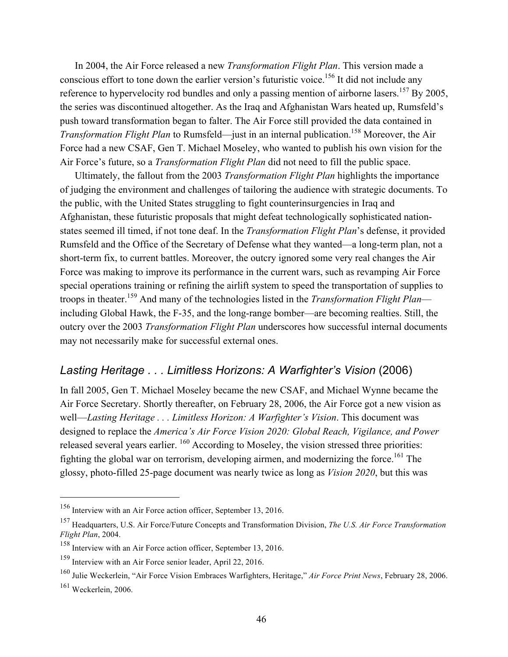In 2004, the Air Force released a new *Transformation Flight Plan*. This version made a conscious effort to tone down the earlier version's futuristic voice.<sup>156</sup> It did not include any reference to hypervelocity rod bundles and only a passing mention of airborne lasers.<sup>157</sup> By 2005, the series was discontinued altogether. As the Iraq and Afghanistan Wars heated up, Rumsfeld's push toward transformation began to falter. The Air Force still provided the data contained in *Transformation Flight Plan* to Rumsfeld—just in an internal publication.<sup>158</sup> Moreover, the Air Force had a new CSAF, Gen T. Michael Moseley, who wanted to publish his own vision for the Air Force's future, so a *Transformation Flight Plan* did not need to fill the public space.

Ultimately, the fallout from the 2003 *Transformation Flight Plan* highlights the importance of judging the environment and challenges of tailoring the audience with strategic documents. To the public, with the United States struggling to fight counterinsurgencies in Iraq and Afghanistan, these futuristic proposals that might defeat technologically sophisticated nationstates seemed ill timed, if not tone deaf. In the *Transformation Flight Plan*'s defense, it provided Rumsfeld and the Office of the Secretary of Defense what they wanted—a long-term plan, not a short-term fix, to current battles. Moreover, the outcry ignored some very real changes the Air Force was making to improve its performance in the current wars, such as revamping Air Force special operations training or refining the airlift system to speed the transportation of supplies to troops in theater.159 And many of the technologies listed in the *Transformation Flight Plan* including Global Hawk, the F-35, and the long-range bomber—are becoming realties. Still, the outcry over the 2003 *Transformation Flight Plan* underscores how successful internal documents may not necessarily make for successful external ones.

### *Lasting Heritage . . . Limitless Horizons: A Warfighter's Vision* (2006)

In fall 2005, Gen T. Michael Moseley became the new CSAF, and Michael Wynne became the Air Force Secretary. Shortly thereafter, on February 28, 2006, the Air Force got a new vision as well—*Lasting Heritage . . . Limitless Horizon: A Warfighter's Vision*. This document was designed to replace the *America's Air Force Vision 2020: Global Reach, Vigilance, and Power*  released several years earlier. <sup>160</sup> According to Moseley, the vision stressed three priorities: fighting the global war on terrorism, developing airmen, and modernizing the force.<sup>161</sup> The glossy, photo-filled 25-page document was nearly twice as long as *Vision 2020*, but this was

<sup>156</sup> Interview with an Air Force action officer, September 13, 2016.

<sup>157</sup> Headquarters, U.S. Air Force/Future Concepts and Transformation Division, *The U.S. Air Force Transformation Flight Plan*, 2004.

<sup>158</sup> Interview with an Air Force action officer, September 13, 2016.

<sup>159</sup> Interview with an Air Force senior leader, April 22, 2016.

<sup>160</sup> Julie Weckerlein, "Air Force Vision Embraces Warfighters, Heritage," *Air Force Print News*, February 28, 2006.  $161$  Weckerlein, 2006.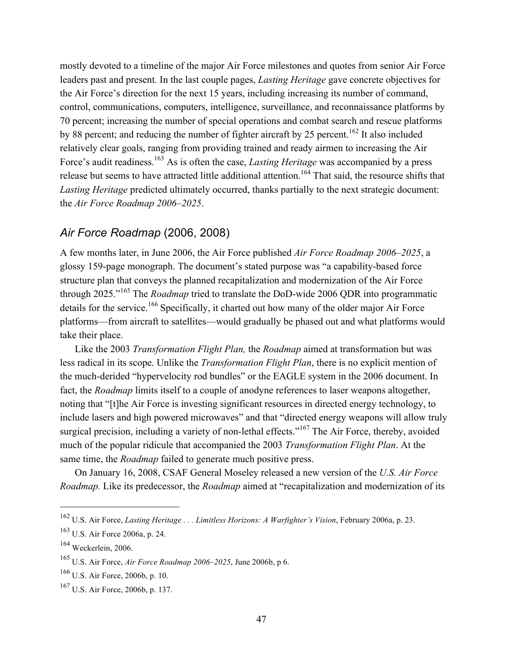mostly devoted to a timeline of the major Air Force milestones and quotes from senior Air Force leaders past and present*.* In the last couple pages, *Lasting Heritage* gave concrete objectives for the Air Force's direction for the next 15 years, including increasing its number of command, control, communications, computers, intelligence, surveillance, and reconnaissance platforms by 70 percent; increasing the number of special operations and combat search and rescue platforms by 88 percent; and reducing the number of fighter aircraft by 25 percent.<sup>162</sup> It also included relatively clear goals, ranging from providing trained and ready airmen to increasing the Air Force's audit readiness.<sup>163</sup> As is often the case, *Lasting Heritage* was accompanied by a press release but seems to have attracted little additional attention.<sup>164</sup> That said, the resource shifts that *Lasting Heritage* predicted ultimately occurred, thanks partially to the next strategic document: the *Air Force Roadmap 2006–2025*.

### *Air Force Roadmap* (2006, 2008)

A few months later, in June 2006, the Air Force published *Air Force Roadmap 2006–2025*, a glossy 159-page monograph. The document's stated purpose was "a capability-based force structure plan that conveys the planned recapitalization and modernization of the Air Force through 2025."165 The *Roadmap* tried to translate the DoD-wide 2006 QDR into programmatic details for the service.<sup>166</sup> Specifically, it charted out how many of the older major Air Force platforms—from aircraft to satellites—would gradually be phased out and what platforms would take their place.

Like the 2003 *Transformation Flight Plan,* the *Roadmap* aimed at transformation but was less radical in its scope. Unlike the *Transformation Flight Plan*, there is no explicit mention of the much-derided "hypervelocity rod bundles" or the EAGLE system in the 2006 document. In fact, the *Roadmap* limits itself to a couple of anodyne references to laser weapons altogether, noting that "[t]he Air Force is investing significant resources in directed energy technology, to include lasers and high powered microwaves" and that "directed energy weapons will allow truly surgical precision, including a variety of non-lethal effects."<sup>167</sup> The Air Force, thereby, avoided much of the popular ridicule that accompanied the 2003 *Transformation Flight Plan*. At the same time, the *Roadmap* failed to generate much positive press.

On January 16, 2008, CSAF General Moseley released a new version of the *U.S. Air Force Roadmap.* Like its predecessor, the *Roadmap* aimed at "recapitalization and modernization of its

<sup>162</sup> U.S. Air Force, *Lasting Heritage . . . Limitless Horizons: A Warfighter's Vision*, February 2006a, p. 23.

<sup>163</sup> U.S. Air Force 2006a, p. 24.

<sup>164</sup> Weckerlein, 2006.

<sup>165</sup> U.S. Air Force, *Air Force Roadmap 2006–2025*, June 2006b, p 6.

<sup>166</sup> U.S. Air Force, 2006b, p. 10.

<sup>167</sup> U.S. Air Force, 2006b, p. 137.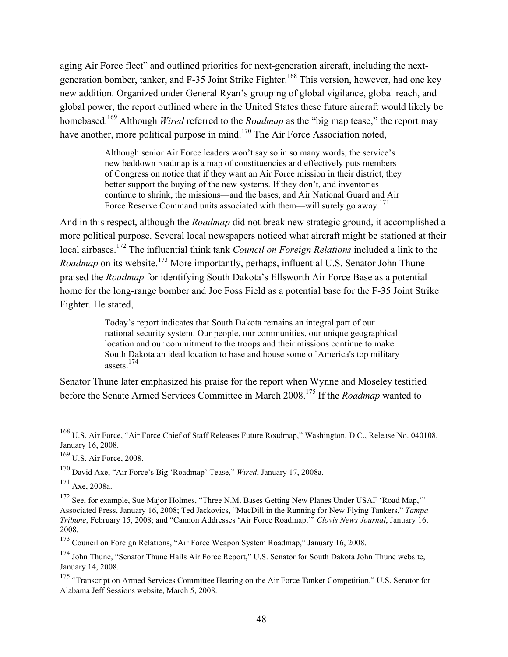aging Air Force fleet" and outlined priorities for next-generation aircraft, including the nextgeneration bomber, tanker, and F-35 Joint Strike Fighter.<sup>168</sup> This version, however, had one key new addition. Organized under General Ryan's grouping of global vigilance, global reach, and global power, the report outlined where in the United States these future aircraft would likely be homebased.169 Although *Wired* referred to the *Roadmap* as the "big map tease," the report may have another, more political purpose in mind.<sup>170</sup> The Air Force Association noted,

> Although senior Air Force leaders won't say so in so many words, the service's new beddown roadmap is a map of constituencies and effectively puts members of Congress on notice that if they want an Air Force mission in their district, they better support the buying of the new systems. If they don't, and inventories continue to shrink, the missions—and the bases, and Air National Guard and Air Force Reserve Command units associated with them—will surely go away.<sup>171</sup>

And in this respect, although the *Roadmap* did not break new strategic ground, it accomplished a more political purpose. Several local newspapers noticed what aircraft might be stationed at their local airbases.172 The influential think tank *Council on Foreign Relations* included a link to the *Roadmap* on its website.<sup>173</sup> More importantly, perhaps, influential U.S. Senator John Thune praised the *Roadmap* for identifying South Dakota's Ellsworth Air Force Base as a potential home for the long-range bomber and Joe Foss Field as a potential base for the F-35 Joint Strike Fighter. He stated,

> Today's report indicates that South Dakota remains an integral part of our national security system. Our people, our communities, our unique geographical location and our commitment to the troops and their missions continue to make South Dakota an ideal location to base and house some of America's top military assets.174

Senator Thune later emphasized his praise for the report when Wynne and Moseley testified before the Senate Armed Services Committee in March 2008.175 If the *Roadmap* wanted to

<sup>168</sup> U.S. Air Force, "Air Force Chief of Staff Releases Future Roadmap," Washington, D.C., Release No. 040108, January 16, 2008.

<sup>169</sup> U.S. Air Force, 2008.

<sup>170</sup> David Axe, "Air Force's Big 'Roadmap' Tease," *Wired*, January 17, 2008a.

 $171$  Axe, 2008a.

<sup>&</sup>lt;sup>172</sup> See, for example, Sue Major Holmes, "Three N.M. Bases Getting New Planes Under USAF 'Road Map,"" Associated Press, January 16, 2008; Ted Jackovics, "MacDill in the Running for New Flying Tankers," *Tampa Tribune*, February 15, 2008; and "Cannon Addresses 'Air Force Roadmap,'" *Clovis News Journal*, January 16, 2008.

<sup>173</sup> Council on Foreign Relations, "Air Force Weapon System Roadmap," January 16, 2008.

<sup>&</sup>lt;sup>174</sup> John Thune, "Senator Thune Hails Air Force Report," U.S. Senator for South Dakota John Thune website, January 14, 2008.

<sup>&</sup>lt;sup>175</sup> "Transcript on Armed Services Committee Hearing on the Air Force Tanker Competition," U.S. Senator for Alabama Jeff Sessions website, March 5, 2008.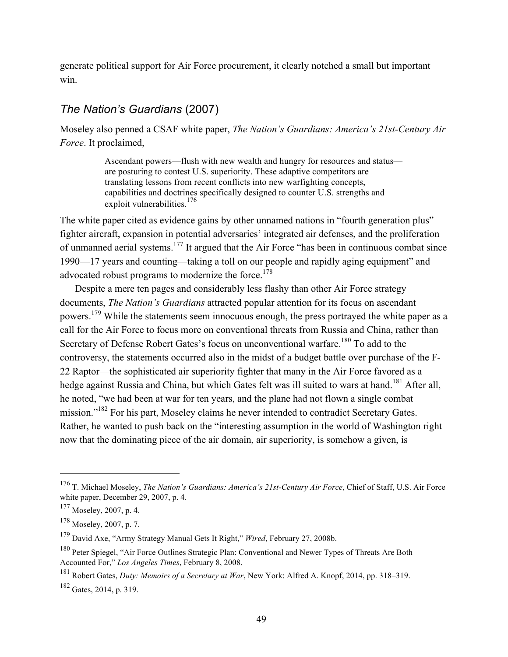generate political support for Air Force procurement, it clearly notched a small but important win.

### *The Nation's Guardians* (2007)

Moseley also penned a CSAF white paper, *The Nation's Guardians: America's 21st-Century Air Force*. It proclaimed,

> Ascendant powers—flush with new wealth and hungry for resources and status are posturing to contest U.S. superiority. These adaptive competitors are translating lessons from recent conflicts into new warfighting concepts, capabilities and doctrines specifically designed to counter U.S. strengths and exploit vulnerabilities.<sup>176</sup>

The white paper cited as evidence gains by other unnamed nations in "fourth generation plus" fighter aircraft, expansion in potential adversaries' integrated air defenses, and the proliferation of unmanned aerial systems.177 It argued that the Air Force "has been in continuous combat since 1990—17 years and counting—taking a toll on our people and rapidly aging equipment" and advocated robust programs to modernize the force.<sup>178</sup>

Despite a mere ten pages and considerably less flashy than other Air Force strategy documents, *The Nation's Guardians* attracted popular attention for its focus on ascendant powers.179 While the statements seem innocuous enough, the press portrayed the white paper as a call for the Air Force to focus more on conventional threats from Russia and China, rather than Secretary of Defense Robert Gates's focus on unconventional warfare.<sup>180</sup> To add to the controversy, the statements occurred also in the midst of a budget battle over purchase of the F-22 Raptor—the sophisticated air superiority fighter that many in the Air Force favored as a hedge against Russia and China, but which Gates felt was ill suited to wars at hand.<sup>181</sup> After all, he noted, "we had been at war for ten years, and the plane had not flown a single combat mission."<sup>182</sup> For his part, Moseley claims he never intended to contradict Secretary Gates. Rather, he wanted to push back on the "interesting assumption in the world of Washington right now that the dominating piece of the air domain, air superiority, is somehow a given, is

<sup>176</sup> T. Michael Moseley, *The Nation's Guardians: America's 21st-Century Air Force*, Chief of Staff, U.S. Air Force white paper, December 29, 2007, p. 4.

 $177$  Moseley, 2007, p. 4.

 $178$  Moseley, 2007, p. 7.

<sup>179</sup> David Axe, "Army Strategy Manual Gets It Right," *Wired*, February 27, 2008b.

<sup>&</sup>lt;sup>180</sup> Peter Spiegel, "Air Force Outlines Strategic Plan: Conventional and Newer Types of Threats Are Both Accounted For," *Los Angeles Times*, February 8, 2008.

<sup>181</sup> Robert Gates, *Duty: Memoirs of a Secretary at War*, New York: Alfred A. Knopf, 2014, pp. 318–319.

 $182$  Gates, 2014, p. 319.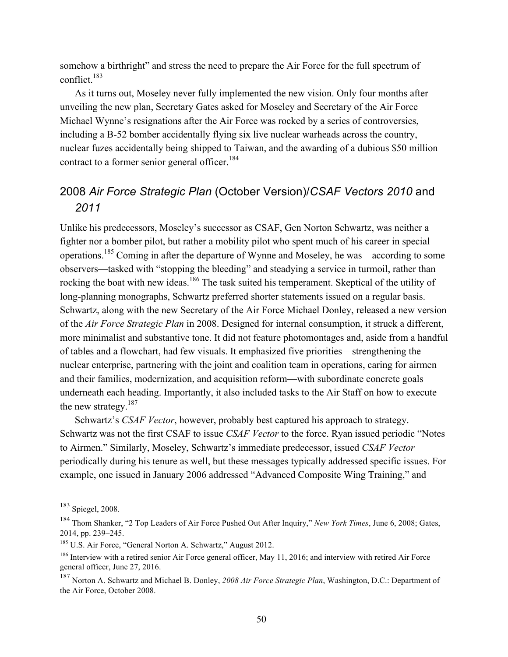somehow a birthright" and stress the need to prepare the Air Force for the full spectrum of conflict. $183$ 

As it turns out, Moseley never fully implemented the new vision. Only four months after unveiling the new plan, Secretary Gates asked for Moseley and Secretary of the Air Force Michael Wynne's resignations after the Air Force was rocked by a series of controversies, including a B-52 bomber accidentally flying six live nuclear warheads across the country, nuclear fuzes accidentally being shipped to Taiwan, and the awarding of a dubious \$50 million contract to a former senior general officer.<sup>184</sup>

# 2008 *Air Force Strategic Plan* (October Version)/*CSAF Vectors 2010* and *2011*

Unlike his predecessors, Moseley's successor as CSAF, Gen Norton Schwartz, was neither a fighter nor a bomber pilot, but rather a mobility pilot who spent much of his career in special operations.185 Coming in after the departure of Wynne and Moseley, he was—according to some observers—tasked with "stopping the bleeding" and steadying a service in turmoil, rather than rocking the boat with new ideas.<sup>186</sup> The task suited his temperament. Skeptical of the utility of long-planning monographs, Schwartz preferred shorter statements issued on a regular basis. Schwartz, along with the new Secretary of the Air Force Michael Donley, released a new version of the *Air Force Strategic Plan* in 2008. Designed for internal consumption, it struck a different, more minimalist and substantive tone. It did not feature photomontages and, aside from a handful of tables and a flowchart, had few visuals. It emphasized five priorities—strengthening the nuclear enterprise, partnering with the joint and coalition team in operations, caring for airmen and their families, modernization, and acquisition reform—with subordinate concrete goals underneath each heading. Importantly, it also included tasks to the Air Staff on how to execute the new strategy.<sup>187</sup>

Schwartz's *CSAF Vector*, however, probably best captured his approach to strategy. Schwartz was not the first CSAF to issue *CSAF Vector* to the force. Ryan issued periodic "Notes to Airmen." Similarly, Moseley, Schwartz's immediate predecessor, issued *CSAF Vector*  periodically during his tenure as well, but these messages typically addressed specific issues. For example, one issued in January 2006 addressed "Advanced Composite Wing Training," and

<sup>183</sup> Spiegel, 2008.

<sup>184</sup> Thom Shanker, "2 Top Leaders of Air Force Pushed Out After Inquiry," *New York Times*, June 6, 2008; Gates, 2014, pp. 239–245.

<sup>&</sup>lt;sup>185</sup> U.S. Air Force, "General Norton A. Schwartz," August 2012.

<sup>&</sup>lt;sup>186</sup> Interview with a retired senior Air Force general officer, May 11, 2016; and interview with retired Air Force general officer, June 27, 2016.

<sup>187</sup> Norton A. Schwartz and Michael B. Donley, *2008 Air Force Strategic Plan*, Washington, D.C.: Department of the Air Force, October 2008.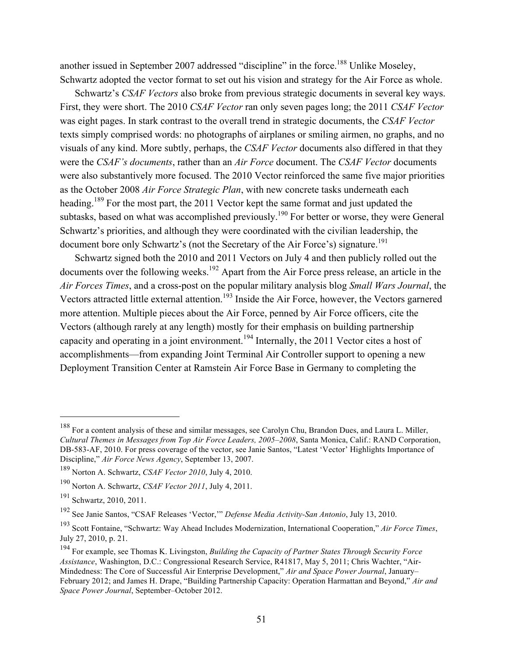another issued in September 2007 addressed "discipline" in the force.<sup>188</sup> Unlike Moseley, Schwartz adopted the vector format to set out his vision and strategy for the Air Force as whole.

Schwartz's *CSAF Vectors* also broke from previous strategic documents in several key ways. First, they were short. The 2010 *CSAF Vector* ran only seven pages long; the 2011 *CSAF Vector* was eight pages. In stark contrast to the overall trend in strategic documents, the *CSAF Vector* texts simply comprised words: no photographs of airplanes or smiling airmen, no graphs, and no visuals of any kind. More subtly, perhaps, the *CSAF Vector* documents also differed in that they were the *CSAF's documents*, rather than an *Air Force* document. The *CSAF Vector* documents were also substantively more focused. The 2010 Vector reinforced the same five major priorities as the October 2008 *Air Force Strategic Plan*, with new concrete tasks underneath each heading.<sup>189</sup> For the most part, the 2011 Vector kept the same format and just updated the subtasks, based on what was accomplished previously.<sup>190</sup> For better or worse, they were General Schwartz's priorities, and although they were coordinated with the civilian leadership, the document bore only Schwartz's (not the Secretary of the Air Force's) signature.<sup>191</sup>

Schwartz signed both the 2010 and 2011 Vectors on July 4 and then publicly rolled out the documents over the following weeks.<sup>192</sup> Apart from the Air Force press release, an article in the *Air Forces Times*, and a cross-post on the popular military analysis blog *Small Wars Journal*, the Vectors attracted little external attention.<sup>193</sup> Inside the Air Force, however, the Vectors garnered more attention. Multiple pieces about the Air Force, penned by Air Force officers, cite the Vectors (although rarely at any length) mostly for their emphasis on building partnership capacity and operating in a joint environment.<sup>194</sup> Internally, the 2011 Vector cites a host of accomplishments—from expanding Joint Terminal Air Controller support to opening a new Deployment Transition Center at Ramstein Air Force Base in Germany to completing the

<sup>&</sup>lt;sup>188</sup> For a content analysis of these and similar messages, see Carolyn Chu, Brandon Dues, and Laura L. Miller, *Cultural Themes in Messages from Top Air Force Leaders, 2005–2008*, Santa Monica, Calif.: RAND Corporation, DB-583-AF, 2010. For press coverage of the vector, see Janie Santos, "Latest 'Vector' Highlights Importance of Discipline," *Air Force News Agency*, September 13, 2007.

<sup>189</sup> Norton A. Schwartz, *CSAF Vector 2010*, July 4, 2010.

<sup>190</sup> Norton A. Schwartz, *CSAF Vector 2011*, July 4, 2011.

<sup>&</sup>lt;sup>191</sup> Schwartz, 2010, 2011.

<sup>192</sup> See Janie Santos, "CSAF Releases 'Vector,'" *Defense Media Activity-San Antonio*, July 13, 2010.

<sup>193</sup> Scott Fontaine, "Schwartz: Way Ahead Includes Modernization, International Cooperation," *Air Force Times*, July 27, 2010, p. 21.

<sup>194</sup> For example, see Thomas K. Livingston, *Building the Capacity of Partner States Through Security Force Assistance*, Washington, D.C.: Congressional Research Service, R41817, May 5, 2011; Chris Wachter, "Air-Mindedness: The Core of Successful Air Enterprise Development," *Air and Space Power Journal*, January– February 2012; and James H. Drape, "Building Partnership Capacity: Operation Harmattan and Beyond," *Air and Space Power Journal*, September–October 2012.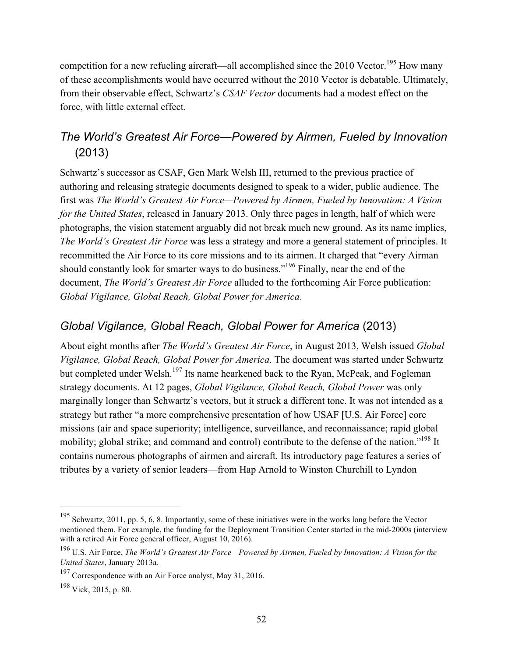competition for a new refueling aircraft—all accomplished since the 2010 Vector.<sup>195</sup> How many of these accomplishments would have occurred without the 2010 Vector is debatable. Ultimately, from their observable effect, Schwartz's *CSAF Vector* documents had a modest effect on the force, with little external effect.

# *The World's Greatest Air Force—Powered by Airmen, Fueled by Innovation* (2013)

Schwartz's successor as CSAF, Gen Mark Welsh III, returned to the previous practice of authoring and releasing strategic documents designed to speak to a wider, public audience. The first was *The World's Greatest Air Force—Powered by Airmen, Fueled by Innovation: A Vision for the United States*, released in January 2013. Only three pages in length, half of which were photographs, the vision statement arguably did not break much new ground. As its name implies, *The World's Greatest Air Force* was less a strategy and more a general statement of principles. It recommitted the Air Force to its core missions and to its airmen. It charged that "every Airman should constantly look for smarter ways to do business."<sup>196</sup> Finally, near the end of the document, *The World's Greatest Air Force* alluded to the forthcoming Air Force publication: *Global Vigilance, Global Reach, Global Power for America*.

# *Global Vigilance, Global Reach, Global Power for America* (2013)

About eight months after *The World's Greatest Air Force*, in August 2013, Welsh issued *Global Vigilance, Global Reach, Global Power for America*. The document was started under Schwartz but completed under Welsh.<sup>197</sup> Its name hearkened back to the Ryan, McPeak, and Fogleman strategy documents. At 12 pages, *Global Vigilance, Global Reach, Global Power* was only marginally longer than Schwartz's vectors, but it struck a different tone. It was not intended as a strategy but rather "a more comprehensive presentation of how USAF [U.S. Air Force] core missions (air and space superiority; intelligence, surveillance, and reconnaissance; rapid global mobility; global strike; and command and control) contribute to the defense of the nation."<sup>198</sup> It contains numerous photographs of airmen and aircraft. Its introductory page features a series of tributes by a variety of senior leaders—from Hap Arnold to Winston Churchill to Lyndon

<sup>195</sup> Schwartz, 2011, pp. 5, 6, 8. Importantly, some of these initiatives were in the works long before the Vector mentioned them. For example, the funding for the Deployment Transition Center started in the mid-2000s (interview with a retired Air Force general officer, August 10, 2016).

<sup>196</sup> U.S. Air Force, *The World's Greatest Air Force—Powered by Airmen, Fueled by Innovation: A Vision for the United States*, January 2013a.

<sup>&</sup>lt;sup>197</sup> Correspondence with an Air Force analyst, May 31, 2016.

<sup>198</sup> Vick, 2015, p. 80.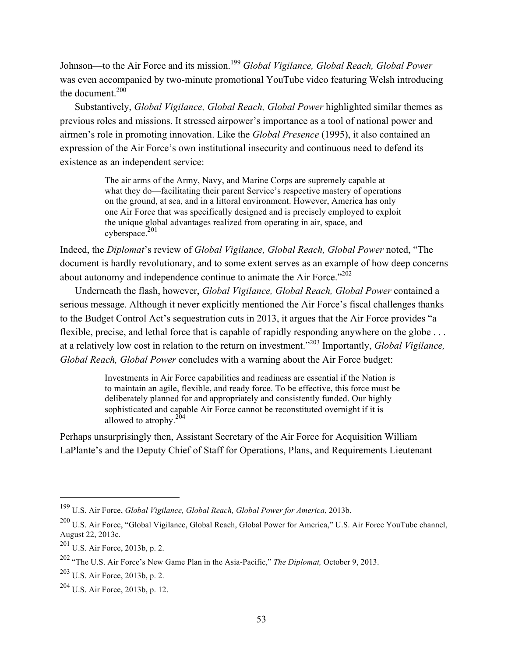Johnson—to the Air Force and its mission.<sup>199</sup> *Global Vigilance, Global Reach, Global Power* was even accompanied by two-minute promotional YouTube video featuring Welsh introducing the document  $200$ 

Substantively, *Global Vigilance, Global Reach, Global Power* highlighted similar themes as previous roles and missions. It stressed airpower's importance as a tool of national power and airmen's role in promoting innovation. Like the *Global Presence* (1995), it also contained an expression of the Air Force's own institutional insecurity and continuous need to defend its existence as an independent service:

> The air arms of the Army, Navy, and Marine Corps are supremely capable at what they do—facilitating their parent Service's respective mastery of operations on the ground, at sea, and in a littoral environment. However, America has only one Air Force that was specifically designed and is precisely employed to exploit the unique global advantages realized from operating in air, space, and  $cy$ berspace.<sup>201</sup>

Indeed, the *Diplomat*'s review of *Global Vigilance, Global Reach, Global Power* noted, "The document is hardly revolutionary, and to some extent serves as an example of how deep concerns about autonomy and independence continue to animate the Air Force."<sup>202</sup>

Underneath the flash, however, *Global Vigilance, Global Reach, Global Power* contained a serious message. Although it never explicitly mentioned the Air Force's fiscal challenges thanks to the Budget Control Act's sequestration cuts in 2013, it argues that the Air Force provides "a flexible, precise, and lethal force that is capable of rapidly responding anywhere on the globe ... at a relatively low cost in relation to the return on investment."203 Importantly, *Global Vigilance, Global Reach, Global Power* concludes with a warning about the Air Force budget:

> Investments in Air Force capabilities and readiness are essential if the Nation is to maintain an agile, flexible, and ready force. To be effective, this force must be deliberately planned for and appropriately and consistently funded. Our highly sophisticated and capable Air Force cannot be reconstituted overnight if it is allowed to atrophy.<sup>204</sup>

Perhaps unsurprisingly then, Assistant Secretary of the Air Force for Acquisition William LaPlante's and the Deputy Chief of Staff for Operations, Plans, and Requirements Lieutenant

<sup>199</sup> U.S. Air Force, *Global Vigilance, Global Reach, Global Power for America*, 2013b.

<sup>200</sup> U.S. Air Force, "Global Vigilance, Global Reach, Global Power for America," U.S. Air Force YouTube channel, August 22, 2013c.

<sup>201</sup> U.S. Air Force, 2013b, p. 2.

<sup>202</sup> "The U.S. Air Force's New Game Plan in the Asia-Pacific," *The Diplomat,* October 9, 2013.

<sup>203</sup> U.S. Air Force, 2013b, p. 2.

<sup>204</sup> U.S. Air Force, 2013b, p. 12.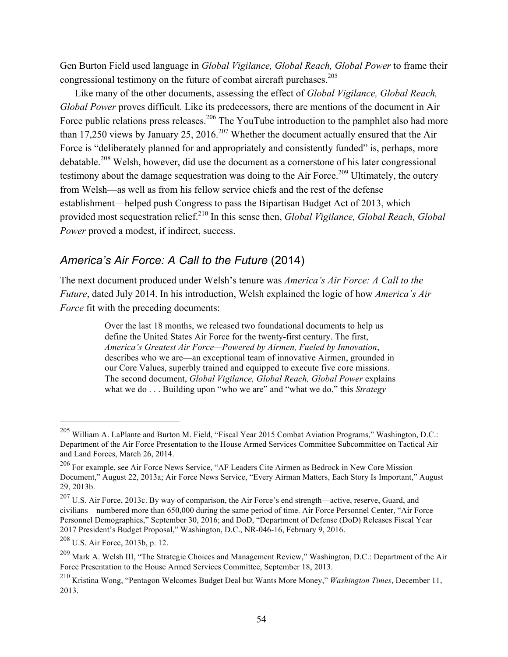Gen Burton Field used language in *Global Vigilance, Global Reach, Global Power* to frame their congressional testimony on the future of combat aircraft purchases.<sup>205</sup>

Like many of the other documents, assessing the effect of *Global Vigilance, Global Reach, Global Power* proves difficult. Like its predecessors, there are mentions of the document in Air Force public relations press releases.<sup>206</sup> The YouTube introduction to the pamphlet also had more than 17,250 views by January 25, 2016.<sup>207</sup> Whether the document actually ensured that the Air Force is "deliberately planned for and appropriately and consistently funded" is, perhaps, more debatable.208 Welsh, however, did use the document as a cornerstone of his later congressional testimony about the damage sequestration was doing to the Air Force.<sup>209</sup> Ultimately, the outcry from Welsh—as well as from his fellow service chiefs and the rest of the defense establishment—helped push Congress to pass the Bipartisan Budget Act of 2013, which provided most sequestration relief.210 In this sense then, *Global Vigilance, Global Reach, Global Power* proved a modest, if indirect, success.

### *America's Air Force: A Call to the Future* (2014)

The next document produced under Welsh's tenure was *America's Air Force: A Call to the Future*, dated July 2014. In his introduction, Welsh explained the logic of how *America's Air Force* fit with the preceding documents:

> Over the last 18 months, we released two foundational documents to help us define the United States Air Force for the twenty-first century. The first, *America's Greatest Air Force—Powered by Airmen, Fueled by Innovation*, describes who we are—an exceptional team of innovative Airmen, grounded in our Core Values, superbly trained and equipped to execute five core missions. The second document, *Global Vigilance, Global Reach, Global Power* explains what we do . . . Building upon "who we are" and "what we do," this *Strategy*

<sup>205</sup> William A. LaPlante and Burton M. Field, "Fiscal Year 2015 Combat Aviation Programs," Washington, D.C.: Department of the Air Force Presentation to the House Armed Services Committee Subcommittee on Tactical Air and Land Forces, March 26, 2014.

<sup>206</sup> For example, see Air Force News Service, "AF Leaders Cite Airmen as Bedrock in New Core Mission Document," August 22, 2013a; Air Force News Service, "Every Airman Matters, Each Story Is Important," August 29, 2013b.

<sup>207</sup> U.S. Air Force, 2013c. By way of comparison, the Air Force's end strength—active, reserve, Guard, and civilians—numbered more than 650,000 during the same period of time. Air Force Personnel Center, "Air Force Personnel Demographics," September 30, 2016; and DoD, "Department of Defense (DoD) Releases Fiscal Year 2017 President's Budget Proposal," Washington, D.C., NR-046-16, February 9, 2016.

<sup>208</sup> U.S. Air Force, 2013b, p. 12.

<sup>209</sup> Mark A. Welsh III, "The Strategic Choices and Management Review," Washington, D.C.: Department of the Air Force Presentation to the House Armed Services Committee, September 18, 2013.

<sup>210</sup> Kristina Wong, "Pentagon Welcomes Budget Deal but Wants More Money," *Washington Times*, December 11, 2013.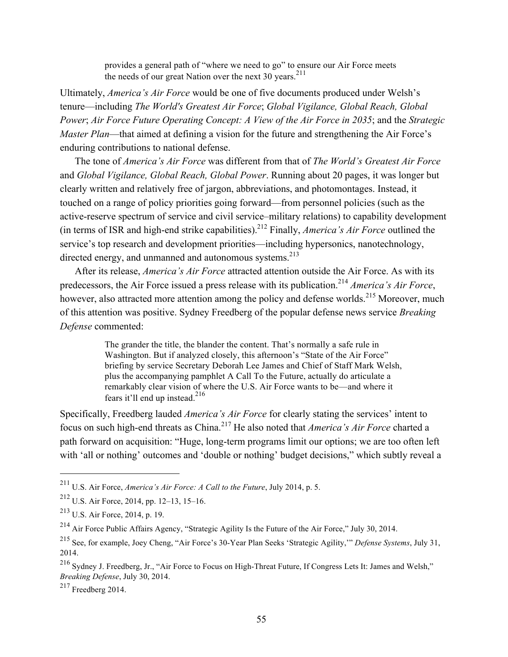provides a general path of "where we need to go" to ensure our Air Force meets the needs of our great Nation over the next 30 years.<sup>211</sup>

Ultimately, *America's Air Force* would be one of five documents produced under Welsh's tenure—including *The World's Greatest Air Force*; *Global Vigilance, Global Reach, Global Power*; *Air Force Future Operating Concept: A View of the Air Force in 2035*; and the *Strategic Master Plan*—that aimed at defining a vision for the future and strengthening the Air Force's enduring contributions to national defense.

The tone of *America's Air Force* was different from that of *The World's Greatest Air Force* and *Global Vigilance, Global Reach, Global Power*. Running about 20 pages, it was longer but clearly written and relatively free of jargon, abbreviations, and photomontages. Instead, it touched on a range of policy priorities going forward—from personnel policies (such as the active-reserve spectrum of service and civil service–military relations) to capability development (in terms of ISR and high-end strike capabilities).212 Finally, *America's Air Force* outlined the service's top research and development priorities—including hypersonics, nanotechnology, directed energy, and unmanned and autonomous systems.<sup>213</sup>

After its release, *America's Air Force* attracted attention outside the Air Force. As with its predecessors, the Air Force issued a press release with its publication.<sup>214</sup> *America's Air Force*, however, also attracted more attention among the policy and defense worlds.<sup>215</sup> Moreover, much of this attention was positive. Sydney Freedberg of the popular defense news service *Breaking Defense* commented:

> The grander the title, the blander the content. That's normally a safe rule in Washington. But if analyzed closely, this afternoon's "State of the Air Force" briefing by service Secretary Deborah Lee James and Chief of Staff Mark Welsh, plus the accompanying pamphlet A Call To the Future, actually do articulate a remarkably clear vision of where the U.S. Air Force wants to be—and where it fears it'll end up instead.<sup>216</sup>

Specifically, Freedberg lauded *America's Air Force* for clearly stating the services' intent to focus on such high-end threats as China.<sup>217</sup> He also noted that *America's Air Force* charted a path forward on acquisition: "Huge, long-term programs limit our options; we are too often left with 'all or nothing' outcomes and 'double or nothing' budget decisions," which subtly reveal a

 $217$  Freedberg 2014.

<sup>211</sup> U.S. Air Force, *America's Air Force: A Call to the Future*, July 2014, p. 5.

<sup>212</sup> U.S. Air Force, 2014, pp. 12–13, 15–16.

<sup>213</sup> U.S. Air Force, 2014, p. 19.

<sup>214</sup> Air Force Public Affairs Agency, "Strategic Agility Is the Future of the Air Force," July 30, 2014.

<sup>215</sup> See, for example, Joey Cheng, "Air Force's 30-Year Plan Seeks 'Strategic Agility,'" *Defense Systems*, July 31, 2014.

<sup>216</sup> Sydney J. Freedberg, Jr., "Air Force to Focus on High-Threat Future, If Congress Lets It: James and Welsh," *Breaking Defense*, July 30, 2014.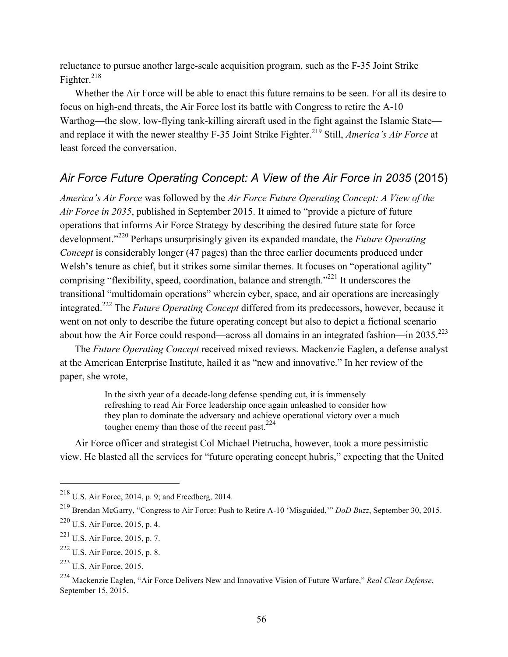reluctance to pursue another large-scale acquisition program, such as the F-35 Joint Strike Fighter. $^{218}$ 

Whether the Air Force will be able to enact this future remains to be seen. For all its desire to focus on high-end threats, the Air Force lost its battle with Congress to retire the A-10 Warthog—the slow, low-flying tank-killing aircraft used in the fight against the Islamic State and replace it with the newer stealthy F-35 Joint Strike Fighter.<sup>219</sup> Still, *America's Air Force* at least forced the conversation.

# *Air Force Future Operating Concept: A View of the Air Force in 2035* (2015)

*America's Air Force* was followed by the *Air Force Future Operating Concept: A View of the Air Force in 2035*, published in September 2015. It aimed to "provide a picture of future operations that informs Air Force Strategy by describing the desired future state for force development."220 Perhaps unsurprisingly given its expanded mandate, the *Future Operating Concept* is considerably longer (47 pages) than the three earlier documents produced under Welsh's tenure as chief, but it strikes some similar themes. It focuses on "operational agility" comprising "flexibility, speed, coordination, balance and strength."221 It underscores the transitional "multidomain operations" wherein cyber, space, and air operations are increasingly integrated.222 The *Future Operating Concept* differed from its predecessors, however, because it went on not only to describe the future operating concept but also to depict a fictional scenario about how the Air Force could respond—across all domains in an integrated fashion—in  $2035.^{223}$ 

The *Future Operating Concept* received mixed reviews. Mackenzie Eaglen, a defense analyst at the American Enterprise Institute, hailed it as "new and innovative." In her review of the paper, she wrote,

> In the sixth year of a decade-long defense spending cut, it is immensely refreshing to read Air Force leadership once again unleashed to consider how they plan to dominate the adversary and achieve operational victory over a much tougher enemy than those of the recent past.  $224$

Air Force officer and strategist Col Michael Pietrucha, however, took a more pessimistic view. He blasted all the services for "future operating concept hubris," expecting that the United

<sup>218</sup> U.S. Air Force, 2014, p. 9; and Freedberg, 2014.

<sup>219</sup> Brendan McGarry, "Congress to Air Force: Push to Retire A-10 'Misguided,'" *DoD Buzz*, September 30, 2015.

<sup>220</sup> U.S. Air Force, 2015, p. 4.

<sup>221</sup> U.S. Air Force, 2015, p. 7.

<sup>222</sup> U.S. Air Force, 2015, p. 8.

<sup>223</sup> U.S. Air Force, 2015.

<sup>224</sup> Mackenzie Eaglen, "Air Force Delivers New and Innovative Vision of Future Warfare," *Real Clear Defense*, September 15, 2015.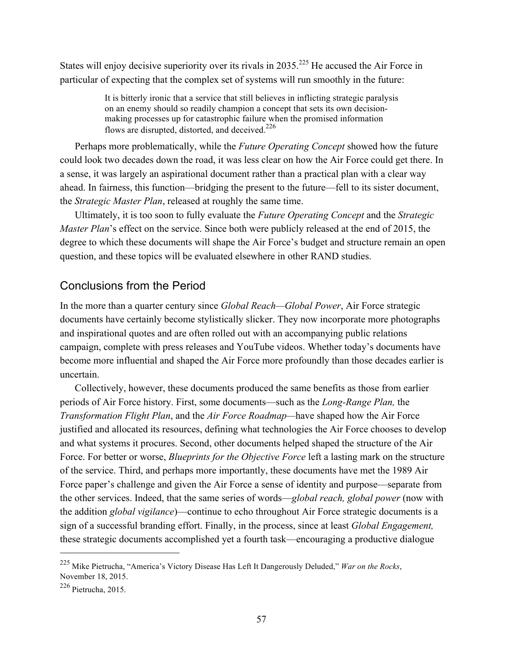States will enjoy decisive superiority over its rivals in  $2035$ <sup>225</sup> He accused the Air Force in particular of expecting that the complex set of systems will run smoothly in the future:

> It is bitterly ironic that a service that still believes in inflicting strategic paralysis on an enemy should so readily champion a concept that sets its own decisionmaking processes up for catastrophic failure when the promised information flows are disrupted, distorted, and deceived.<sup>226</sup>

Perhaps more problematically, while the *Future Operating Concept* showed how the future could look two decades down the road, it was less clear on how the Air Force could get there. In a sense, it was largely an aspirational document rather than a practical plan with a clear way ahead. In fairness, this function—bridging the present to the future—fell to its sister document, the *Strategic Master Plan*, released at roughly the same time.

Ultimately, it is too soon to fully evaluate the *Future Operating Concept* and the *Strategic Master Plan*'s effect on the service. Since both were publicly released at the end of 2015, the degree to which these documents will shape the Air Force's budget and structure remain an open question, and these topics will be evaluated elsewhere in other RAND studies.

### Conclusions from the Period

In the more than a quarter century since *Global Reach—Global Power*, Air Force strategic documents have certainly become stylistically slicker. They now incorporate more photographs and inspirational quotes and are often rolled out with an accompanying public relations campaign, complete with press releases and YouTube videos. Whether today's documents have become more influential and shaped the Air Force more profoundly than those decades earlier is uncertain.

Collectively, however, these documents produced the same benefits as those from earlier periods of Air Force history. First, some documents—such as the *Long-Range Plan,* the *Transformation Flight Plan*, and the *Air Force Roadmap—*have shaped how the Air Force justified and allocated its resources, defining what technologies the Air Force chooses to develop and what systems it procures. Second, other documents helped shaped the structure of the Air Force. For better or worse, *Blueprints for the Objective Force* left a lasting mark on the structure of the service. Third, and perhaps more importantly, these documents have met the 1989 Air Force paper's challenge and given the Air Force a sense of identity and purpose—separate from the other services. Indeed, that the same series of words—*global reach, global power* (now with the addition *global vigilance*)—continue to echo throughout Air Force strategic documents is a sign of a successful branding effort. Finally, in the process, since at least *Global Engagement,*  these strategic documents accomplished yet a fourth task—encouraging a productive dialogue

<sup>225</sup> Mike Pietrucha, "America's Victory Disease Has Left It Dangerously Deluded," *War on the Rocks*, November 18, 2015.

<sup>226</sup> Pietrucha, 2015.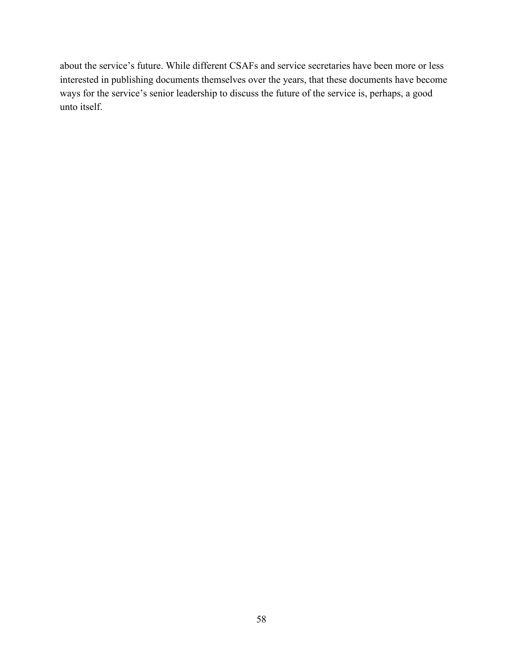about the service's future. While different CSAFs and service secretaries have been more or less interested in publishing documents themselves over the years, that these documents have become ways for the service's senior leadership to discuss the future of the service is, perhaps, a good unto itself.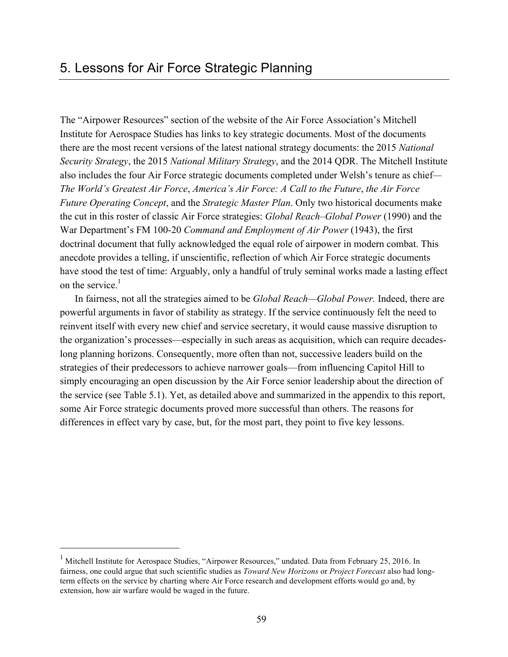The "Airpower Resources" section of the website of the Air Force Association's Mitchell Institute for Aerospace Studies has links to key strategic documents. Most of the documents there are the most recent versions of the latest national strategy documents: the 2015 *National Security Strategy*, the 2015 *National Military Strategy*, and the 2014 QDR. The Mitchell Institute also includes the four Air Force strategic documents completed under Welsh's tenure as chief*— The World's Greatest Air Force*, *America's Air Force: A Call to the Future*, *the Air Force Future Operating Concept*, and the *Strategic Master Plan*. Only two historical documents make the cut in this roster of classic Air Force strategies: *Global Reach–Global Power* (1990) and the War Department's FM 100-20 *Command and Employment of Air Power* (1943), the first doctrinal document that fully acknowledged the equal role of airpower in modern combat. This anecdote provides a telling, if unscientific, reflection of which Air Force strategic documents have stood the test of time: Arguably, only a handful of truly seminal works made a lasting effect on the service  $<sup>1</sup>$ </sup>

In fairness, not all the strategies aimed to be *Global Reach—Global Power.* Indeed, there are powerful arguments in favor of stability as strategy. If the service continuously felt the need to reinvent itself with every new chief and service secretary, it would cause massive disruption to the organization's processes—especially in such areas as acquisition, which can require decadeslong planning horizons. Consequently, more often than not, successive leaders build on the strategies of their predecessors to achieve narrower goals—from influencing Capitol Hill to simply encouraging an open discussion by the Air Force senior leadership about the direction of the service (see Table 5.1). Yet, as detailed above and summarized in the appendix to this report, some Air Force strategic documents proved more successful than others. The reasons for differences in effect vary by case, but, for the most part, they point to five key lessons.

<sup>&</sup>lt;sup>1</sup> Mitchell Institute for Aerospace Studies, "Airpower Resources," undated. Data from February 25, 2016. In fairness, one could argue that such scientific studies as *Toward New Horizons* or *Project Forecast* also had longterm effects on the service by charting where Air Force research and development efforts would go and, by extension, how air warfare would be waged in the future.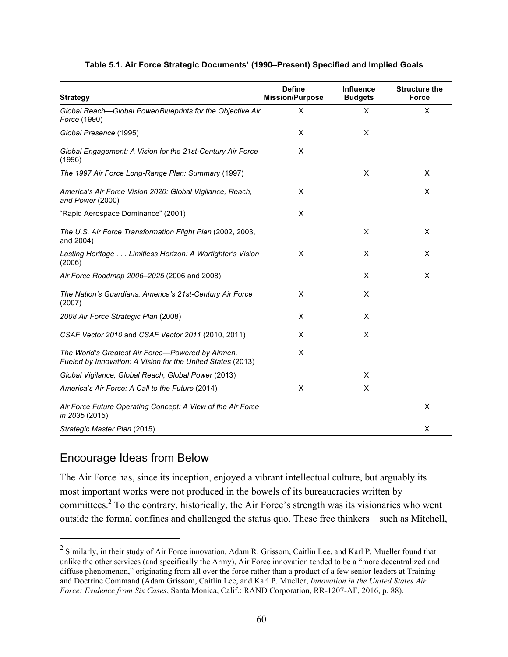|  | Table 5.1. Air Force Strategic Documents' (1990–Present) Specified and Implied Goals |
|--|--------------------------------------------------------------------------------------|
|--|--------------------------------------------------------------------------------------|

| <b>Strategy</b>                                                                                                  | <b>Define</b><br><b>Mission/Purpose</b> | Influence<br><b>Budgets</b> | <b>Structure the</b><br>Force |
|------------------------------------------------------------------------------------------------------------------|-----------------------------------------|-----------------------------|-------------------------------|
| Global Reach-Global Power/Blueprints for the Objective Air<br>Force (1990)                                       | X                                       | X                           | X                             |
| Global Presence (1995)                                                                                           | X                                       | X                           |                               |
| Global Engagement: A Vision for the 21st-Century Air Force<br>(1996)                                             | X                                       |                             |                               |
| The 1997 Air Force Long-Range Plan: Summary (1997)                                                               |                                         | X                           | X                             |
| America's Air Force Vision 2020: Global Vigilance, Reach,<br>and Power (2000)                                    | X                                       |                             | X                             |
| "Rapid Aerospace Dominance" (2001)                                                                               | X                                       |                             |                               |
| The U.S. Air Force Transformation Flight Plan (2002, 2003,<br>and 2004)                                          |                                         | X                           | X                             |
| Lasting Heritage Limitless Horizon: A Warfighter's Vision<br>(2006)                                              | X                                       | X                           | X                             |
| Air Force Roadmap 2006-2025 (2006 and 2008)                                                                      |                                         | X                           | X                             |
| The Nation's Guardians: America's 21st-Century Air Force<br>(2007)                                               | X                                       | X                           |                               |
| 2008 Air Force Strategic Plan (2008)                                                                             | X                                       | X                           |                               |
| CSAF Vector 2010 and CSAF Vector 2011 (2010, 2011)                                                               | X                                       | X                           |                               |
| The World's Greatest Air Force-Powered by Airmen,<br>Fueled by Innovation: A Vision for the United States (2013) | X                                       |                             |                               |
| Global Vigilance, Global Reach, Global Power (2013)                                                              |                                         | X                           |                               |
| America's Air Force: A Call to the Future (2014)                                                                 | X                                       | X                           |                               |
| Air Force Future Operating Concept: A View of the Air Force<br>in 2035 (2015)                                    |                                         |                             | X                             |
| Strategic Master Plan (2015)                                                                                     |                                         |                             | X                             |

# Encourage Ideas from Below

 $\overline{a}$ 

The Air Force has, since its inception, enjoyed a vibrant intellectual culture, but arguably its most important works were not produced in the bowels of its bureaucracies written by committees.<sup>2</sup> To the contrary, historically, the Air Force's strength was its visionaries who went outside the formal confines and challenged the status quo. These free thinkers—such as Mitchell,

 $2$  Similarly, in their study of Air Force innovation, Adam R. Grissom, Caitlin Lee, and Karl P. Mueller found that unlike the other services (and specifically the Army), Air Force innovation tended to be a "more decentralized and diffuse phenomenon," originating from all over the force rather than a product of a few senior leaders at Training and Doctrine Command (Adam Grissom, Caitlin Lee, and Karl P. Mueller, *Innovation in the United States Air Force: Evidence from Six Cases*, Santa Monica, Calif.: RAND Corporation, RR-1207-AF, 2016, p. 88).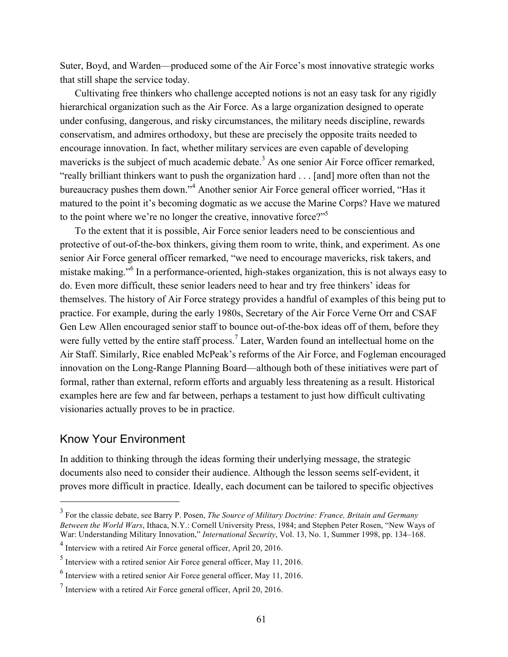Suter, Boyd, and Warden—produced some of the Air Force's most innovative strategic works that still shape the service today.

Cultivating free thinkers who challenge accepted notions is not an easy task for any rigidly hierarchical organization such as the Air Force. As a large organization designed to operate under confusing, dangerous, and risky circumstances, the military needs discipline, rewards conservatism, and admires orthodoxy, but these are precisely the opposite traits needed to encourage innovation. In fact, whether military services are even capable of developing mavericks is the subject of much academic debate.<sup>3</sup> As one senior Air Force officer remarked, "really brilliant thinkers want to push the organization hard . . . [and] more often than not the bureaucracy pushes them down."<sup>4</sup> Another senior Air Force general officer worried, "Has it matured to the point it's becoming dogmatic as we accuse the Marine Corps? Have we matured to the point where we're no longer the creative, innovative force?" $5$ 

To the extent that it is possible, Air Force senior leaders need to be conscientious and protective of out-of-the-box thinkers, giving them room to write, think, and experiment. As one senior Air Force general officer remarked, "we need to encourage mavericks, risk takers, and mistake making."<sup>6</sup> In a performance-oriented, high-stakes organization, this is not always easy to do. Even more difficult, these senior leaders need to hear and try free thinkers' ideas for themselves. The history of Air Force strategy provides a handful of examples of this being put to practice. For example, during the early 1980s, Secretary of the Air Force Verne Orr and CSAF Gen Lew Allen encouraged senior staff to bounce out-of-the-box ideas off of them, before they were fully vetted by the entire staff process.<sup>7</sup> Later, Warden found an intellectual home on the Air Staff. Similarly, Rice enabled McPeak's reforms of the Air Force, and Fogleman encouraged innovation on the Long-Range Planning Board—although both of these initiatives were part of formal, rather than external, reform efforts and arguably less threatening as a result. Historical examples here are few and far between, perhaps a testament to just how difficult cultivating visionaries actually proves to be in practice.

#### Know Your Environment

 $\overline{a}$ 

In addition to thinking through the ideas forming their underlying message, the strategic documents also need to consider their audience. Although the lesson seems self-evident, it proves more difficult in practice. Ideally, each document can be tailored to specific objectives

<sup>3</sup> For the classic debate, see Barry P. Posen, *The Source of Military Doctrine: France, Britain and Germany Between the World Wars*, Ithaca, N.Y.: Cornell University Press, 1984; and Stephen Peter Rosen, "New Ways of War: Understanding Military Innovation," *International Security*, Vol. 13, No. 1, Summer 1998, pp. 134–168.

<sup>4</sup> Interview with a retired Air Force general officer, April 20, 2016.

<sup>5</sup> Interview with a retired senior Air Force general officer, May 11, 2016.

 $<sup>6</sup>$  Interview with a retired senior Air Force general officer, May 11, 2016.</sup>

 $^7$  Interview with a retired Air Force general officer, April 20, 2016.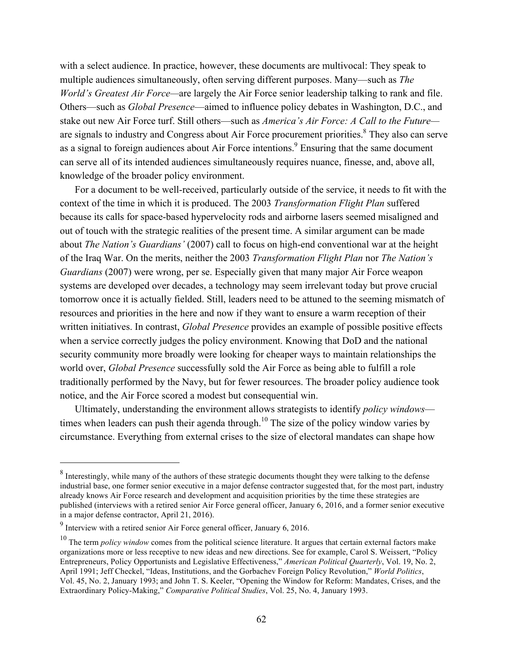with a select audience. In practice, however, these documents are multivocal: They speak to multiple audiences simultaneously, often serving different purposes. Many—such as *The World's Greatest Air Force—*are largely the Air Force senior leadership talking to rank and file. Others—such as *Global Presence*—aimed to influence policy debates in Washington, D.C., and stake out new Air Force turf. Still others—such as *America's Air Force: A Call to the Future* are signals to industry and Congress about Air Force procurement priorities.<sup>8</sup> They also can serve as a signal to foreign audiences about Air Force intentions.<sup>9</sup> Ensuring that the same document can serve all of its intended audiences simultaneously requires nuance, finesse, and, above all, knowledge of the broader policy environment.

For a document to be well-received, particularly outside of the service, it needs to fit with the context of the time in which it is produced. The 2003 *Transformation Flight Plan* suffered because its calls for space-based hypervelocity rods and airborne lasers seemed misaligned and out of touch with the strategic realities of the present time. A similar argument can be made about *The Nation's Guardians'* (2007) call to focus on high-end conventional war at the height of the Iraq War. On the merits, neither the 2003 *Transformation Flight Plan* nor *The Nation's Guardians* (2007) were wrong, per se. Especially given that many major Air Force weapon systems are developed over decades, a technology may seem irrelevant today but prove crucial tomorrow once it is actually fielded. Still, leaders need to be attuned to the seeming mismatch of resources and priorities in the here and now if they want to ensure a warm reception of their written initiatives. In contrast, *Global Presence* provides an example of possible positive effects when a service correctly judges the policy environment. Knowing that DoD and the national security community more broadly were looking for cheaper ways to maintain relationships the world over, *Global Presence* successfully sold the Air Force as being able to fulfill a role traditionally performed by the Navy, but for fewer resources. The broader policy audience took notice, and the Air Force scored a modest but consequential win.

Ultimately, understanding the environment allows strategists to identify *policy windows* times when leaders can push their agenda through.<sup>10</sup> The size of the policy window varies by circumstance. Everything from external crises to the size of electoral mandates can shape how

<sup>&</sup>lt;sup>8</sup> Interestingly, while many of the authors of these strategic documents thought they were talking to the defense industrial base, one former senior executive in a major defense contractor suggested that, for the most part, industry already knows Air Force research and development and acquisition priorities by the time these strategies are published (interviews with a retired senior Air Force general officer, January 6, 2016, and a former senior executive in a major defense contractor, April 21, 2016).

<sup>9</sup> Interview with a retired senior Air Force general officer, January 6, 2016.

<sup>&</sup>lt;sup>10</sup> The term *policy window* comes from the political science literature. It argues that certain external factors make organizations more or less receptive to new ideas and new directions. See for example, Carol S. Weissert, "Policy Entrepreneurs, Policy Opportunists and Legislative Effectiveness," *American Political Quarterly*, Vol. 19, No. 2, April 1991; Jeff Checkel, "Ideas, Institutions, and the Gorbachev Foreign Policy Revolution," *World Politics*, Vol. 45, No. 2, January 1993; and John T. S. Keeler, "Opening the Window for Reform: Mandates, Crises, and the Extraordinary Policy-Making," *Comparative Political Studies*, Vol. 25, No. 4, January 1993.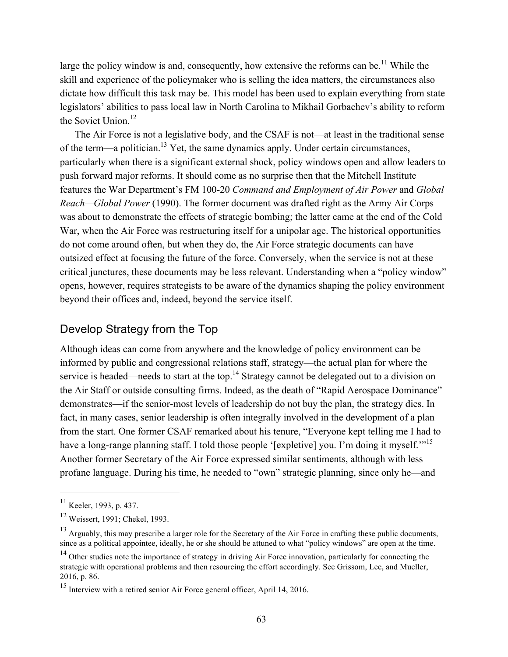large the policy window is and, consequently, how extensive the reforms can be.<sup>11</sup> While the skill and experience of the policymaker who is selling the idea matters, the circumstances also dictate how difficult this task may be. This model has been used to explain everything from state legislators' abilities to pass local law in North Carolina to Mikhail Gorbachev's ability to reform the Soviet Union.<sup>12</sup>

The Air Force is not a legislative body, and the CSAF is not—at least in the traditional sense of the term—a politician.13 Yet, the same dynamics apply. Under certain circumstances, particularly when there is a significant external shock, policy windows open and allow leaders to push forward major reforms. It should come as no surprise then that the Mitchell Institute features the War Department's FM 100-20 *Command and Employment of Air Power* and *Global Reach—Global Power* (1990). The former document was drafted right as the Army Air Corps was about to demonstrate the effects of strategic bombing; the latter came at the end of the Cold War, when the Air Force was restructuring itself for a unipolar age. The historical opportunities do not come around often, but when they do, the Air Force strategic documents can have outsized effect at focusing the future of the force. Conversely, when the service is not at these critical junctures, these documents may be less relevant. Understanding when a "policy window" opens, however, requires strategists to be aware of the dynamics shaping the policy environment beyond their offices and, indeed, beyond the service itself.

### Develop Strategy from the Top

Although ideas can come from anywhere and the knowledge of policy environment can be informed by public and congressional relations staff, strategy—the actual plan for where the service is headed—needs to start at the top.<sup>14</sup> Strategy cannot be delegated out to a division on the Air Staff or outside consulting firms. Indeed, as the death of "Rapid Aerospace Dominance" demonstrates—if the senior-most levels of leadership do not buy the plan, the strategy dies. In fact, in many cases, senior leadership is often integrally involved in the development of a plan from the start. One former CSAF remarked about his tenure, "Everyone kept telling me I had to have a long-range planning staff. I told those people '[expletive] you. I'm doing it myself."<sup>15</sup> Another former Secretary of the Air Force expressed similar sentiments, although with less profane language. During his time, he needed to "own" strategic planning, since only he—and

<sup>11</sup> Keeler, 1993, p. 437.

<sup>12</sup> Weissert, 1991; Chekel, 1993.

 $13$  Arguably, this may prescribe a larger role for the Secretary of the Air Force in crafting these public documents, since as a political appointee, ideally, he or she should be attuned to what "policy windows" are open at the time.

<sup>&</sup>lt;sup>14</sup> Other studies note the importance of strategy in driving Air Force innovation, particularly for connecting the strategic with operational problems and then resourcing the effort accordingly. See Grissom, Lee, and Mueller, 2016, p. 86.

<sup>&</sup>lt;sup>15</sup> Interview with a retired senior Air Force general officer, April 14, 2016.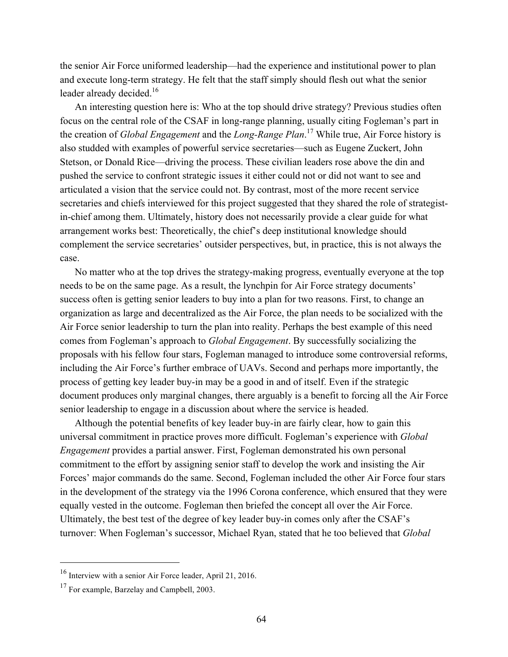the senior Air Force uniformed leadership—had the experience and institutional power to plan and execute long-term strategy. He felt that the staff simply should flesh out what the senior leader already decided.<sup>16</sup>

An interesting question here is: Who at the top should drive strategy? Previous studies often focus on the central role of the CSAF in long-range planning, usually citing Fogleman's part in the creation of *Global Engagement* and the *Long-Range Plan*. 17 While true, Air Force history is also studded with examples of powerful service secretaries—such as Eugene Zuckert, John Stetson, or Donald Rice—driving the process. These civilian leaders rose above the din and pushed the service to confront strategic issues it either could not or did not want to see and articulated a vision that the service could not. By contrast, most of the more recent service secretaries and chiefs interviewed for this project suggested that they shared the role of strategistin-chief among them. Ultimately, history does not necessarily provide a clear guide for what arrangement works best: Theoretically, the chief's deep institutional knowledge should complement the service secretaries' outsider perspectives, but, in practice, this is not always the case.

No matter who at the top drives the strategy-making progress, eventually everyone at the top needs to be on the same page. As a result, the lynchpin for Air Force strategy documents' success often is getting senior leaders to buy into a plan for two reasons. First, to change an organization as large and decentralized as the Air Force, the plan needs to be socialized with the Air Force senior leadership to turn the plan into reality. Perhaps the best example of this need comes from Fogleman's approach to *Global Engagement*. By successfully socializing the proposals with his fellow four stars, Fogleman managed to introduce some controversial reforms, including the Air Force's further embrace of UAVs. Second and perhaps more importantly, the process of getting key leader buy-in may be a good in and of itself. Even if the strategic document produces only marginal changes, there arguably is a benefit to forcing all the Air Force senior leadership to engage in a discussion about where the service is headed.

Although the potential benefits of key leader buy-in are fairly clear, how to gain this universal commitment in practice proves more difficult. Fogleman's experience with *Global Engagement* provides a partial answer. First, Fogleman demonstrated his own personal commitment to the effort by assigning senior staff to develop the work and insisting the Air Forces' major commands do the same. Second, Fogleman included the other Air Force four stars in the development of the strategy via the 1996 Corona conference, which ensured that they were equally vested in the outcome. Fogleman then briefed the concept all over the Air Force. Ultimately, the best test of the degree of key leader buy-in comes only after the CSAF's turnover: When Fogleman's successor, Michael Ryan, stated that he too believed that *Global* 

<sup>16</sup> Interview with a senior Air Force leader, April 21, 2016.

<sup>&</sup>lt;sup>17</sup> For example, Barzelay and Campbell, 2003.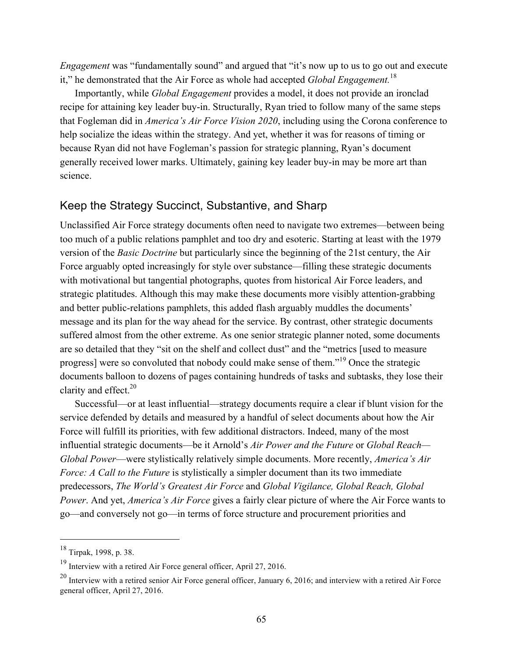*Engagement* was "fundamentally sound" and argued that "it's now up to us to go out and execute it," he demonstrated that the Air Force as whole had accepted *Global Engagement.*<sup>18</sup>

Importantly, while *Global Engagement* provides a model, it does not provide an ironclad recipe for attaining key leader buy-in. Structurally, Ryan tried to follow many of the same steps that Fogleman did in *America's Air Force Vision 2020*, including using the Corona conference to help socialize the ideas within the strategy. And yet, whether it was for reasons of timing or because Ryan did not have Fogleman's passion for strategic planning, Ryan's document generally received lower marks. Ultimately, gaining key leader buy-in may be more art than science.

## Keep the Strategy Succinct, Substantive, and Sharp

Unclassified Air Force strategy documents often need to navigate two extremes—between being too much of a public relations pamphlet and too dry and esoteric. Starting at least with the 1979 version of the *Basic Doctrine* but particularly since the beginning of the 21st century, the Air Force arguably opted increasingly for style over substance—filling these strategic documents with motivational but tangential photographs, quotes from historical Air Force leaders, and strategic platitudes. Although this may make these documents more visibly attention-grabbing and better public-relations pamphlets, this added flash arguably muddles the documents' message and its plan for the way ahead for the service. By contrast, other strategic documents suffered almost from the other extreme. As one senior strategic planner noted, some documents are so detailed that they "sit on the shelf and collect dust" and the "metrics [used to measure progress] were so convoluted that nobody could make sense of them."19 Once the strategic documents balloon to dozens of pages containing hundreds of tasks and subtasks, they lose their clarity and effect. 20

Successful—or at least influential—strategy documents require a clear if blunt vision for the service defended by details and measured by a handful of select documents about how the Air Force will fulfill its priorities, with few additional distractors. Indeed, many of the most influential strategic documents—be it Arnold's *Air Power and the Future* or *Global Reach— Global Power*—were stylistically relatively simple documents. More recently, *America's Air Force: A Call to the Future* is stylistically a simpler document than its two immediate predecessors, *The World's Greatest Air Force* and *Global Vigilance, Global Reach, Global Power*. And yet, *America's Air Force* gives a fairly clear picture of where the Air Force wants to go—and conversely not go—in terms of force structure and procurement priorities and

 $18$  Tirpak, 1998, p. 38.

 $19$  Interview with a retired Air Force general officer, April 27, 2016.

 $^{20}$  Interview with a retired senior Air Force general officer, January 6, 2016; and interview with a retired Air Force general officer, April 27, 2016.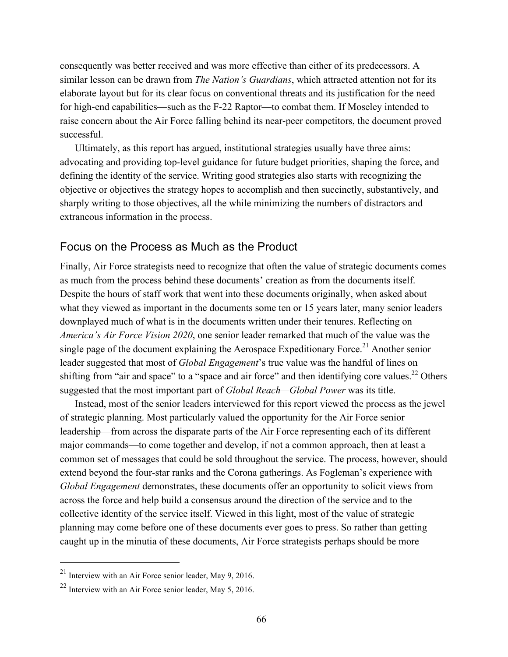consequently was better received and was more effective than either of its predecessors. A similar lesson can be drawn from *The Nation's Guardians*, which attracted attention not for its elaborate layout but for its clear focus on conventional threats and its justification for the need for high-end capabilities—such as the F-22 Raptor—to combat them. If Moseley intended to raise concern about the Air Force falling behind its near-peer competitors, the document proved successful.

Ultimately, as this report has argued, institutional strategies usually have three aims: advocating and providing top-level guidance for future budget priorities, shaping the force, and defining the identity of the service. Writing good strategies also starts with recognizing the objective or objectives the strategy hopes to accomplish and then succinctly, substantively, and sharply writing to those objectives, all the while minimizing the numbers of distractors and extraneous information in the process.

## Focus on the Process as Much as the Product

Finally, Air Force strategists need to recognize that often the value of strategic documents comes as much from the process behind these documents' creation as from the documents itself. Despite the hours of staff work that went into these documents originally, when asked about what they viewed as important in the documents some ten or 15 years later, many senior leaders downplayed much of what is in the documents written under their tenures. Reflecting on *America's Air Force Vision 2020*, one senior leader remarked that much of the value was the single page of the document explaining the Aerospace Expeditionary Force.<sup>21</sup> Another senior leader suggested that most of *Global Engagement*'s true value was the handful of lines on shifting from "air and space" to a "space and air force" and then identifying core values.<sup>22</sup> Others suggested that the most important part of *Global Reach—Global Power* was its title.

Instead, most of the senior leaders interviewed for this report viewed the process as the jewel of strategic planning. Most particularly valued the opportunity for the Air Force senior leadership—from across the disparate parts of the Air Force representing each of its different major commands—to come together and develop, if not a common approach, then at least a common set of messages that could be sold throughout the service. The process, however, should extend beyond the four-star ranks and the Corona gatherings. As Fogleman's experience with *Global Engagement* demonstrates, these documents offer an opportunity to solicit views from across the force and help build a consensus around the direction of the service and to the collective identity of the service itself. Viewed in this light, most of the value of strategic planning may come before one of these documents ever goes to press. So rather than getting caught up in the minutia of these documents, Air Force strategists perhaps should be more

<sup>21</sup> Interview with an Air Force senior leader, May 9, 2016.

<sup>22</sup> Interview with an Air Force senior leader, May 5, 2016.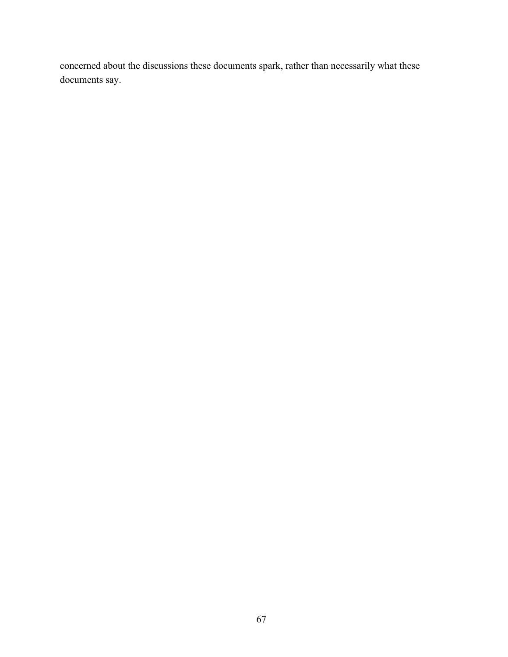concerned about the discussions these documents spark, rather than necessarily what these documents say.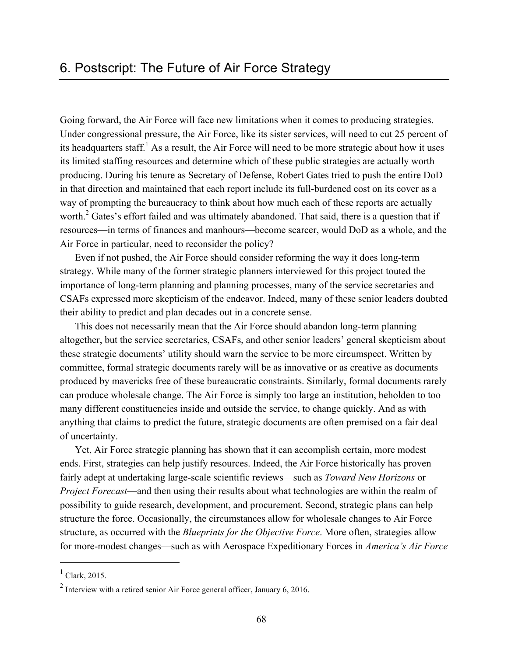Going forward, the Air Force will face new limitations when it comes to producing strategies. Under congressional pressure, the Air Force, like its sister services, will need to cut 25 percent of its headquarters staff.<sup>1</sup> As a result, the Air Force will need to be more strategic about how it uses its limited staffing resources and determine which of these public strategies are actually worth producing. During his tenure as Secretary of Defense, Robert Gates tried to push the entire DoD in that direction and maintained that each report include its full-burdened cost on its cover as a way of prompting the bureaucracy to think about how much each of these reports are actually worth.<sup>2</sup> Gates's effort failed and was ultimately abandoned. That said, there is a question that if resources—in terms of finances and manhours—become scarcer, would DoD as a whole, and the Air Force in particular, need to reconsider the policy?

Even if not pushed, the Air Force should consider reforming the way it does long-term strategy. While many of the former strategic planners interviewed for this project touted the importance of long-term planning and planning processes, many of the service secretaries and CSAFs expressed more skepticism of the endeavor. Indeed, many of these senior leaders doubted their ability to predict and plan decades out in a concrete sense.

This does not necessarily mean that the Air Force should abandon long-term planning altogether, but the service secretaries, CSAFs, and other senior leaders' general skepticism about these strategic documents' utility should warn the service to be more circumspect. Written by committee, formal strategic documents rarely will be as innovative or as creative as documents produced by mavericks free of these bureaucratic constraints. Similarly, formal documents rarely can produce wholesale change. The Air Force is simply too large an institution, beholden to too many different constituencies inside and outside the service, to change quickly. And as with anything that claims to predict the future, strategic documents are often premised on a fair deal of uncertainty.

Yet, Air Force strategic planning has shown that it can accomplish certain, more modest ends. First, strategies can help justify resources. Indeed, the Air Force historically has proven fairly adept at undertaking large-scale scientific reviews—such as *Toward New Horizons* or *Project Forecast*—and then using their results about what technologies are within the realm of possibility to guide research, development, and procurement. Second, strategic plans can help structure the force. Occasionally, the circumstances allow for wholesale changes to Air Force structure, as occurred with the *Blueprints for the Objective Force*. More often, strategies allow for more-modest changes—such as with Aerospace Expeditionary Forces in *America's Air Force* 

 $<sup>1</sup>$  Clark, 2015.</sup>

<sup>2</sup> Interview with a retired senior Air Force general officer, January 6, 2016.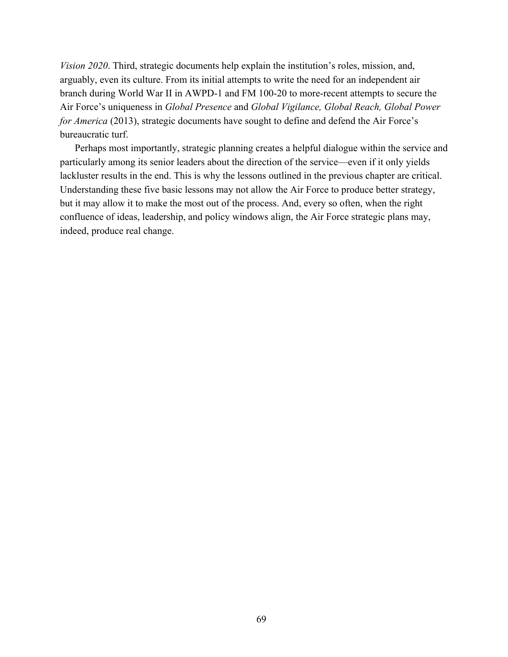*Vision 2020*. Third, strategic documents help explain the institution's roles, mission, and, arguably, even its culture. From its initial attempts to write the need for an independent air branch during World War II in AWPD-1 and FM 100-20 to more-recent attempts to secure the Air Force's uniqueness in *Global Presence* and *Global Vigilance, Global Reach, Global Power for America* (2013), strategic documents have sought to define and defend the Air Force's bureaucratic turf.

Perhaps most importantly, strategic planning creates a helpful dialogue within the service and particularly among its senior leaders about the direction of the service—even if it only yields lackluster results in the end. This is why the lessons outlined in the previous chapter are critical. Understanding these five basic lessons may not allow the Air Force to produce better strategy, but it may allow it to make the most out of the process. And, every so often, when the right confluence of ideas, leadership, and policy windows align, the Air Force strategic plans may, indeed, produce real change.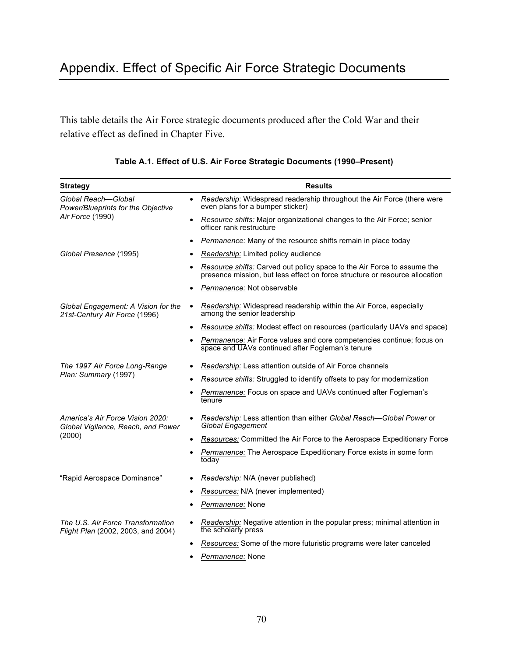This table details the Air Force strategic documents produced after the Cold War and their relative effect as defined in Chapter Five.

| <b>Strategy</b>                                                                  | <b>Results</b>                                                                                                                                         |
|----------------------------------------------------------------------------------|--------------------------------------------------------------------------------------------------------------------------------------------------------|
| Global Reach-Global<br>Power/Blueprints for the Objective<br>Air Force (1990)    | Readership: Widespread readership throughout the Air Force (there were<br>$\bullet$<br>even plans for a bumper sticker)                                |
|                                                                                  | Resource shifts: Major organizational changes to the Air Force; senior<br>officer rank restructure                                                     |
|                                                                                  | Permanence: Many of the resource shifts remain in place today<br>$\bullet$                                                                             |
| Global Presence (1995)                                                           | Readership: Limited policy audience                                                                                                                    |
|                                                                                  | Resource shifts: Carved out policy space to the Air Force to assume the<br>presence mission, but less effect on force structure or resource allocation |
|                                                                                  | Permanence: Not observable                                                                                                                             |
| Global Engagement: A Vision for the<br>21st-Century Air Force (1996)             | Readership: Widespread readership within the Air Force, especially<br>$\bullet$<br>among the senior leadership                                         |
|                                                                                  | Resource shifts: Modest effect on resources (particularly UAVs and space)                                                                              |
|                                                                                  | Permanence: Air Force values and core competencies continue; focus on<br>space and UAVs continued after Fogleman's tenure                              |
| The 1997 Air Force Long-Range<br>Plan: Summary (1997)                            | <i>Readership:</i> Less attention outside of Air Force channels                                                                                        |
|                                                                                  | Resource shifts: Struggled to identify offsets to pay for modernization                                                                                |
|                                                                                  | Permanence: Focus on space and UAVs continued after Fogleman's<br>tenure                                                                               |
| America's Air Force Vision 2020:<br>Global Vigilance, Reach, and Power<br>(2000) | Readership: Less attention than either Global Reach-Global Power or<br><b>Global Engagement</b>                                                        |
|                                                                                  | Resources: Committed the Air Force to the Aerospace Expeditionary Force                                                                                |
|                                                                                  | Permanence: The Aerospace Expeditionary Force exists in some form<br>today                                                                             |
| "Rapid Aerospace Dominance"                                                      | Readership: N/A (never published)<br>$\bullet$                                                                                                         |
|                                                                                  | Resources: N/A (never implemented)                                                                                                                     |
|                                                                                  | Permanence: None                                                                                                                                       |
| The U.S. Air Force Transformation<br>Flight Plan (2002, 2003, and 2004)          | Readership: Negative attention in the popular press; minimal attention in<br>the scholarly press                                                       |
|                                                                                  | Resources: Some of the more futuristic programs were later canceled                                                                                    |
|                                                                                  | Permanence: None                                                                                                                                       |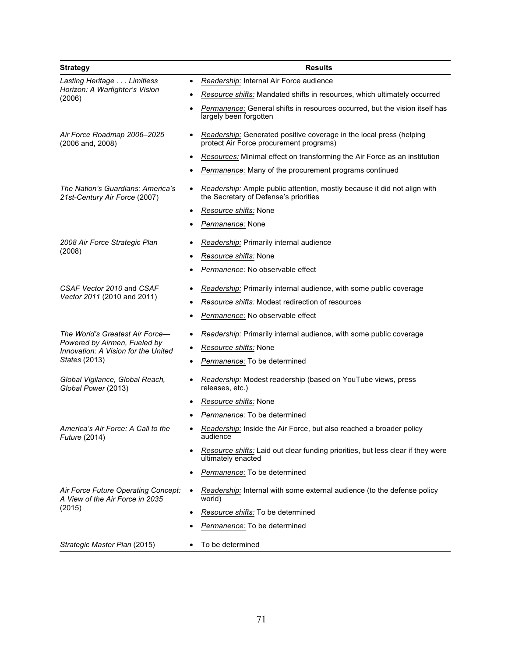| <b>Strategy</b>                                                                                                         | <b>Results</b>                                                                                                    |
|-------------------------------------------------------------------------------------------------------------------------|-------------------------------------------------------------------------------------------------------------------|
| Lasting Heritage Limitless<br>Horizon: A Warfighter's Vision<br>(2006)                                                  | Readership: Internal Air Force audience<br>٠                                                                      |
|                                                                                                                         | Resource shifts: Mandated shifts in resources, which ultimately occurred                                          |
|                                                                                                                         | Permanence: General shifts in resources occurred, but the vision itself has<br>largely been forgotten             |
| Air Force Roadmap 2006-2025<br>(2006 and, 2008)                                                                         | Readership: Generated positive coverage in the local press (helping<br>protect Air Force procurement programs)    |
|                                                                                                                         | Resources: Minimal effect on transforming the Air Force as an institution                                         |
|                                                                                                                         | Permanence: Many of the procurement programs continued                                                            |
| The Nation's Guardians: America's<br>21st-Century Air Force (2007)                                                      | Readership: Ample public attention, mostly because it did not align with<br>the Secretary of Defense's priorities |
|                                                                                                                         | Resource shifts: None                                                                                             |
|                                                                                                                         | Permanence: None                                                                                                  |
| 2008 Air Force Strategic Plan<br>(2008)                                                                                 | Readership: Primarily internal audience                                                                           |
|                                                                                                                         | Resource shifts: None                                                                                             |
|                                                                                                                         | Permanence: No observable effect                                                                                  |
| CSAF Vector 2010 and CSAF                                                                                               | Readership: Primarily internal audience, with some public coverage                                                |
| Vector 2011 (2010 and 2011)                                                                                             | Resource shifts: Modest redirection of resources                                                                  |
|                                                                                                                         | Permanence: No observable effect                                                                                  |
| The World's Greatest Air Force-<br>Powered by Airmen, Fueled by<br>Innovation: A Vision for the United<br>States (2013) | Readership: Primarily internal audience, with some public coverage                                                |
|                                                                                                                         | Resource shifts: None                                                                                             |
|                                                                                                                         | Permanence: To be determined                                                                                      |
| Global Vigilance, Global Reach,<br>Global Power (2013)                                                                  | Readership: Modest readership (based on YouTube views, press<br>releases, etc.)                                   |
|                                                                                                                         | Resource shifts: None                                                                                             |
|                                                                                                                         | Permanence: To be determined                                                                                      |
| America's Air Force: A Call to the<br><i>Future</i> (2014)                                                              | Readership: Inside the Air Force, but also reached a broader policy<br>audience                                   |
|                                                                                                                         | Resource shifts: Laid out clear funding priorities, but less clear if they were<br>ultimately enacted             |
|                                                                                                                         | Permanence: To be determined                                                                                      |
| Air Force Future Operating Concept:<br>A View of the Air Force in 2035<br>(2015)                                        | Readership: Internal with some external audience (to the defense policy<br>world)                                 |
|                                                                                                                         | Resource shifts: To be determined                                                                                 |
|                                                                                                                         | Permanence: To be determined                                                                                      |
| Strategic Master Plan (2015)                                                                                            | To be determined                                                                                                  |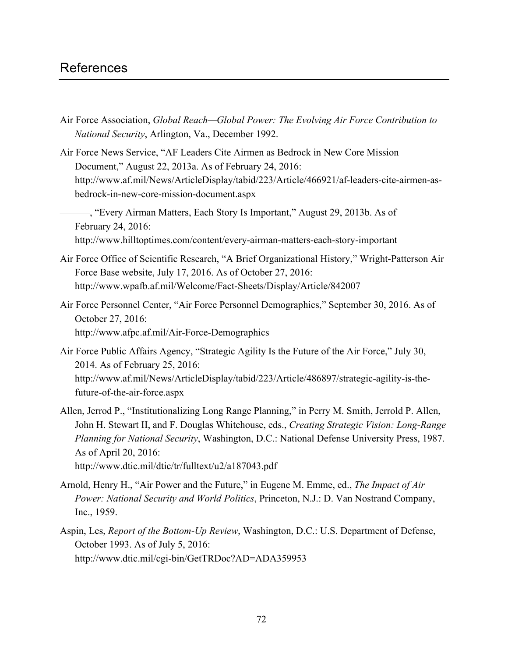## References

- Air Force Association, *Global Reach—Global Power: The Evolving Air Force Contribution to National Security*, Arlington, Va., December 1992.
- Air Force News Service, "AF Leaders Cite Airmen as Bedrock in New Core Mission Document," August 22, 2013a. As of February 24, 2016: [http://www.af.mil/News/ArticleDisplay/tabid/223/Article/466921/af-leaders-cite-airmen-as](http://www.af.mil/News/ArticleDisplay/tabid/223/Article/466921/af-leaders-cite-airmen-as-bedrock-in-new-core-mission-document.aspx)bedrock-in-new-core-mission-document.aspx
	- ———, "Every Airman Matters, Each Story Is Important," August 29, 2013b. As of February 24, 2016: <http://www.hilltoptimes.com/content/every-airman-matters-each-story-important>
- Air Force Office of Scientific Research, "A Brief Organizational History," Wright-Patterson Air Force Base website, July 17, 2016. As of October 27, 2016: <http://www.wpafb.af.mil/Welcome/Fact-Sheets/Display/Article/842007>
- Air Force Personnel Center, "Air Force Personnel Demographics," September 30, 2016. As of October 27, 2016: <http://www.afpc.af.mil/Air-Force-Demographics>
- Air Force Public Affairs Agency, "Strategic Agility Is the Future of the Air Force," July 30, 2014. As of February 25, 2016: [http://www.af.mil/News/ArticleDisplay/tabid/223/Article/486897/strategic-agility-is-the](http://www.af.mil/News/ArticleDisplay/tabid/223/Article/486897/strategic-agility-is-the-future-of-the-air-force.aspx)future-of-the-air-force.aspx
- Allen, Jerrod P., "Institutionalizing Long Range Planning," in Perry M. Smith, Jerrold P. Allen, John H. Stewart II, and F. Douglas Whitehouse, eds., *Creating Strategic Vision: Long-Range Planning for National Security*, Washington, D.C.: National Defense University Press, 1987. As of April 20, 2016: <http://www.dtic.mil/dtic/tr/fulltext/u2/a187043.pdf>
- Arnold, Henry H., "Air Power and the Future," in Eugene M. Emme, ed., *The Impact of Air Power: National Security and World Politics*, Princeton, N.J.: D. Van Nostrand Company, Inc., 1959.
- Aspin, Les, *Report of the Bottom-Up Review*, Washington, D.C.: U.S. Department of Defense, October 1993. As of July 5, 2016: <http://www.dtic.mil/cgi-bin/GetTRDoc?AD=ADA359953>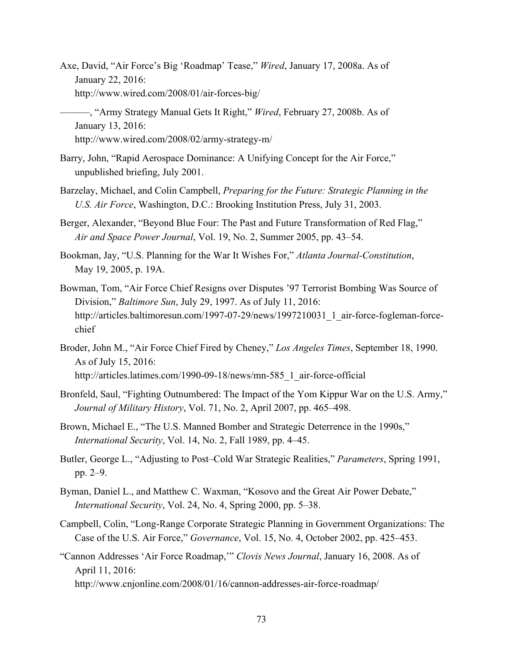- Axe, David, "Air Force's Big 'Roadmap' Tease," *Wired*, January 17, 2008a. As of January 22, 2016: <http://www.wired.com/2008/01/air-forces-big/>
- ———, "Army Strategy Manual Gets It Right," *Wired*, February 27, 2008b. As of January 13, 2016: <http://www.wired.com/2008/02/army-strategy-m/>
- Barry, John, "Rapid Aerospace Dominance: A Unifying Concept for the Air Force," unpublished briefing, July 2001.
- Barzelay, Michael, and Colin Campbell, *Preparing for the Future: Strategic Planning in the U.S. Air Force*, Washington, D.C.: Brooking Institution Press, July 31, 2003.
- Berger, Alexander, "Beyond Blue Four: The Past and Future Transformation of Red Flag," *Air and Space Power Journal*, Vol. 19, No. 2, Summer 2005, pp. 43–54.
- Bookman, Jay, "U.S. Planning for the War It Wishes For," *Atlanta Journal-Constitution*, May 19, 2005, p. 19A.
- Bowman, Tom, "Air Force Chief Resigns over Disputes '97 Terrorist Bombing Was Source of Division," *Baltimore Sun*, July 29, 1997. As of July 11, 2016: [http://articles.baltimoresun.com/1997-07-29/news/1997210031\\_1\\_air-force-fogleman-force](http://articles.baltimoresun.com/1997-07-29/news/1997210031_1_air-force-fogleman-force-chief)chief
- Broder, John M., "Air Force Chief Fired by Cheney," *Los Angeles Times*, September 18, 1990. As of July 15, 2016: [http://articles.latimes.com/1990-09-18/news/mn-585\\_1\\_air-force-official](http://articles.latimes.com/1990-09-18/news/mn-585_1_air-force-official)
- Bronfeld, Saul, "Fighting Outnumbered: The Impact of the Yom Kippur War on the U.S. Army," *Journal of Military History*, Vol. 71, No. 2, April 2007, pp. 465–498.
- Brown, Michael E., "The U.S. Manned Bomber and Strategic Deterrence in the 1990s," *International Security*, Vol. 14, No. 2, Fall 1989, pp. 4–45.
- Butler, George L., "Adjusting to Post–Cold War Strategic Realities," *Parameters*, Spring 1991, pp. 2–9.
- Byman, Daniel L., and Matthew C. Waxman, "Kosovo and the Great Air Power Debate," *International Security*, Vol. 24, No. 4, Spring 2000, pp. 5–38.
- Campbell, Colin, "Long-Range Corporate Strategic Planning in Government Organizations: The Case of the U.S. Air Force," *Governance*, Vol. 15, No. 4, October 2002, pp. 425–453.
- "Cannon Addresses 'Air Force Roadmap,'" *Clovis News Journal*, January 16, 2008. As of April 11, 2016: <http://www.cnjonline.com/2008/01/16/cannon-addresses-air-force-roadmap/>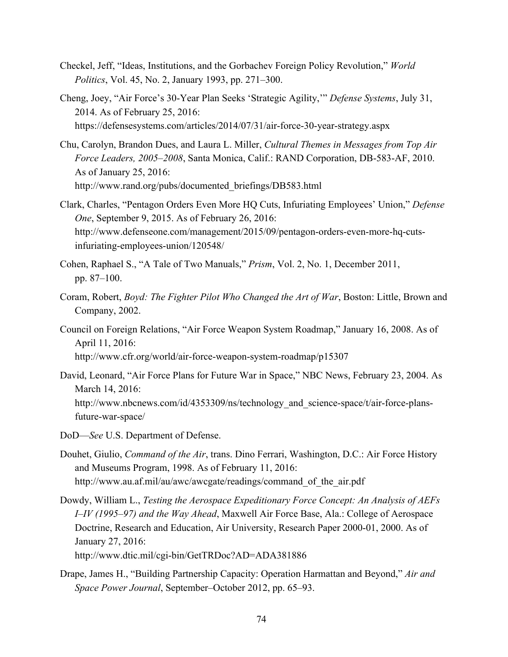- Checkel, Jeff, "Ideas, Institutions, and the Gorbachev Foreign Policy Revolution," *World Politics*, Vol. 45, No. 2, January 1993, pp. 271–300.
- Cheng, Joey, "Air Force's 30-Year Plan Seeks 'Strategic Agility,'" *Defense Systems*, July 31, 2014. As of February 25, 2016: <https://defensesystems.com/articles/2014/07/31/air-force-30-year-strategy.aspx>
- Chu, Carolyn, Brandon Dues, and Laura L. Miller, *Cultural Themes in Messages from Top Air Force Leaders, 2005–2008*, Santa Monica, Calif.: RAND Corporation, DB-583-AF, 2010. As of January 25, 2016: [http://www.rand.org/pubs/documented\\_briefings/DB583.html](http://www.rand.org/pubs/documented_briefings/DB583.html)
- Clark, Charles, "Pentagon Orders Even More HQ Cuts, Infuriating Employees' Union," *Defense One*, September 9, 2015. As of February 26, 2016: [http://www.defenseone.com/management/2015/09/pentagon-orders-even-more-hq-cuts](http://www.defenseone.com/management/2015/09/pentagon-orders-even-more-hq-cuts-infuriating-employees-union/120548/)infuriating-employees-union/120548/
- Cohen, Raphael S., "A Tale of Two Manuals," *Prism*, Vol. 2, No. 1, December 2011, pp. 87–100.
- Coram, Robert, *Boyd: The Fighter Pilot Who Changed the Art of War*, Boston: Little, Brown and Company, 2002.
- Council on Foreign Relations, "Air Force Weapon System Roadmap," January 16, 2008. As of April 11, 2016: <http://www.cfr.org/world/air-force-weapon-system-roadmap/p15307>
- David, Leonard, "Air Force Plans for Future War in Space," NBC News, February 23, 2004. As March 14, 2016: http://www.nbcnews.com/id/4353309/ns/technology and science-space/t/air-force-plansfuture-war-space/
- DoD—*See* U.S. Department of Defense.
- Douhet, Giulio, *Command of the Air*, trans. Dino Ferrari, Washington, D.C.: Air Force History and Museums Program, 1998. As of February 11, 2016: http://www.au.af.mil/au/awc/awcgate/readings/command of the air.pdf
- Dowdy, William L., *Testing the Aerospace Expeditionary Force Concept: An Analysis of AEFs I–IV (1995–97) and the Way Ahead*, Maxwell Air Force Base, Ala.: College of Aerospace Doctrine, Research and Education, Air University, Research Paper 2000-01, 2000. As of January 27, 2016:

<http://www.dtic.mil/cgi-bin/GetTRDoc?AD=ADA381886>

Drape, James H., "Building Partnership Capacity: Operation Harmattan and Beyond," *Air and Space Power Journal*, September–October 2012, pp. 65–93.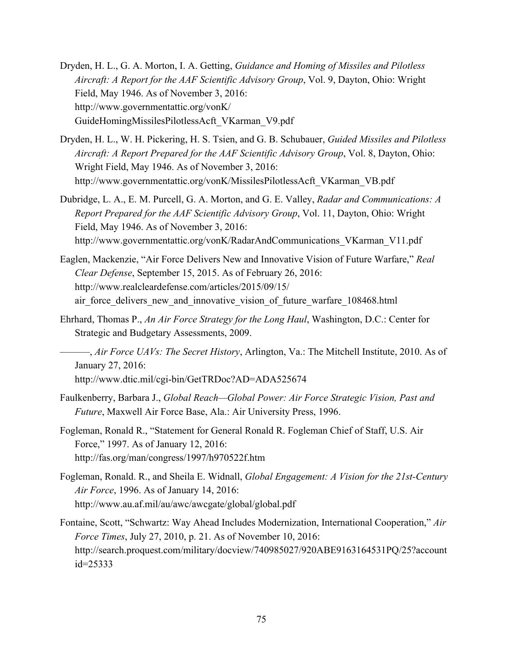- Dryden, H. L., G. A. Morton, I. A. Getting, *Guidance and Homing of Missiles and Pilotless Aircraft: A Report for the AAF Scientific Advisory Group*, Vol. 9, Dayton, Ohio: Wright Field, May 1946. As of November 3, 2016: http://www.governmentattic.org/vonK/ [GuideHomingMissilesPilotlessAcft\\_VKarman\\_V9.pdf](http://www.governmentattic.org/vonK/GuideHomingMissilesPilotlessAcft_VKarman_V9.pdf)
- Dryden, H. L., W. H. Pickering, H. S. Tsien, and G. B. Schubauer, *Guided Missiles and Pilotless Aircraft: A Report Prepared for the AAF Scientific Advisory Group*, Vol. 8, Dayton, Ohio: Wright Field, May 1946. As of November 3, 2016: [http://www.governmentattic.org/vonK/MissilesPilotlessAcft\\_VKarman\\_VB.pdf](http://www.governmentattic.org/vonK/MissilesPilotlessAcft_VKarman_VB.pdf)
- Dubridge, L. A., E. M. Purcell, G. A. Morton, and G. E. Valley, *Radar and Communications: A Report Prepared for the AAF Scientific Advisory Group*, Vol. 11, Dayton, Ohio: Wright Field, May 1946. As of November 3, 2016: [http://www.governmentattic.org/vonK/RadarAndCommunications\\_VKarman\\_V11.pdf](http://www.governmentattic.org/vonK/RadarAndCommunications_VKarman_V11.pdf)
- Eaglen, Mackenzie, "Air Force Delivers New and Innovative Vision of Future Warfare," *Real Clear Defense*, September 15, 2015. As of February 26, 2016: http://www.realcleardefense.com/articles/2015/09/15/ air force delivers new and innovative vision of future warfare 108468.html
- Ehrhard, Thomas P., *An Air Force Strategy for the Long Haul*, Washington, D.C.: Center for Strategic and Budgetary Assessments, 2009.
- ———, *Air Force UAVs: The Secret History*, Arlington, Va.: The Mitchell Institute, 2010. As of January 27, 2016: <http://www.dtic.mil/cgi-bin/GetTRDoc?AD=ADA525674>
- Faulkenberry, Barbara J., *Global Reach—Global Power: Air Force Strategic Vision, Past and Future*, Maxwell Air Force Base, Ala.: Air University Press, 1996.
- Fogleman, Ronald R., "Statement for General Ronald R. Fogleman Chief of Staff, U.S. Air Force," 1997. As of January 12, 2016: <http://fas.org/man/congress/1997/h970522f.htm>
- Fogleman, Ronald. R., and Sheila E. Widnall, *Global Engagement: A Vision for the 21st-Century Air Force*, 1996. As of January 14, 2016: <http://www.au.af.mil/au/awc/awcgate/global/global.pdf>
- Fontaine, Scott, "Schwartz: Way Ahead Includes Modernization, International Cooperation," *Air Force Times*, July 27, 2010, p. 21. As of November 10, 2016: [http://search.proquest.com/military/docview/740985027/920ABE9163164531PQ/25?account](http://search.proquest.com/military/docview/740985027/920ABE9163164531PQ/25?accountid=25333) id=25333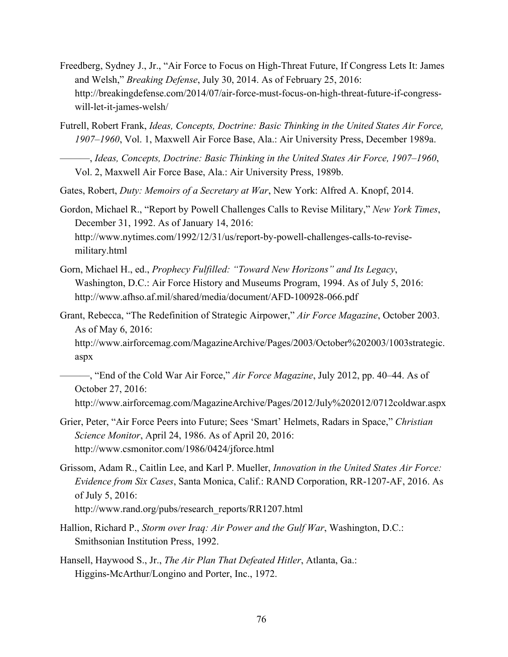- Freedberg, Sydney J., Jr., "Air Force to Focus on High-Threat Future, If Congress Lets It: James and Welsh," *Breaking Defense*, July 30, 2014. As of February 25, 2016: [http://breakingdefense.com/2014/07/air-force-must-focus-on-high-threat-future-if-congress](http://breakingdefense.com/2014/07/air-force-must-focus-on-high-threat-future-if-congress-will-let-it-james-welsh/)will-let-it-james-welsh/
- Futrell, Robert Frank, *Ideas, Concepts, Doctrine: Basic Thinking in the United States Air Force, 1907–1960*, Vol. 1, Maxwell Air Force Base, Ala.: Air University Press, December 1989a.
	- ———, *Ideas, Concepts, Doctrine: Basic Thinking in the United States Air Force, 1907–1960*, Vol. 2, Maxwell Air Force Base, Ala.: Air University Press, 1989b.
- Gates, Robert, *Duty: Memoirs of a Secretary at War*, New York: Alfred A. Knopf, 2014.
- Gordon, Michael R., "Report by Powell Challenges Calls to Revise Military," *New York Times*, December 31, 1992. As of January 14, 2016: [http://www.nytimes.com/1992/12/31/us/report-by-powell-challenges-calls-to-revise](http://www.nytimes.com/1992/12/31/us/report-by-powell-challenges-calls-to-revise-military.html)military.html
- Gorn, Michael H., ed., *Prophecy Fulfilled: "Toward New Horizons" and Its Legacy*, Washington, D.C.: Air Force History and Museums Program, 1994. As of July 5, 2016: <http://www.afhso.af.mil/shared/media/document/AFD-100928-066.pdf>
- Grant, Rebecca, "The Redefinition of Strategic Airpower," *Air Force Magazine*, October 2003. As of May 6, 2016:

[http://www.airforcemag.com/MagazineArchive/Pages/2003/October%202003/1003strategic.](http://www.airforcemag.com/MagazineArchive/Pages/2003/October%202003/1003strategic.aspx) aspx

———, "End of the Cold War Air Force," *Air Force Magazine*, July 2012, pp. 40–44. As of October 27, 2016:

<http://www.airforcemag.com/MagazineArchive/Pages/2012/July%202012/0712coldwar.aspx>

- Grier, Peter, "Air Force Peers into Future; Sees 'Smart' Helmets, Radars in Space," *Christian Science Monitor*, April 24, 1986. As of April 20, 2016: <http://www.csmonitor.com/1986/0424/jforce.html>
- Grissom, Adam R., Caitlin Lee, and Karl P. Mueller, *Innovation in the United States Air Force: Evidence from Six Cases*, Santa Monica, Calif.: RAND Corporation, RR-1207-AF, 2016. As of July 5, 2016: [http://www.rand.org/pubs/research\\_reports/RR1207.html](http://www.rand.org/pubs/research_reports/RR1207.html)
- Hallion, Richard P., *Storm over Iraq: Air Power and the Gulf War*, Washington, D.C.: Smithsonian Institution Press, 1992.
- Hansell, Haywood S., Jr., *The Air Plan That Defeated Hitler*, Atlanta, Ga.: Higgins-McArthur/Longino and Porter, Inc., 1972.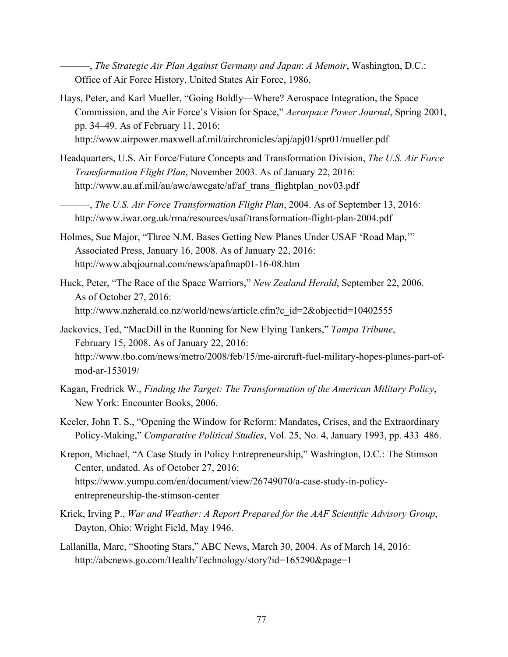———, *The Strategic Air Plan Against Germany and Japan*: *A Memoir*, Washington, D.C.: Office of Air Force History, United States Air Force, 1986.

- Hays, Peter, and Karl Mueller, "Going Boldly—Where? Aerospace Integration, the Space Commission, and the Air Force's Vision for Space," *Aerospace Power Journal*, Spring 2001, pp. 34–49. As of February 11, 2016: <http://www.airpower.maxwell.af.mil/airchronicles/apj/apj01/spr01/mueller.pdf>
- Headquarters, U.S. Air Force/Future Concepts and Transformation Division, *The U.S. Air Force Transformation Flight Plan*, November 2003. As of January 22, 2016: [http://www.au.af.mil/au/awc/awcgate/af/af\\_trans\\_flightplan\\_nov03.pdf](http://www.au.af.mil/au/awc/awcgate/af/af_trans_flightplan_nov03.pdf)

———, *The U.S. Air Force Transformation Flight Plan*, 2004. As of September 13, 2016: <http://www.iwar.org.uk/rma/resources/usaf/transformation-flight-plan-2004.pdf>

- Holmes, Sue Major, "Three N.M. Bases Getting New Planes Under USAF 'Road Map,'" Associated Press, January 16, 2008. As of January 22, 2016: <http://www.abqjournal.com/news/apafmap01-16-08.htm>
- Huck, Peter, "The Race of the Space Warriors," *New Zealand Herald*, September 22, 2006. As of October 27, 2016: [http://www.nzherald.co.nz/world/news/article.cfm?c\\_id=2&objectid=10402555](http://www.nzherald.co.nz/world/news/article.cfm?c_id=2&objectid=10402555)
- Jackovics, Ted, "MacDill in the Running for New Flying Tankers," *Tampa Tribune*, February 15, 2008. As of January 22, 2016: [http://www.tbo.com/news/metro/2008/feb/15/me-aircraft-fuel-military-hopes-planes-part-of](http://www.tbo.com/news/metro/2008/feb/15/me-aircraft-fuel-military-hopes-planes-part-of-mod-ar-153019/)mod-ar-153019/
- Kagan, Fredrick W., *Finding the Target: The Transformation of the American Military Policy*, New York: Encounter Books, 2006.
- Keeler, John T. S., "Opening the Window for Reform: Mandates, Crises, and the Extraordinary Policy-Making," *Comparative Political Studies*, Vol. 25, No. 4, January 1993, pp. 433–486.
- Krepon, Michael, "A Case Study in Policy Entrepreneurship," Washington, D.C.: The Stimson Center, undated. As of October 27, 2016: [https://www.yumpu.com/en/document/view/26749070/a-case-study-in-policy](https://www.yumpu.com/en/document/view/26749070/a-case-study-in-policy-entrepreneurship-the-stimson-center)entrepreneurship-the-stimson-center
- Krick, Irving P., *War and Weather: A Report Prepared for the AAF Scientific Advisory Group*, Dayton, Ohio: Wright Field, May 1946.
- Lallanilla, Marc, "Shooting Stars," ABC News, March 30, 2004. As of March 14, 2016: <http://abcnews.go.com/Health/Technology/story?id=165290&page=1>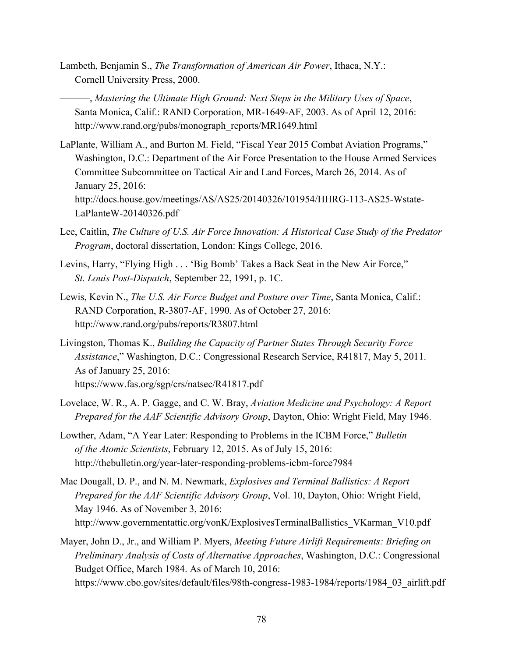- Lambeth, Benjamin S., *The Transformation of American Air Power*, Ithaca, N.Y.: Cornell University Press, 2000.
- ———, *Mastering the Ultimate High Ground: Next Steps in the Military Uses of Space*, Santa Monica, Calif.: RAND Corporation, MR-1649-AF, 2003. As of April 12, 2016: [http://www.rand.org/pubs/monograph\\_reports/MR1649.html](http://www.rand.org/pubs/monograph_reports/MR1649.html)
- LaPlante, William A., and Burton M. Field, "Fiscal Year 2015 Combat Aviation Programs," Washington, D.C.: Department of the Air Force Presentation to the House Armed Services Committee Subcommittee on Tactical Air and Land Forces, March 26, 2014. As of January 25, 2016: [http://docs.house.gov/meetings/AS/AS25/20140326/101954/HHRG-113-AS25-Wstate-](http://docs.house.gov/meetings/AS/AS25/20140326/101954/HHRG-113-AS25-Wstate-LaPlanteW-20140326.pdf)LaPlanteW-20140326.pdf
- Lee, Caitlin, *The Culture of U.S. Air Force Innovation: A Historical Case Study of the Predator Program*, doctoral dissertation, London: Kings College, 2016.
- Levins, Harry, "Flying High . . . 'Big Bomb' Takes a Back Seat in the New Air Force," *St. Louis Post-Dispatch*, September 22, 1991, p. 1C.
- Lewis, Kevin N., *The U.S. Air Force Budget and Posture over Time*, Santa Monica, Calif.: RAND Corporation, R-3807-AF, 1990. As of October 27, 2016: <http://www.rand.org/pubs/reports/R3807.html>
- Livingston, Thomas K., *Building the Capacity of Partner States Through Security Force Assistance*," Washington, D.C.: Congressional Research Service, R41817, May 5, 2011. As of January 25, 2016: <https://www.fas.org/sgp/crs/natsec/R41817.pdf>
- Lovelace, W. R., A. P. Gagge, and C. W. Bray, *Aviation Medicine and Psychology: A Report Prepared for the AAF Scientific Advisory Group*, Dayton, Ohio: Wright Field, May 1946.
- Lowther, Adam, "A Year Later: Responding to Problems in the ICBM Force," *Bulletin of the Atomic Scientists*, February 12, 2015. As of July 15, 2016: <http://thebulletin.org/year-later-responding-problems-icbm-force7984>
- Mac Dougall, D. P., and N. M. Newmark, *Explosives and Terminal Ballistics: A Report Prepared for the AAF Scientific Advisory Group*, Vol. 10, Dayton, Ohio: Wright Field, May 1946. As of November 3, 2016: http://www.governmentattic.org/vonK/ExplosivesTerminalBallistics\_VKarman\_V10.pdf
- Mayer, John D., Jr., and William P. Myers, *Meeting Future Airlift Requirements: Briefing on Preliminary Analysis of Costs of Alternative Approaches*, Washington, D.C.: Congressional Budget Office, March 1984. As of March 10, 2016: https://www.cbo.gov/sites/default/files/98th-congress-1983-1984/reports/1984\_03\_airlift.pdf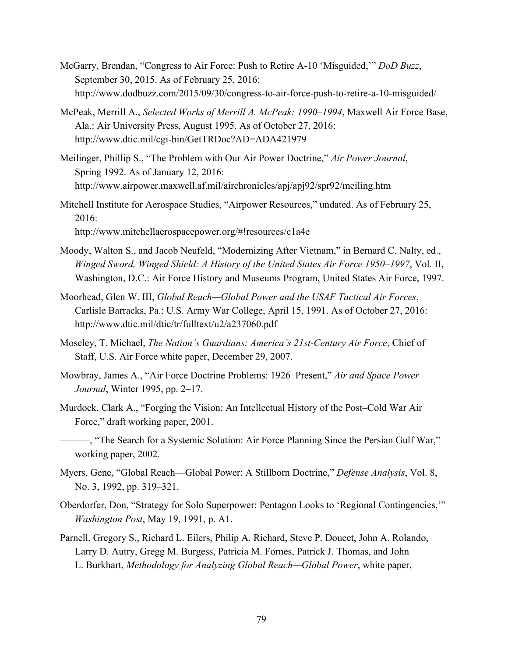- McGarry, Brendan, "Congress to Air Force: Push to Retire A-10 'Misguided,'" *DoD Buzz*, September 30, 2015. As of February 25, 2016: <http://www.dodbuzz.com/2015/09/30/congress-to-air-force-push-to-retire-a-10-misguided/>
- McPeak, Merrill A., *Selected Works of Merrill A. McPeak: 1990–1994*, Maxwell Air Force Base, Ala.: Air University Press, August 1995. As of October 27, 2016: <http://www.dtic.mil/cgi-bin/GetTRDoc?AD=ADA421979>
- Meilinger, Phillip S., "The Problem with Our Air Power Doctrine," *Air Power Journal*, Spring 1992. As of January 12, 2016: <http://www.airpower.maxwell.af.mil/airchronicles/apj/apj92/spr92/meiling.htm>
- Mitchell Institute for Aerospace Studies, "Airpower Resources," undated. As of February 25, 2016: <http://www.mitchellaerospacepower.org/#!resources/c1a4e>
- Moody, Walton S., and Jacob Neufeld, "Modernizing After Vietnam," in Bernard C. Nalty, ed., *Winged Sword, Winged Shield: A History of the United States Air Force 1950–1997*, Vol. II, Washington, D.C.: Air Force History and Museums Program, United States Air Force, 1997.
- Moorhead, Glen W. III, *Global Reach—Global Power and the USAF Tactical Air Forces*, Carlisle Barracks, Pa.: U.S. Army War College, April 15, 1991. As of October 27, 2016: <http://www.dtic.mil/dtic/tr/fulltext/u2/a237060.pdf>
- Moseley, T. Michael, *The Nation's Guardians: America's 21st-Century Air Force*, Chief of Staff, U.S. Air Force white paper, December 29, 2007.
- Mowbray, James A., "Air Force Doctrine Problems: 1926–Present," *Air and Space Power Journal*, Winter 1995, pp. 2–17.
- Murdock, Clark A., "Forging the Vision: An Intellectual History of the Post–Cold War Air Force," draft working paper, 2001.
- ———, "The Search for a Systemic Solution: Air Force Planning Since the Persian Gulf War," working paper, 2002.
- Myers, Gene, "Global Reach—Global Power: A Stillborn Doctrine," *Defense Analysis*, Vol. 8, No. 3, 1992, pp. 319–321.
- Oberdorfer, Don, "Strategy for Solo Superpower: Pentagon Looks to 'Regional Contingencies,'" *Washington Post*, May 19, 1991, p. A1.
- Parnell, Gregory S., Richard L. Eilers, Philip A. Richard, Steve P. Doucet, John A. Rolando, Larry D. Autry, Gregg M. Burgess, Patricia M. Fornes, Patrick J. Thomas, and John L. Burkhart, *Methodology for Analyzing Global Reach—Global Power*, white paper,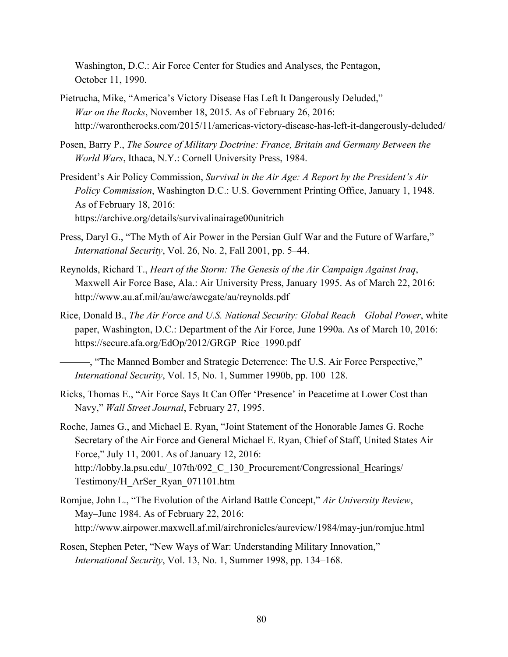Washington, D.C.: Air Force Center for Studies and Analyses, the Pentagon, October 11, 1990.

- Pietrucha, Mike, "America's Victory Disease Has Left It Dangerously Deluded," *War on the Rocks*, November 18, 2015. As of February 26, 2016: <http://warontherocks.com/2015/11/americas-victory-disease-has-left-it-dangerously-deluded/>
- Posen, Barry P., *The Source of Military Doctrine: France, Britain and Germany Between the World Wars*, Ithaca, N.Y.: Cornell University Press, 1984.
- President's Air Policy Commission, *Survival in the Air Age: A Report by the President's Air Policy Commission*, Washington D.C.: U.S. Government Printing Office, January 1, 1948. As of February 18, 2016: <https://archive.org/details/survivalinairage00unitrich>
- Press, Daryl G., "The Myth of Air Power in the Persian Gulf War and the Future of Warfare," *International Security*, Vol. 26, No. 2, Fall 2001, pp. 5–44.
- Reynolds, Richard T., *Heart of the Storm: The Genesis of the Air Campaign Against Iraq*, Maxwell Air Force Base, Ala.: Air University Press, January 1995. As of March 22, 2016: <http://www.au.af.mil/au/awc/awcgate/au/reynolds.pdf>
- Rice, Donald B., *The Air Force and U.S. National Security: Global Reach—Global Power*, white paper, Washington, D.C.: Department of the Air Force, June 1990a. As of March 10, 2016: [https://secure.afa.org/EdOp/2012/GRGP\\_Rice\\_1990.pdf](https://secure.afa.org/EdOp/2012/GRGP_Rice_1990.pdf)

———, "The Manned Bomber and Strategic Deterrence: The U.S. Air Force Perspective," *International Security*, Vol. 15, No. 1, Summer 1990b, pp. 100–128.

- Ricks, Thomas E., "Air Force Says It Can Offer 'Presence' in Peacetime at Lower Cost than Navy," *Wall Street Journal*, February 27, 1995.
- Roche, James G., and Michael E. Ryan, "Joint Statement of the Honorable James G. Roche Secretary of the Air Force and General Michael E. Ryan, Chief of Staff, United States Air Force," July 11, 2001. As of January 12, 2016: http://lobby.la.psu.edu/ 107th/092 C 130 Procurement/Congressional Hearings/ Testimony/H\_ArSer\_Ryan\_071101.htm
- Romjue, John L., "The Evolution of the Airland Battle Concept," *Air University Review*, May–June 1984. As of February 22, 2016: <http://www.airpower.maxwell.af.mil/airchronicles/aureview/1984/may-jun/romjue.html>
- Rosen, Stephen Peter, "New Ways of War: Understanding Military Innovation," *International Security*, Vol. 13, No. 1, Summer 1998, pp. 134–168.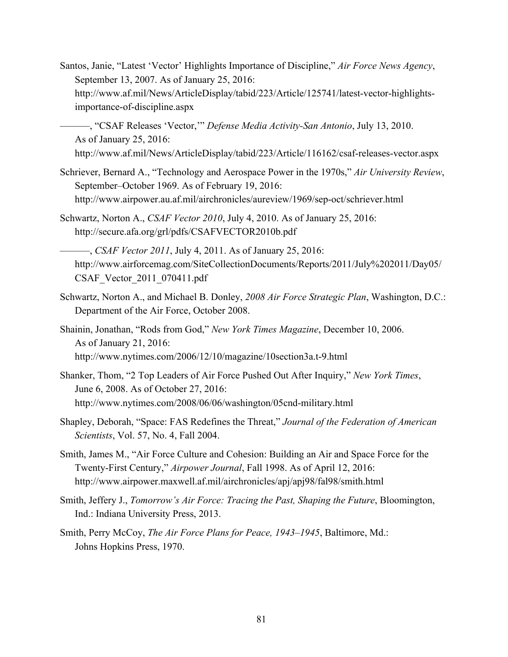- Santos, Janie, "Latest 'Vector' Highlights Importance of Discipline," *Air Force News Agency*, September 13, 2007. As of January 25, 2016: [http://www.af.mil/News/ArticleDisplay/tabid/223/Article/125741/latest-vector-highlights](http://www.af.mil/News/ArticleDisplay/tabid/223/Article/125741/latest-vector-highlights-importance-of-discipline.aspx)importance-of-discipline.aspx
- ———, "CSAF Releases 'Vector,'" *Defense Media Activity-San Antonio*, July 13, 2010. As of January 25, 2016: <http://www.af.mil/News/ArticleDisplay/tabid/223/Article/116162/csaf-releases-vector.aspx>
- Schriever, Bernard A., "Technology and Aerospace Power in the 1970s," *Air University Review*, September–October 1969. As of February 19, 2016: <http://www.airpower.au.af.mil/airchronicles/aureview/1969/sep-oct/schriever.html>
- Schwartz, Norton A., *CSAF Vector 2010*, July 4, 2010. As of January 25, 2016: <http://secure.afa.org/grl/pdfs/CSAFVECTOR2010b.pdf>

———, *CSAF Vector 2011*, July 4, 2011. As of January 25, 2016: [http://www.airforcemag.com/SiteCollectionDocuments/Reports/2011/July%202011/Day05/](http://www.airforcemag.com/SiteCollectionDocuments/Reports/2011/July%202011/Day05/CSAF_Vector_2011_070411.pdf)  CSAF\_Vector\_2011\_070411.pdf

- Schwartz, Norton A., and Michael B. Donley, *2008 Air Force Strategic Plan*, Washington, D.C.: Department of the Air Force, October 2008.
- Shainin, Jonathan, "Rods from God," *New York Times Magazine*, December 10, 2006. As of January 21, 2016: <http://www.nytimes.com/2006/12/10/magazine/10section3a.t-9.html>
- Shanker, Thom, "2 Top Leaders of Air Force Pushed Out After Inquiry," *New York Times*, June 6, 2008. As of October 27, 2016: <http://www.nytimes.com/2008/06/06/washington/05cnd-military.html>
- Shapley, Deborah, "Space: FAS Redefines the Threat," *Journal of the Federation of American Scientists*, Vol. 57, No. 4, Fall 2004.
- Smith, James M., "Air Force Culture and Cohesion: Building an Air and Space Force for the Twenty-First Century," *Airpower Journal*, Fall 1998. As of April 12, 2016: <http://www.airpower.maxwell.af.mil/airchronicles/apj/apj98/fal98/smith.html>
- Smith, Jeffery J., *Tomorrow's Air Force: Tracing the Past, Shaping the Future*, Bloomington, Ind.: Indiana University Press, 2013.
- Smith, Perry McCoy, *The Air Force Plans for Peace, 1943–1945*, Baltimore, Md.: Johns Hopkins Press, 1970.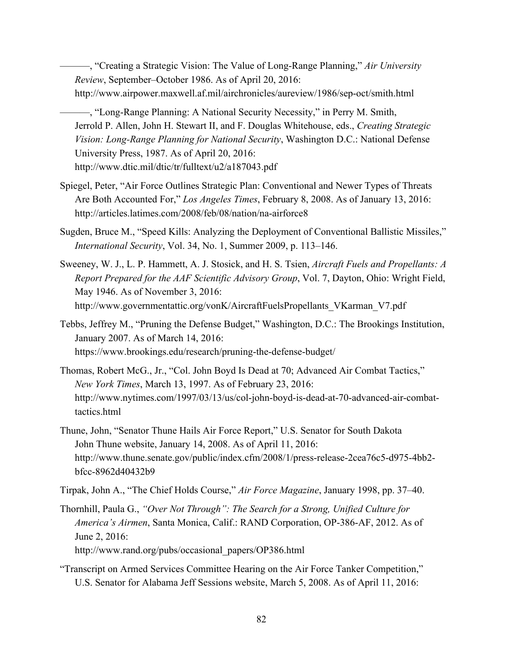———, "Creating a Strategic Vision: The Value of Long-Range Planning," *Air University Review*, September–October 1986. As of April 20, 2016: <http://www.airpower.maxwell.af.mil/airchronicles/aureview/1986/sep-oct/smith.html>

———, "Long-Range Planning: A National Security Necessity," in Perry M. Smith, Jerrold P. Allen, John H. Stewart II, and F. Douglas Whitehouse, eds., *Creating Strategic Vision: Long-Range Planning for National Security*, Washington D.C.: National Defense University Press, 1987. As of April 20, 2016: <http://www.dtic.mil/dtic/tr/fulltext/u2/a187043.pdf>

- Spiegel, Peter, "Air Force Outlines Strategic Plan: Conventional and Newer Types of Threats Are Both Accounted For," *Los Angeles Times*, February 8, 2008. As of January 13, 2016: <http://articles.latimes.com/2008/feb/08/nation/na-airforce8>
- Sugden, Bruce M., "Speed Kills: Analyzing the Deployment of Conventional Ballistic Missiles," *International Security*, Vol. 34, No. 1, Summer 2009, p. 113–146.
- Sweeney, W. J., L. P. Hammett, A. J. Stosick, and H. S. Tsien, *Aircraft Fuels and Propellants: A Report Prepared for the AAF Scientific Advisory Group*, Vol. 7, Dayton, Ohio: Wright Field, May 1946. As of November 3, 2016: [http://www.governmentattic.org/vonK/AircraftFuelsPropellants\\_VKarman\\_V7.pdf](http://www.governmentattic.org/vonK/AircraftFuelsPropellants_VKarman_V7.pdf)
- Tebbs, Jeffrey M., "Pruning the Defense Budget," Washington, D.C.: The Brookings Institution, January 2007. As of March 14, 2016: <https://www.brookings.edu/research/pruning-the-defense-budget/>
- Thomas, Robert McG., Jr., "Col. John Boyd Is Dead at 70; Advanced Air Combat Tactics," *New York Times*, March 13, 1997. As of February 23, 2016: [http://www.nytimes.com/1997/03/13/us/col-john-boyd-is-dead-at-70-advanced-air-combat](http://www.nytimes.com/1997/03/13/us/col-john-boyd-is-dead-at-70-advanced-air-combat-tactics.html)tactics.html
- Thune, John, "Senator Thune Hails Air Force Report," U.S. Senator for South Dakota John Thune website, January 14, 2008. As of April 11, 2016: [http://www.thune.senate.gov/public/index.cfm/2008/1/press-release-2cea76c5-d975-4bb2](http://www.thune.senate.gov/public/index.cfm/2008/1/press-release-2cea76c5-d975-4bb2-bfcc-8962d40432b9) bfcc-8962d40432b9
- Tirpak, John A., "The Chief Holds Course," *Air Force Magazine*, January 1998, pp. 37–40.
- Thornhill, Paula G., *"Over Not Through": The Search for a Strong, Unified Culture for America's Airmen*, Santa Monica, Calif.: RAND Corporation, OP-386-AF, 2012. As of June 2, 2016: [http://www.rand.org/pubs/occasional\\_papers/OP386.html](http://www.rand.org/pubs/occasional_papers/OP386.html)
- "Transcript on Armed Services Committee Hearing on the Air Force Tanker Competition," U.S. Senator for Alabama Jeff Sessions website, March 5, 2008. As of April 11, 2016: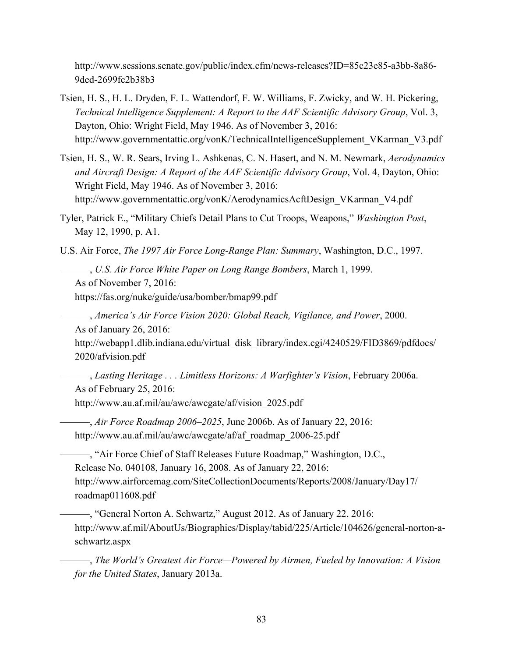[http://www.sessions.senate.gov/public/index.cfm/news-releases?ID=85c23e85-a3bb-8a86-](http://www.sessions.senate.gov/public/index.cfm/news-releases?ID=85c23e85-a3bb-8a86-9ded-2699fc2b38b3) 9ded-2699fc2b38b3

- Tsien, H. S., H. L. Dryden, F. L. Wattendorf, F. W. Williams, F. Zwicky, and W. H. Pickering, *Technical Intelligence Supplement: A Report to the AAF Scientific Advisory Group*, Vol. 3, Dayton, Ohio: Wright Field, May 1946. As of November 3, 2016: [http://www.governmentattic.org/vonK/TechnicalIntelligenceSupplement\\_VKarman\\_V3.pdf](http://www.governmentattic.org/vonK/TechnicalIntelligenceSupplement_VKarman_V3.pdf)
- Tsien, H. S., W. R. Sears, Irving L. Ashkenas, C. N. Hasert, and N. M. Newmark, *Aerodynamics and Aircraft Design: A Report of the AAF Scientific Advisory Group*, Vol. 4, Dayton, Ohio: Wright Field, May 1946. As of November 3, 2016: [http://www.governmentattic.org/vonK/AerodynamicsAcftDesign\\_VKarman\\_V4.pdf](http://www.governmentattic.org/vonK/AerodynamicsAcftDesign_VKarman_V4.pdf)
- Tyler, Patrick E., "Military Chiefs Detail Plans to Cut Troops, Weapons," *Washington Post*, May 12, 1990, p. A1.

U.S. Air Force, *The 1997 Air Force Long-Range Plan: Summary*, Washington, D.C., 1997.

———, *U.S. Air Force White Paper on Long Range Bombers*, March 1, 1999. As of November 7, 2016: <https://fas.org/nuke/guide/usa/bomber/bmap99.pdf>

———, *America's Air Force Vision 2020: Global Reach, Vigilance, and Power*, 2000. As of January 26, 2016:

http://webapp1.dlib.indiana.edu/virtual\_disk\_library/index.cgi/4240529/FID3869/pdfdocs/ 2020/afvision.pdf

———, *Lasting Heritage . . . Limitless Horizons: A Warfighter's Vision*, February 2006a. As of February 25, 2016: [http://www.au.af.mil/au/awc/awcgate/af/vision\\_2025.pdf](http://www.au.af.mil/au/awc/awcgate/af/vision_2025.pdf) 

———, *Air Force Roadmap 2006–2025*, June 2006b. As of January 22, 2016: http://www.au.af.mil/au/awc/awcgate/af/af\_roadmap\_2006-25.pdf

———, "Air Force Chief of Staff Releases Future Roadmap," Washington, D.C., Release No. 040108, January 16, 2008. As of January 22, 2016: [http://www.airforcemag.com/SiteCollectionDocuments/Reports/2008/January/Day17/](http://www.airforcemag.com/SiteCollectionDocuments/Reports/2008/January/Day17/roadmap011608.pdf)  roadmap011608.pdf

———, "General Norton A. Schwartz," August 2012. As of January 22, 2016: [http://www.af.mil/AboutUs/Biographies/Display/tabid/225/Article/104626/general-norton-a](http://www.af.mil/AboutUs/Biographies/Display/tabid/225/Article/104626/general-norton-a-schwartz.aspx)schwartz.aspx

———, *The World's Greatest Air Force—Powered by Airmen, Fueled by Innovation: A Vision for the United States*, January 2013a.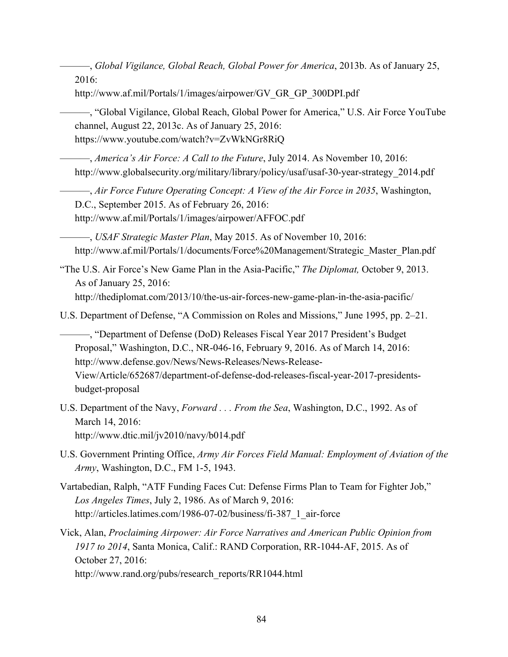———, *Global Vigilance, Global Reach, Global Power for America*, 2013b. As of January 25, 2016:

[http://www.af.mil/Portals/1/images/airpower/GV\\_GR\\_GP\\_300DPI.pdf](http://www.af.mil/Portals/1/images/airpower/GV_GR_GP_300DPI.pdf) 

———, "Global Vigilance, Global Reach, Global Power for America," U.S. Air Force YouTube channel, August 22, 2013c. As of January 25, 2016: <https://www.youtube.com/watch?v=ZvWkNGr8RiQ>

———, *America's Air Force: A Call to the Future*, July 2014. As November 10, 2016: [http://www.globalsecurity.org/military/library/policy/usaf/usaf-30-year-strategy\\_2014.pdf](http://www.globalsecurity.org/military/library/policy/usaf/usaf-30-year-strategy_2014.pdf) 

———, *Air Force Future Operating Concept: A View of the Air Force in 2035*, Washington, D.C., September 2015. As of February 26, 2016: <http://www.af.mil/Portals/1/images/airpower/AFFOC.pdf>

———, *USAF Strategic Master Plan*, May 2015. As of November 10, 2016: [http://www.af.mil/Portals/1/documents/Force%20Management/Strategic\\_Master\\_Plan.pdf](http://www.af.mil/Portals/1/documents/Force%20Management/Strategic_Master_Plan.pdf) 

"The U.S. Air Force's New Game Plan in the Asia-Pacific," *The Diplomat,* October 9, 2013. As of January 25, 2016:

<http://thediplomat.com/2013/10/the-us-air-forces-new-game-plan-in-the-asia-pacific/>

U.S. Department of Defense, "A Commission on Roles and Missions," June 1995, pp. 2–21.

———, "Department of Defense (DoD) Releases Fiscal Year 2017 President's Budget Proposal," Washington, D.C., NR-046-16, February 9, 2016. As of March 14, 2016: http://www.defense.gov/News/News-Releases/News-Release-[View/Article/652687/department-of-defense-dod-releases-fiscal-year-2017-presidents](http://www.defense.gov/News/News-Releases/News-Release-View/Article/652687/department-of-defense-dod-releases-fiscal-year-2017-presidents-budget-proposal)budget-proposal

- U.S. Department of the Navy, *Forward . . . From the Sea*, Washington, D.C., 1992. As of March 14, 2016: <http://www.dtic.mil/jv2010/navy/b014.pdf>
- U.S. Government Printing Office, *Army Air Forces Field Manual: Employment of Aviation of the Army*, Washington, D.C., FM 1-5, 1943.
- Vartabedian, Ralph, "ATF Funding Faces Cut: Defense Firms Plan to Team for Fighter Job," *Los Angeles Times*, July 2, 1986. As of March 9, 2016: http://articles.latimes.com/1986-07-02/business/fi-387\_1\_air-force

Vick, Alan, *Proclaiming Airpower: Air Force Narratives and American Public Opinion from 1917 to 2014*, Santa Monica, Calif.: RAND Corporation, RR-1044-AF, 2015. As of October 27, 2016:

[http://www.rand.org/pubs/research\\_reports/RR1044.html](http://www.rand.org/pubs/research_reports/RR1044.html)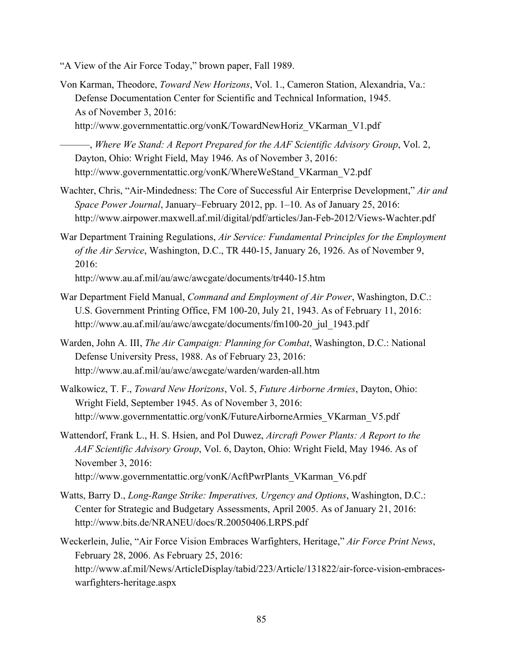- "A View of the Air Force Today," brown paper, Fall 1989.
- Von Karman, Theodore, *Toward New Horizons*, Vol. 1., Cameron Station, Alexandria, Va.: Defense Documentation Center for Scientific and Technical Information, 1945. As of November 3, 2016: [http://www.governmentattic.org/vonK/TowardNewHoriz\\_VKarman\\_V1.pdf](http://www.governmentattic.org/vonK/TowardNewHoriz_VKarman_V1.pdf) 
	- ———, *Where We Stand: A Report Prepared for the AAF Scientific Advisory Group*, Vol. 2, Dayton, Ohio: Wright Field, May 1946. As of November 3, 2016: [http://www.governmentattic.org/vonK/WhereWeStand\\_VKarman\\_V2.pdf](http://www.governmentattic.org/vonK/WhereWeStand_VKarman_V2.pdf)
- Wachter, Chris, "Air-Mindedness: The Core of Successful Air Enterprise Development," *Air and Space Power Journal*, January–February 2012, pp. 1–10. As of January 25, 2016: <http://www.airpower.maxwell.af.mil/digital/pdf/articles/Jan-Feb-2012/Views-Wachter.pdf>
- War Department Training Regulations, *Air Service: Fundamental Principles for the Employment of the Air Service*, Washington, D.C., TR 440-15, January 26, 1926. As of November 9, 2016:

<http://www.au.af.mil/au/awc/awcgate/documents/tr440-15.htm>

- War Department Field Manual, *Command and Employment of Air Power*, Washington, D.C.: U.S. Government Printing Office, FM 100-20, July 21, 1943. As of February 11, 2016: [http://www.au.af.mil/au/awc/awcgate/documents/fm100-20\\_jul\\_1943.pdf](http://www.au.af.mil/au/awc/awcgate/documents/fm100-20_jul_1943.pdf)
- Warden, John A. III, *The Air Campaign: Planning for Combat*, Washington, D.C.: National Defense University Press, 1988. As of February 23, 2016: <http://www.au.af.mil/au/awc/awcgate/warden/warden-all.htm>
- Walkowicz, T. F., *Toward New Horizons*, Vol. 5, *Future Airborne Armies*, Dayton, Ohio: Wright Field, September 1945. As of November 3, 2016: [http://www.governmentattic.org/vonK/FutureAirborneArmies\\_VKarman\\_V5.pdf](http://www.governmentattic.org/vonK/FutureAirborneArmies_VKarman_V5.pdf)
- Wattendorf, Frank L., H. S. Hsien, and Pol Duwez, *Aircraft Power Plants: A Report to the AAF Scientific Advisory Group*, Vol. 6, Dayton, Ohio: Wright Field, May 1946. As of November 3, 2016: [http://www.governmentattic.org/vonK/AcftPwrPlants\\_VKarman\\_V6.pdf](http://www.governmentattic.org/vonK/AcftPwrPlants_VKarman_V6.pdf)
- Watts, Barry D., *Long-Range Strike: Imperatives, Urgency and Options*, Washington, D.C.: Center for Strategic and Budgetary Assessments, April 2005. As of January 21, 2016: <http://www.bits.de/NRANEU/docs/R.20050406.LRPS.pdf>
- Weckerlein, Julie, "Air Force Vision Embraces Warfighters, Heritage," *Air Force Print News*, February 28, 2006. As February 25, 2016: [http://www.af.mil/News/ArticleDisplay/tabid/223/Article/131822/air-force-vision-embraces](http://www.af.mil/News/ArticleDisplay/tabid/223/Article/131822/air-force-vision-embraces-warfighters-heritage.aspx)warfighters-heritage.aspx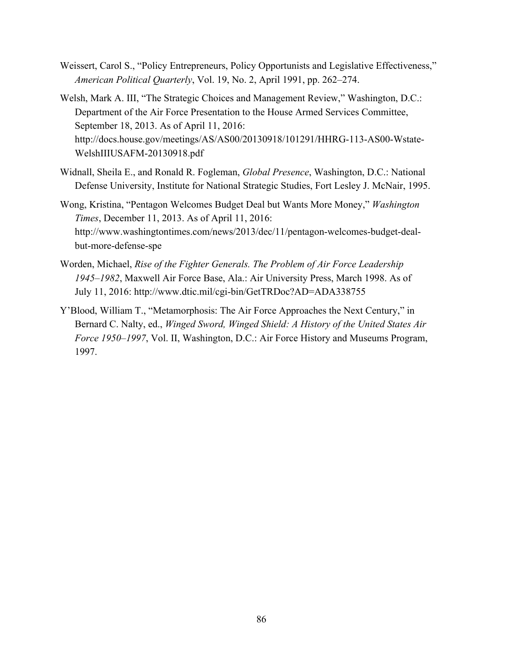- Weissert, Carol S., "Policy Entrepreneurs, Policy Opportunists and Legislative Effectiveness," *American Political Quarterly*, Vol. 19, No. 2, April 1991, pp. 262–274.
- Welsh, Mark A. III, "The Strategic Choices and Management Review," Washington, D.C.: Department of the Air Force Presentation to the House Armed Services Committee, September 18, 2013. As of April 11, 2016: [http://docs.house.gov/meetings/AS/AS00/20130918/101291/HHRG-113-AS00-Wstate-](http://docs.house.gov/meetings/AS/AS00/20130918/101291/HHRG-113-AS00-Wstate-WelshIIIUSAFM-20130918.pdf)WelshIIIUSAFM-20130918.pdf
- Widnall, Sheila E., and Ronald R. Fogleman, *Global Presence*, Washington, D.C.: National Defense University, Institute for National Strategic Studies, Fort Lesley J. McNair, 1995.
- Wong, Kristina, "Pentagon Welcomes Budget Deal but Wants More Money," *Washington Times*, December 11, 2013. As of April 11, 2016: [http://www.washingtontimes.com/news/2013/dec/11/pentagon-welcomes-budget-deal](http://www.washingtontimes.com/news/2013/dec/11/pentagon-welcomes-budget-deal-but-more-defense-spe)but-more-defense-spe
- Worden, Michael, *Rise of the Fighter Generals. The Problem of Air Force Leadership 1945–1982*, Maxwell Air Force Base, Ala.: Air University Press, March 1998. As of July 11, 2016: <http://www.dtic.mil/cgi-bin/GetTRDoc?AD=ADA338755>
- Y'Blood, William T., "Metamorphosis: The Air Force Approaches the Next Century," in Bernard C. Nalty, ed., *Winged Sword, Winged Shield: A History of the United States Air Force 1950–1997*, Vol. II, Washington, D.C.: Air Force History and Museums Program, 1997.